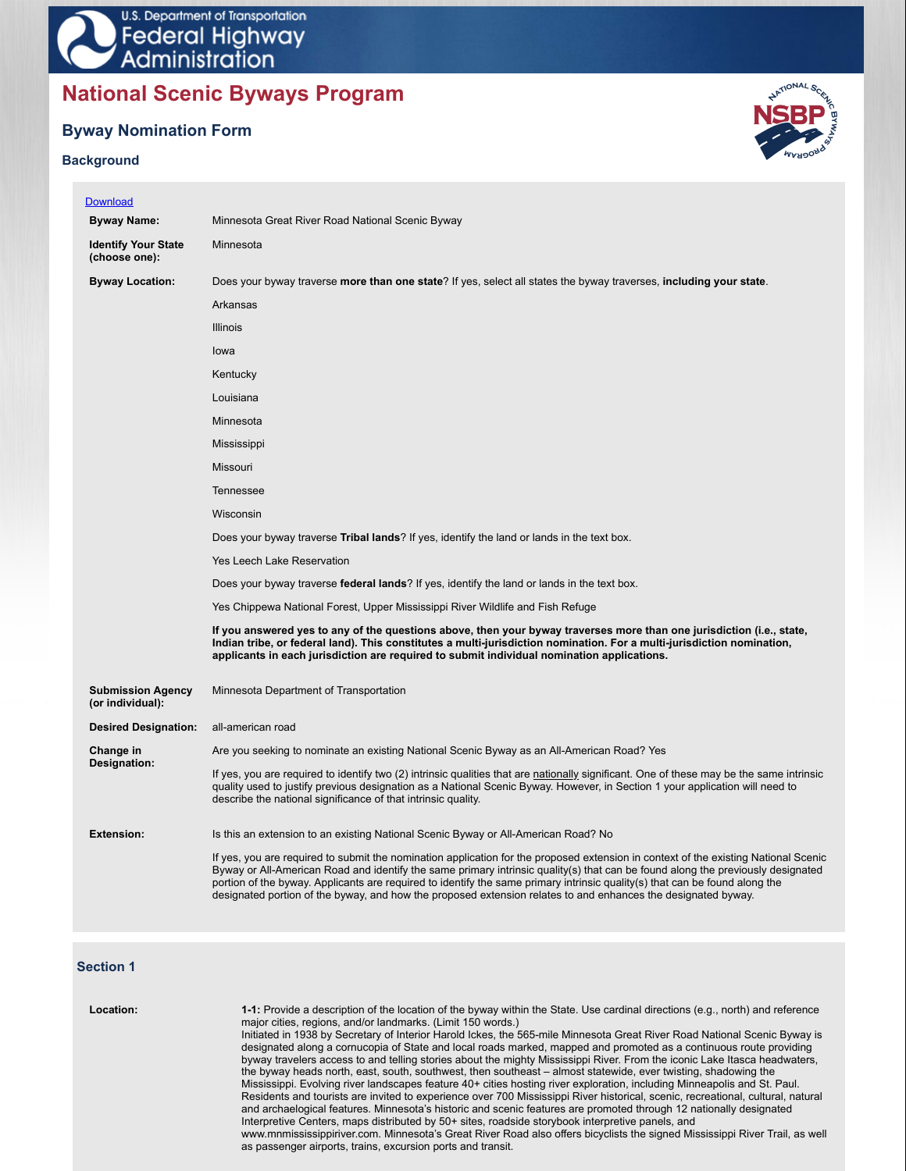# **National Scenic Byways Program**

# **Byway Nomination Form**

# **Background**



| <b>Download</b>                              |                                                                                                                                                                                                                                                                                                                                                                                                                                                                                                                        |
|----------------------------------------------|------------------------------------------------------------------------------------------------------------------------------------------------------------------------------------------------------------------------------------------------------------------------------------------------------------------------------------------------------------------------------------------------------------------------------------------------------------------------------------------------------------------------|
| <b>Byway Name:</b>                           | Minnesota Great River Road National Scenic Byway                                                                                                                                                                                                                                                                                                                                                                                                                                                                       |
| <b>Identify Your State</b><br>(choose one):  | Minnesota                                                                                                                                                                                                                                                                                                                                                                                                                                                                                                              |
| <b>Byway Location:</b>                       | Does your byway traverse more than one state? If yes, select all states the byway traverses, including your state.                                                                                                                                                                                                                                                                                                                                                                                                     |
|                                              | Arkansas                                                                                                                                                                                                                                                                                                                                                                                                                                                                                                               |
|                                              | <b>Illinois</b>                                                                                                                                                                                                                                                                                                                                                                                                                                                                                                        |
|                                              | lowa                                                                                                                                                                                                                                                                                                                                                                                                                                                                                                                   |
|                                              | Kentucky                                                                                                                                                                                                                                                                                                                                                                                                                                                                                                               |
|                                              | Louisiana                                                                                                                                                                                                                                                                                                                                                                                                                                                                                                              |
|                                              | Minnesota                                                                                                                                                                                                                                                                                                                                                                                                                                                                                                              |
|                                              | Mississippi                                                                                                                                                                                                                                                                                                                                                                                                                                                                                                            |
|                                              | Missouri                                                                                                                                                                                                                                                                                                                                                                                                                                                                                                               |
|                                              | Tennessee                                                                                                                                                                                                                                                                                                                                                                                                                                                                                                              |
|                                              | Wisconsin                                                                                                                                                                                                                                                                                                                                                                                                                                                                                                              |
|                                              | Does your byway traverse <b>Tribal lands</b> ? If yes, identify the land or lands in the text box.                                                                                                                                                                                                                                                                                                                                                                                                                     |
|                                              | Yes Leech Lake Reservation                                                                                                                                                                                                                                                                                                                                                                                                                                                                                             |
|                                              | Does your byway traverse <b>federal lands</b> ? If yes, identify the land or lands in the text box.                                                                                                                                                                                                                                                                                                                                                                                                                    |
|                                              | Yes Chippewa National Forest, Upper Mississippi River Wildlife and Fish Refuge                                                                                                                                                                                                                                                                                                                                                                                                                                         |
|                                              | If you answered yes to any of the questions above, then your byway traverses more than one jurisdiction (i.e., state,<br>Indian tribe, or federal land). This constitutes a multi-jurisdiction nomination. For a multi-jurisdiction nomination,<br>applicants in each jurisdiction are required to submit individual nomination applications.                                                                                                                                                                          |
| <b>Submission Agency</b><br>(or individual): | Minnesota Department of Transportation                                                                                                                                                                                                                                                                                                                                                                                                                                                                                 |
| <b>Desired Designation:</b>                  | all-american road                                                                                                                                                                                                                                                                                                                                                                                                                                                                                                      |
| Change in                                    | Are you seeking to nominate an existing National Scenic Byway as an All-American Road? Yes                                                                                                                                                                                                                                                                                                                                                                                                                             |
| Designation:                                 | If yes, you are required to identify two (2) intrinsic qualities that are nationally significant. One of these may be the same intrinsic<br>quality used to justify previous designation as a National Scenic Byway. However, in Section 1 your application will need to<br>describe the national significance of that intrinsic quality.                                                                                                                                                                              |
| <b>Extension:</b>                            | Is this an extension to an existing National Scenic Byway or All-American Road? No                                                                                                                                                                                                                                                                                                                                                                                                                                     |
|                                              | If yes, you are required to submit the nomination application for the proposed extension in context of the existing National Scenic<br>Byway or All-American Road and identify the same primary intrinsic quality(s) that can be found along the previously designated<br>portion of the byway. Applicants are required to identify the same primary intrinsic quality(s) that can be found along the<br>designated portion of the byway, and how the proposed extension relates to and enhances the designated byway. |

# **Section 1**

| Location: | 1-1: Provide a description of the location of the byway within the State. Use cardinal directions (e.g., north) and reference<br>major cities, regions, and/or landmarks. (Limit 150 words.)                                                          |
|-----------|-------------------------------------------------------------------------------------------------------------------------------------------------------------------------------------------------------------------------------------------------------|
|           | Initiated in 1938 by Secretary of Interior Harold Ickes, the 565-mile Minnesota Great River Road National Scenic Byway is<br>designated along a cornucopia of State and local roads marked, mapped and promoted as a continuous route providing       |
|           | byway travelers access to and telling stories about the mighty Mississippi River. From the iconic Lake Itasca headwaters,<br>the byway heads north, east, south, southwest, then southeast – almost statewide, ever twisting, shadowing the           |
|           | Mississippi. Evolving river landscapes feature 40+ cities hosting river exploration, including Minneapolis and St. Paul.                                                                                                                              |
|           | Residents and tourists are invited to experience over 700 Mississippi River historical, scenic, recreational, cultural, natural<br>and archaelogical features. Minnesota's historic and scenic features are promoted through 12 nationally designated |
|           | Interpretive Centers, maps distributed by 50+ sites, roadside storybook interpretive panels, and<br>www.mnmississippiriver.com. Minnesota's Great River Road also offers bicyclists the signed Mississippi River Trail, as well                       |
|           | as passenger airports, trains, excursion ports and transit.                                                                                                                                                                                           |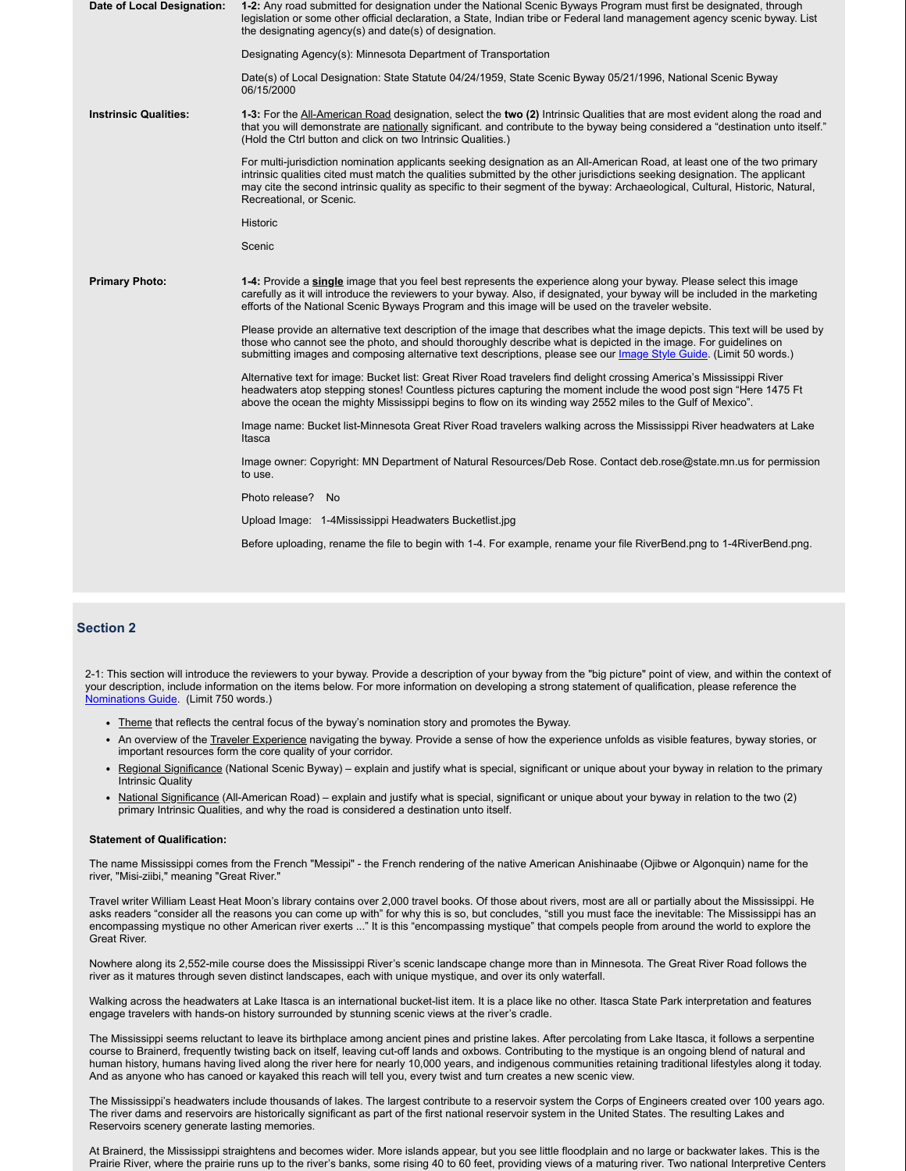| Date of Local Designation:   | 1-2: Any road submitted for designation under the National Scenic Byways Program must first be designated, through<br>legislation or some other official declaration, a State, Indian tribe or Federal land management agency scenic byway. List<br>the designating agency(s) and date(s) of designation.                                                                                                            |
|------------------------------|----------------------------------------------------------------------------------------------------------------------------------------------------------------------------------------------------------------------------------------------------------------------------------------------------------------------------------------------------------------------------------------------------------------------|
|                              | Designating Agency(s): Minnesota Department of Transportation                                                                                                                                                                                                                                                                                                                                                        |
|                              | Date(s) of Local Designation: State Statute 04/24/1959, State Scenic Byway 05/21/1996, National Scenic Byway<br>06/15/2000                                                                                                                                                                                                                                                                                           |
| <b>Instrinsic Qualities:</b> | 1-3: For the All-American Road designation, select the two (2) Intrinsic Qualities that are most evident along the road and<br>that you will demonstrate are nationally significant. and contribute to the byway being considered a "destination unto itself."<br>(Hold the Ctrl button and click on two Intrinsic Qualities.)                                                                                       |
|                              | For multi-jurisdiction nomination applicants seeking designation as an All-American Road, at least one of the two primary<br>intrinsic qualities cited must match the qualities submitted by the other jurisdictions seeking designation. The applicant<br>may cite the second intrinsic quality as specific to their segment of the byway: Archaeological, Cultural, Historic, Natural,<br>Recreational, or Scenic. |
|                              | <b>Historic</b>                                                                                                                                                                                                                                                                                                                                                                                                      |
|                              | Scenic                                                                                                                                                                                                                                                                                                                                                                                                               |
| <b>Primary Photo:</b>        | 1-4: Provide a single image that you feel best represents the experience along your byway. Please select this image<br>carefully as it will introduce the reviewers to your byway. Also, if designated, your byway will be included in the marketing<br>efforts of the National Scenic Byways Program and this image will be used on the traveler website.                                                           |
|                              | Please provide an alternative text description of the image that describes what the image depicts. This text will be used by<br>those who cannot see the photo, and should thoroughly describe what is depicted in the image. For guidelines on<br>submitting images and composing alternative text descriptions, please see our <i>Image Style Guide</i> . (Limit 50 words.)                                        |
|                              | Alternative text for image: Bucket list: Great River Road travelers find delight crossing America's Mississippi River<br>headwaters atop stepping stones! Countless pictures capturing the moment include the wood post sign "Here 1475 Ft<br>above the ocean the mighty Mississippi begins to flow on its winding way 2552 miles to the Gulf of Mexico".                                                            |
|                              | Image name: Bucket list-Minnesota Great River Road travelers walking across the Mississippi River headwaters at Lake<br>Itasca                                                                                                                                                                                                                                                                                       |
|                              | Image owner: Copyright: MN Department of Natural Resources/Deb Rose. Contact deb.rose@state.mn.us for permission<br>to use.                                                                                                                                                                                                                                                                                          |
|                              | Photo release? No                                                                                                                                                                                                                                                                                                                                                                                                    |
|                              | Upload Image: 1-4Mississippi Headwaters Bucketlist.jpg                                                                                                                                                                                                                                                                                                                                                               |
|                              | Before uploading, rename the file to begin with 1-4. For example, rename your file RiverBend.png to 1-4RiverBend.png.                                                                                                                                                                                                                                                                                                |
|                              |                                                                                                                                                                                                                                                                                                                                                                                                                      |

# **Section 2**

2-1: This section will introduce the reviewers to your byway. Provide a description of your byway from the "big picture" point of view, and within the context of your description, include information on the items below. For more information on developing a strong statement of qualification, please reference the Nominations Guide. (Limit 750 words.)

- Theme that reflects the central focus of the byway's nomination story and promotes the Byway.
- An overview of the Traveler Experience navigating the byway. Provide a sense of how the experience unfolds as visible features, byway stories, or important resources form the core quality of your corridor.
- Regional Significance (National Scenic Byway) explain and justify what is special, significant or unique about your byway in relation to the primary Intrinsic Quality
- National Significance (All-American Road) explain and justify what is special, significant or unique about your byway in relation to the two (2) primary Intrinsic Qualities, and why the road is considered a destination unto itself.

### **Statement of Qualification:**

The name Mississippi comes from the French "Messipi" - the French rendering of the native American Anishinaabe (Ojibwe or Algonquin) name for the river, "Misi-ziibi," meaning "Great River."

Travel writer William Least Heat Moon's library contains over 2,000 travel books. Of those about rivers, most are all or partially about the Mississippi. He asks readers "consider all the reasons you can come up with" for why this is so, but concludes, "still you must face the inevitable: The Mississippi has an encompassing mystique no other American river exerts ..." It is this "encompassing mystique" that compels people from around the world to explore the Great River.

Nowhere along its 2,552-mile course does the Mississippi River's scenic landscape change more than in Minnesota. The Great River Road follows the river as it matures through seven distinct landscapes, each with unique mystique, and over its only waterfall.

Walking across the headwaters at Lake Itasca is an international bucket-list item. It is a place like no other. Itasca State Park interpretation and features engage travelers with hands-on history surrounded by stunning scenic views at the river's cradle.

The Mississippi seems reluctant to leave its birthplace among ancient pines and pristine lakes. After percolating from Lake Itasca, it follows a serpentine course to Brainerd, frequently twisting back on itself, leaving cut-off lands and oxbows. Contributing to the mystique is an ongoing blend of natural and human history, humans having lived along the river here for nearly 10,000 years, and indigenous communities retaining traditional lifestyles along it today. And as anyone who has canoed or kayaked this reach will tell you, every twist and turn creates a new scenic view.

The Mississippi's headwaters include thousands of lakes. The largest contribute to a reservoir system the Corps of Engineers created over 100 years ago. The river dams and reservoirs are historically significant as part of the first national reservoir system in the United States. The resulting Lakes and Reservoirs scenery generate lasting memories.

At Brainerd, the Mississippi straightens and becomes wider. More islands appear, but you see little floodplain and no large or backwater lakes. This is the Prairie River, where the prairie runs up to the river's banks, some rising 40 to 60 feet, providing views of a maturing river. Two national Interpretive Centers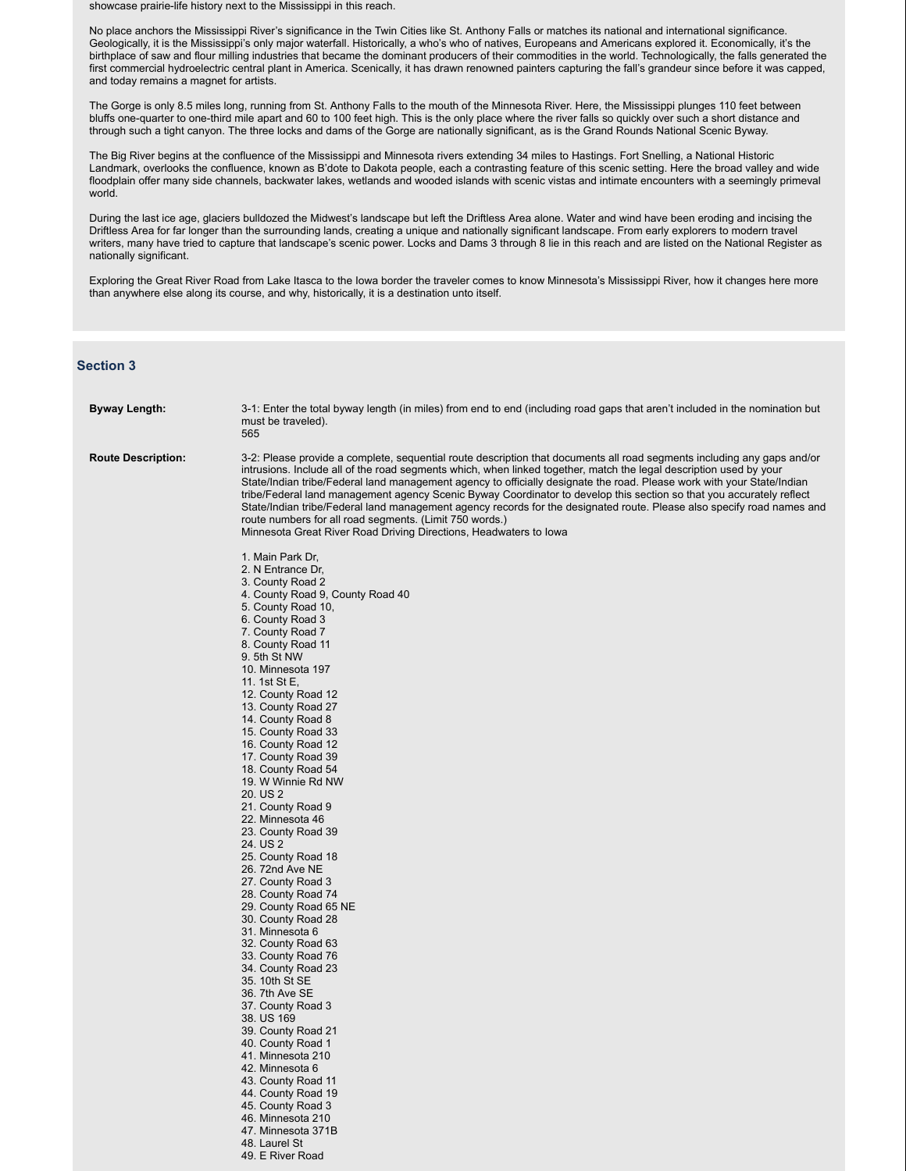showcase prairie-life history next to the Mississippi in this reach.

No place anchors the Mississippi River's significance in the Twin Cities like St. Anthony Falls or matches its national and international significance. Geologically, it is the Mississippi's only major waterfall. Historically, a who's who of natives, Europeans and Americans explored it. Economically, it's the birthplace of saw and flour milling industries that became the dominant producers of their commodities in the world. Technologically, the falls generated the first commercial hydroelectric central plant in America. Scenically, it has drawn renowned painters capturing the fall's grandeur since before it was capped, and today remains a magnet for artists.

The Gorge is only 8.5 miles long, running from St. Anthony Falls to the mouth of the Minnesota River. Here, the Mississippi plunges 110 feet between bluffs one-quarter to one-third mile apart and 60 to 100 feet high. This is the only place where the river falls so quickly over such a short distance and through such a tight canyon. The three locks and dams of the Gorge are nationally significant, as is the Grand Rounds National Scenic Byway.

The Big River begins at the confluence of the Mississippi and Minnesota rivers extending 34 miles to Hastings. Fort Snelling, a National Historic Landmark, overlooks the confluence, known as B'dote to Dakota people, each a contrasting feature of this scenic setting. Here the broad valley and wide floodplain offer many side channels, backwater lakes, wetlands and wooded islands with scenic vistas and intimate encounters with a seemingly primeval world.

During the last ice age, glaciers bulldozed the Midwest's landscape but left the Driftless Area alone. Water and wind have been eroding and incising the Driftless Area for far longer than the surrounding lands, creating a unique and nationally significant landscape. From early explorers to modern travel writers, many have tried to capture that landscape's scenic power. Locks and Dams 3 through 8 lie in this reach and are listed on the National Register as nationally significant.

Exploring the Great River Road from Lake Itasca to the Iowa border the traveler comes to know Minnesota's Mississippi River, how it changes here more than anywhere else along its course, and why, historically, it is a destination unto itself.

# **Section 3**

| Byway Length:             | 3-1: Enter the total byway length (in miles) from end to end (including road gaps that aren't included in the nomination but<br>must be traveled).<br>565                                                                                                                                                                                                                                                                                                                                                                                                                                                                                                                                                                                                 |
|---------------------------|-----------------------------------------------------------------------------------------------------------------------------------------------------------------------------------------------------------------------------------------------------------------------------------------------------------------------------------------------------------------------------------------------------------------------------------------------------------------------------------------------------------------------------------------------------------------------------------------------------------------------------------------------------------------------------------------------------------------------------------------------------------|
| <b>Route Description:</b> | 3-2: Please provide a complete, sequential route description that documents all road segments including any gaps and/or<br>intrusions. Include all of the road segments which, when linked together, match the legal description used by your<br>State/Indian tribe/Federal land management agency to officially designate the road. Please work with your State/Indian<br>tribe/Federal land management agency Scenic Byway Coordinator to develop this section so that you accurately reflect<br>State/Indian tribe/Federal land management agency records for the designated route. Please also specify road names and<br>route numbers for all road segments. (Limit 750 words.)<br>Minnesota Great River Road Driving Directions, Headwaters to Iowa |
|                           | 1. Main Park Dr.                                                                                                                                                                                                                                                                                                                                                                                                                                                                                                                                                                                                                                                                                                                                          |
|                           | 2. N Entrance Dr.                                                                                                                                                                                                                                                                                                                                                                                                                                                                                                                                                                                                                                                                                                                                         |
|                           | 3. County Road 2<br>4. County Road 9, County Road 40                                                                                                                                                                                                                                                                                                                                                                                                                                                                                                                                                                                                                                                                                                      |
|                           | 5. County Road 10,                                                                                                                                                                                                                                                                                                                                                                                                                                                                                                                                                                                                                                                                                                                                        |
|                           | 6. County Road 3                                                                                                                                                                                                                                                                                                                                                                                                                                                                                                                                                                                                                                                                                                                                          |
|                           | 7. County Road 7                                                                                                                                                                                                                                                                                                                                                                                                                                                                                                                                                                                                                                                                                                                                          |
|                           | 8. County Road 11<br>9. 5th St NW                                                                                                                                                                                                                                                                                                                                                                                                                                                                                                                                                                                                                                                                                                                         |
|                           | 10. Minnesota 197                                                                                                                                                                                                                                                                                                                                                                                                                                                                                                                                                                                                                                                                                                                                         |
|                           | 11. 1st St E,                                                                                                                                                                                                                                                                                                                                                                                                                                                                                                                                                                                                                                                                                                                                             |
|                           | 12. County Road 12<br>13. County Road 27                                                                                                                                                                                                                                                                                                                                                                                                                                                                                                                                                                                                                                                                                                                  |
|                           | 14. County Road 8                                                                                                                                                                                                                                                                                                                                                                                                                                                                                                                                                                                                                                                                                                                                         |
|                           | 15. County Road 33                                                                                                                                                                                                                                                                                                                                                                                                                                                                                                                                                                                                                                                                                                                                        |
|                           | 16. County Road 12<br>17. County Road 39                                                                                                                                                                                                                                                                                                                                                                                                                                                                                                                                                                                                                                                                                                                  |
|                           | 18. County Road 54                                                                                                                                                                                                                                                                                                                                                                                                                                                                                                                                                                                                                                                                                                                                        |
|                           | 19. W Winnie Rd NW                                                                                                                                                                                                                                                                                                                                                                                                                                                                                                                                                                                                                                                                                                                                        |
|                           | 20. US 2<br>21. County Road 9                                                                                                                                                                                                                                                                                                                                                                                                                                                                                                                                                                                                                                                                                                                             |
|                           | 22. Minnesota 46                                                                                                                                                                                                                                                                                                                                                                                                                                                                                                                                                                                                                                                                                                                                          |
|                           | 23. County Road 39                                                                                                                                                                                                                                                                                                                                                                                                                                                                                                                                                                                                                                                                                                                                        |
|                           | 24. US 2                                                                                                                                                                                                                                                                                                                                                                                                                                                                                                                                                                                                                                                                                                                                                  |
|                           | 25. County Road 18<br>26. 72nd Ave NE                                                                                                                                                                                                                                                                                                                                                                                                                                                                                                                                                                                                                                                                                                                     |
|                           | 27. County Road 3                                                                                                                                                                                                                                                                                                                                                                                                                                                                                                                                                                                                                                                                                                                                         |
|                           | 28. County Road 74                                                                                                                                                                                                                                                                                                                                                                                                                                                                                                                                                                                                                                                                                                                                        |
|                           | 29. County Road 65 NE<br>30. County Road 28                                                                                                                                                                                                                                                                                                                                                                                                                                                                                                                                                                                                                                                                                                               |
|                           | 31. Minnesota 6                                                                                                                                                                                                                                                                                                                                                                                                                                                                                                                                                                                                                                                                                                                                           |
|                           | 32. County Road 63                                                                                                                                                                                                                                                                                                                                                                                                                                                                                                                                                                                                                                                                                                                                        |
|                           | 33. County Road 76<br>34. County Road 23                                                                                                                                                                                                                                                                                                                                                                                                                                                                                                                                                                                                                                                                                                                  |
|                           | 35. 10th St SE                                                                                                                                                                                                                                                                                                                                                                                                                                                                                                                                                                                                                                                                                                                                            |
|                           | 36. 7th Ave SE                                                                                                                                                                                                                                                                                                                                                                                                                                                                                                                                                                                                                                                                                                                                            |
|                           | 37. County Road 3<br>38. US 169                                                                                                                                                                                                                                                                                                                                                                                                                                                                                                                                                                                                                                                                                                                           |
|                           | 39. County Road 21                                                                                                                                                                                                                                                                                                                                                                                                                                                                                                                                                                                                                                                                                                                                        |
|                           | 40. County Road 1                                                                                                                                                                                                                                                                                                                                                                                                                                                                                                                                                                                                                                                                                                                                         |
|                           | 41. Minnesota 210<br>42. Minnesota 6                                                                                                                                                                                                                                                                                                                                                                                                                                                                                                                                                                                                                                                                                                                      |
|                           | 43. County Road 11                                                                                                                                                                                                                                                                                                                                                                                                                                                                                                                                                                                                                                                                                                                                        |
|                           | 44. County Road 19                                                                                                                                                                                                                                                                                                                                                                                                                                                                                                                                                                                                                                                                                                                                        |
|                           | 45. County Road 3                                                                                                                                                                                                                                                                                                                                                                                                                                                                                                                                                                                                                                                                                                                                         |
|                           | 46. Minnesota 210<br>47. Minnesota 371B                                                                                                                                                                                                                                                                                                                                                                                                                                                                                                                                                                                                                                                                                                                   |
|                           | 48. Laurel St                                                                                                                                                                                                                                                                                                                                                                                                                                                                                                                                                                                                                                                                                                                                             |
|                           | 49. E River Road                                                                                                                                                                                                                                                                                                                                                                                                                                                                                                                                                                                                                                                                                                                                          |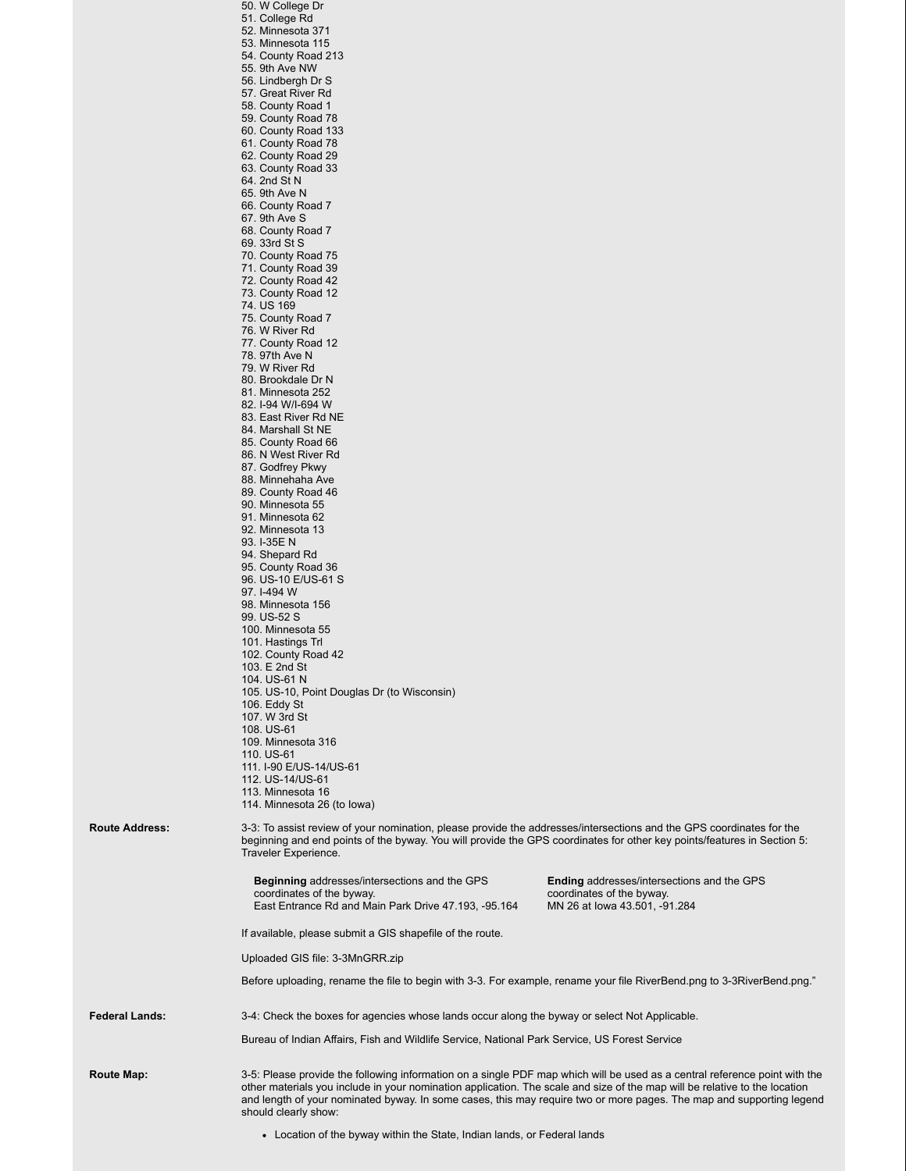|                       | Bureau of Indian Affairs, Fish and Wildlife Service, National Park Service, US Forest Service                                                                                                                                                   |                                                                                |
|-----------------------|-------------------------------------------------------------------------------------------------------------------------------------------------------------------------------------------------------------------------------------------------|--------------------------------------------------------------------------------|
|                       |                                                                                                                                                                                                                                                 |                                                                                |
| <b>Federal Lands:</b> | 3-4: Check the boxes for agencies whose lands occur along the byway or select Not Applicable.                                                                                                                                                   |                                                                                |
|                       | Before uploading, rename the file to begin with 3-3. For example, rename your file RiverBend.png to 3-3RiverBend.png."                                                                                                                          |                                                                                |
|                       | Uploaded GIS file: 3-3MnGRR.zip                                                                                                                                                                                                                 |                                                                                |
|                       | If available, please submit a GIS shapefile of the route.                                                                                                                                                                                       |                                                                                |
|                       | East Entrance Rd and Main Park Drive 47.193, -95.164                                                                                                                                                                                            | MN 26 at lowa 43.501, -91.284                                                  |
|                       | <b>Beginning addresses/intersections and the GPS</b><br>coordinates of the byway.                                                                                                                                                               | <b>Ending</b> addresses/intersections and the GPS<br>coordinates of the byway. |
|                       | Traveler Experience.                                                                                                                                                                                                                            |                                                                                |
| <b>Route Address:</b> | 3-3: To assist review of your nomination, please provide the addresses/intersections and the GPS coordinates for the<br>beginning and end points of the byway. You will provide the GPS coordinates for other key points/features in Section 5: |                                                                                |
|                       | 114. Minnesota 26 (to lowa)                                                                                                                                                                                                                     |                                                                                |
|                       | 113. Minnesota 16                                                                                                                                                                                                                               |                                                                                |
|                       | 111. I-90 E/US-14/US-61<br>112. US-14/US-61                                                                                                                                                                                                     |                                                                                |
|                       | 110. US-61                                                                                                                                                                                                                                      |                                                                                |
|                       | 108. US-61<br>109. Minnesota 316                                                                                                                                                                                                                |                                                                                |
|                       | 106. Eddy St<br>107. W 3rd St                                                                                                                                                                                                                   |                                                                                |
|                       | 105. US-10, Point Douglas Dr (to Wisconsin)                                                                                                                                                                                                     |                                                                                |
|                       | 103. E 2nd St<br>104. US-61 N                                                                                                                                                                                                                   |                                                                                |
|                       | 102. County Road 42                                                                                                                                                                                                                             |                                                                                |
|                       | 100. Minnesota 55<br>101. Hastings Trl                                                                                                                                                                                                          |                                                                                |
|                       | 98. Minnesota 156<br>99. US-52 S                                                                                                                                                                                                                |                                                                                |
|                       | 97. I-494 W                                                                                                                                                                                                                                     |                                                                                |
|                       | 95. County Road 36<br>96. US-10 E/US-61 S                                                                                                                                                                                                       |                                                                                |
|                       | 93. I-35E N<br>94. Shepard Rd                                                                                                                                                                                                                   |                                                                                |
|                       | 92. Minnesota 13                                                                                                                                                                                                                                |                                                                                |
|                       | 90. Minnesota 55<br>91. Minnesota 62                                                                                                                                                                                                            |                                                                                |
|                       | 88. Minnehaha Ave<br>89. County Road 46                                                                                                                                                                                                         |                                                                                |
|                       | 87. Godfrey Pkwy                                                                                                                                                                                                                                |                                                                                |
|                       | 85. County Road 66<br>86. N West River Rd                                                                                                                                                                                                       |                                                                                |
|                       | 83. East River Rd NE<br>84. Marshall St NE                                                                                                                                                                                                      |                                                                                |
|                       | 81. Minnesota 252<br>82. I-94 W/I-694 W                                                                                                                                                                                                         |                                                                                |
|                       | 80. Brookdale Dr N                                                                                                                                                                                                                              |                                                                                |
|                       | 78. 97th Ave N<br>79. W River Rd                                                                                                                                                                                                                |                                                                                |
|                       | 76. W River Rd<br>77. County Road 12                                                                                                                                                                                                            |                                                                                |
|                       | 75. County Road 7                                                                                                                                                                                                                               |                                                                                |
|                       | 73. County Road 12<br>74. US 169                                                                                                                                                                                                                |                                                                                |
|                       | 72. County Road 42                                                                                                                                                                                                                              |                                                                                |
|                       | 70. County Road 75<br>71. County Road 39                                                                                                                                                                                                        |                                                                                |
|                       | 68. County Road 7<br>69. 33rd St S                                                                                                                                                                                                              |                                                                                |
|                       | 67. 9th Ave S                                                                                                                                                                                                                                   |                                                                                |
|                       | 65. 9th Ave N<br>66. County Road 7                                                                                                                                                                                                              |                                                                                |
|                       | 64. 2nd St N                                                                                                                                                                                                                                    |                                                                                |
|                       | 62. County Road 29<br>63. County Road 33                                                                                                                                                                                                        |                                                                                |
|                       | 60. County Road 133<br>61. County Road 78                                                                                                                                                                                                       |                                                                                |
|                       | 58. County Road 1<br>59. County Road 78                                                                                                                                                                                                         |                                                                                |
|                       | 57. Great River Rd                                                                                                                                                                                                                              |                                                                                |
|                       | 55. 9th Ave NW<br>56. Lindbergh Dr S                                                                                                                                                                                                            |                                                                                |
|                       | 53. Minnesota 115<br>54. County Road 213                                                                                                                                                                                                        |                                                                                |
|                       | 52. Minnesota 371                                                                                                                                                                                                                               |                                                                                |
|                       | 50. W College Dr<br>51. College Rd                                                                                                                                                                                                              |                                                                                |

Location of the byway within the State, Indian lands, or Federal lands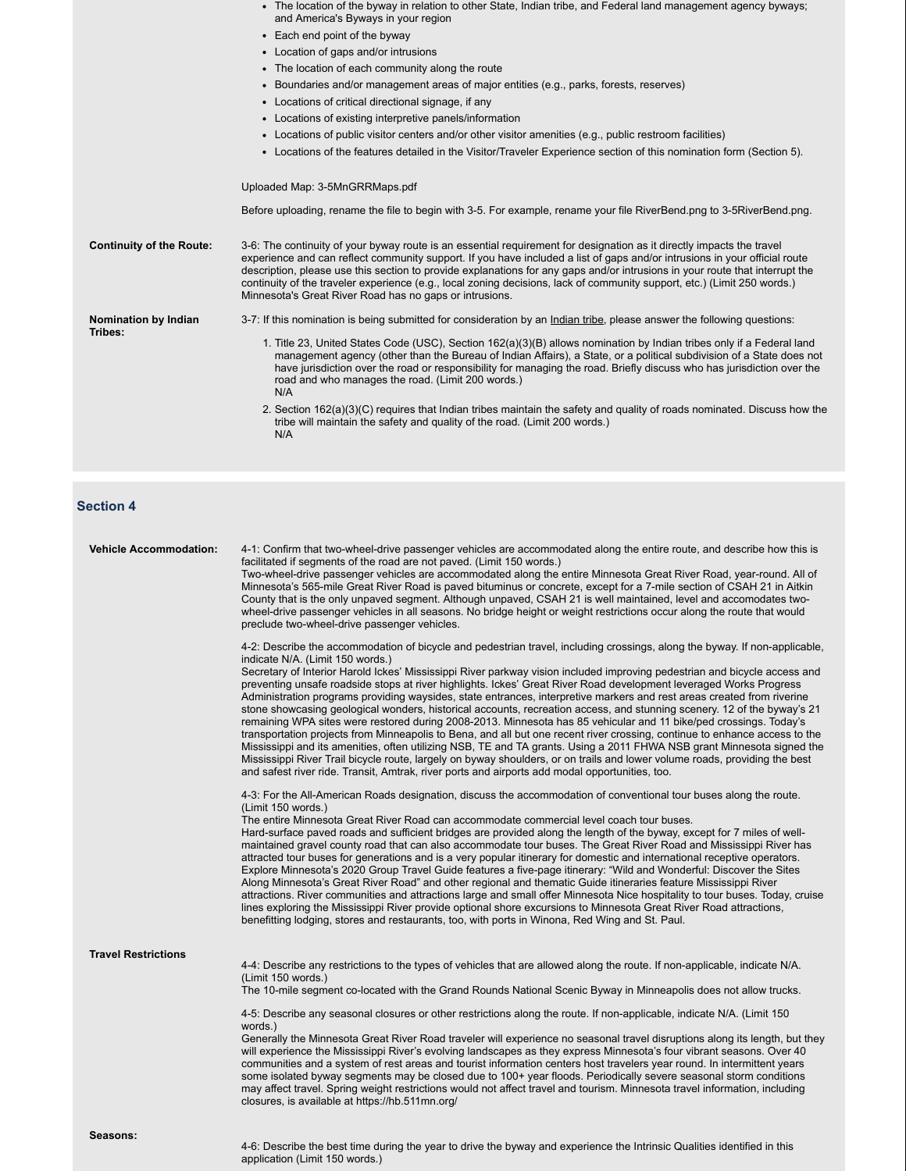|                                 | • The location of the byway in relation to other State, Indian tribe, and Federal land management agency byways;<br>and America's Byways in your region                                                                                                                                                                                                                                                                                                                                                                                                                    |
|---------------------------------|----------------------------------------------------------------------------------------------------------------------------------------------------------------------------------------------------------------------------------------------------------------------------------------------------------------------------------------------------------------------------------------------------------------------------------------------------------------------------------------------------------------------------------------------------------------------------|
|                                 | • Each end point of the byway                                                                                                                                                                                                                                                                                                                                                                                                                                                                                                                                              |
|                                 | • Location of gaps and/or intrusions                                                                                                                                                                                                                                                                                                                                                                                                                                                                                                                                       |
|                                 | • The location of each community along the route                                                                                                                                                                                                                                                                                                                                                                                                                                                                                                                           |
|                                 | • Boundaries and/or management areas of major entities (e.g., parks, forests, reserves)                                                                                                                                                                                                                                                                                                                                                                                                                                                                                    |
|                                 | • Locations of critical directional signage, if any                                                                                                                                                                                                                                                                                                                                                                                                                                                                                                                        |
|                                 | • Locations of existing interpretive panels/information                                                                                                                                                                                                                                                                                                                                                                                                                                                                                                                    |
|                                 | • Locations of public visitor centers and/or other visitor amenities (e.g., public restroom facilities)                                                                                                                                                                                                                                                                                                                                                                                                                                                                    |
|                                 | • Locations of the features detailed in the Visitor/Traveler Experience section of this nomination form (Section 5).                                                                                                                                                                                                                                                                                                                                                                                                                                                       |
|                                 | Uploaded Map: 3-5MnGRRMaps.pdf                                                                                                                                                                                                                                                                                                                                                                                                                                                                                                                                             |
|                                 | Before uploading, rename the file to begin with 3-5. For example, rename your file RiverBend.png to 3-5RiverBend.png.                                                                                                                                                                                                                                                                                                                                                                                                                                                      |
| <b>Continuity of the Route:</b> | 3-6: The continuity of your byway route is an essential requirement for designation as it directly impacts the travel<br>experience and can reflect community support. If you have included a list of gaps and/or intrusions in your official route<br>description, please use this section to provide explanations for any gaps and/or intrusions in your route that interrupt the<br>continuity of the traveler experience (e.g., local zoning decisions, lack of community support, etc.) (Limit 250 words.)<br>Minnesota's Great River Road has no gaps or intrusions. |
| Nomination by Indian            | 3-7: If this nomination is being submitted for consideration by an Indian tribe, please answer the following questions:                                                                                                                                                                                                                                                                                                                                                                                                                                                    |
| Tribes:                         | 1. Title 23, United States Code (USC), Section 162(a)(3)(B) allows nomination by Indian tribes only if a Federal land<br>management agency (other than the Bureau of Indian Affairs), a State, or a political subdivision of a State does not<br>have jurisdiction over the road or responsibility for managing the road. Briefly discuss who has jurisdiction over the<br>road and who manages the road. (Limit 200 words.)<br>N/A                                                                                                                                        |
|                                 | 2. Section 162(a)(3)(C) requires that Indian tribes maintain the safety and quality of roads nominated. Discuss how the<br>tribe will maintain the safety and quality of the road. (Limit 200 words.)<br>N/A                                                                                                                                                                                                                                                                                                                                                               |
|                                 |                                                                                                                                                                                                                                                                                                                                                                                                                                                                                                                                                                            |

# **Section 4**

| <b>Vehicle Accommodation:</b> | 4-1: Confirm that two-wheel-drive passenger vehicles are accommodated along the entire route, and describe how this is<br>facilitated if segments of the road are not paved. (Limit 150 words.)<br>Two-wheel-drive passenger vehicles are accommodated along the entire Minnesota Great River Road, year-round. All of<br>Minnesota's 565-mile Great River Road is paved bituminus or concrete, except for a 7-mile section of CSAH 21 in Aitkin<br>County that is the only unpaved segment. Although unpaved, CSAH 21 is well maintained, level and accomodates two-<br>wheel-drive passenger vehicles in all seasons. No bridge height or weight restrictions occur along the route that would<br>preclude two-wheel-drive passenger vehicles.                                                                                                                                                                                                                                                                                                                                                                                                                                                                                                                                    |
|-------------------------------|-------------------------------------------------------------------------------------------------------------------------------------------------------------------------------------------------------------------------------------------------------------------------------------------------------------------------------------------------------------------------------------------------------------------------------------------------------------------------------------------------------------------------------------------------------------------------------------------------------------------------------------------------------------------------------------------------------------------------------------------------------------------------------------------------------------------------------------------------------------------------------------------------------------------------------------------------------------------------------------------------------------------------------------------------------------------------------------------------------------------------------------------------------------------------------------------------------------------------------------------------------------------------------------|
|                               | 4-2: Describe the accommodation of bicycle and pedestrian travel, including crossings, along the byway. If non-applicable,<br>indicate N/A. (Limit 150 words.)<br>Secretary of Interior Harold Ickes' Mississippi River parkway vision included improving pedestrian and bicycle access and<br>preventing unsafe roadside stops at river highlights. Ickes' Great River Road development leveraged Works Progress<br>Administration programs providing waysides, state entrances, interpretive markers and rest areas created from riverine<br>stone showcasing geological wonders, historical accounts, recreation access, and stunning scenery. 12 of the byway's 21<br>remaining WPA sites were restored during 2008-2013. Minnesota has 85 vehicular and 11 bike/ped crossings. Today's<br>transportation projects from Minneapolis to Bena, and all but one recent river crossing, continue to enhance access to the<br>Mississippi and its amenities, often utilizing NSB, TE and TA grants. Using a 2011 FHWA NSB grant Minnesota signed the<br>Mississippi River Trail bicycle route, largely on byway shoulders, or on trails and lower volume roads, providing the best<br>and safest river ride. Transit, Amtrak, river ports and airports add modal opportunities, too. |
|                               | 4-3: For the All-American Roads designation, discuss the accommodation of conventional tour buses along the route.<br>(Limit 150 words.)<br>The entire Minnesota Great River Road can accommodate commercial level coach tour buses.<br>Hard-surface paved roads and sufficient bridges are provided along the length of the byway, except for 7 miles of well-<br>maintained gravel county road that can also accommodate tour buses. The Great River Road and Mississippi River has<br>attracted tour buses for generations and is a very popular itinerary for domestic and international receptive operators.<br>Explore Minnesota's 2020 Group Travel Guide features a five-page itinerary: "Wild and Wonderful: Discover the Sites<br>Along Minnesota's Great River Road" and other regional and thematic Guide itineraries feature Mississippi River<br>attractions. River communities and attractions large and small offer Minnesota Nice hospitality to tour buses. Today, cruise<br>lines exploring the Mississippi River provide optional shore excursions to Minnesota Great River Road attractions,<br>benefitting lodging, stores and restaurants, too, with ports in Winona, Red Wing and St. Paul.                                                                 |
| <b>Travel Restrictions</b>    | 4-4: Describe any restrictions to the types of vehicles that are allowed along the route. If non-applicable, indicate N/A.<br>(Limit 150 words.)<br>The 10-mile segment co-located with the Grand Rounds National Scenic Byway in Minneapolis does not allow trucks.                                                                                                                                                                                                                                                                                                                                                                                                                                                                                                                                                                                                                                                                                                                                                                                                                                                                                                                                                                                                                |
|                               | 4-5: Describe any seasonal closures or other restrictions along the route. If non-applicable, indicate N/A. (Limit 150<br>words.)<br>Generally the Minnesota Great River Road traveler will experience no seasonal travel disruptions along its length, but they<br>will experience the Mississippi River's evolving landscapes as they express Minnesota's four vibrant seasons. Over 40<br>communities and a system of rest areas and tourist information centers host travelers year round. In intermittent years<br>some isolated byway segments may be closed due to 100+ year floods. Periodically severe seasonal storm conditions<br>may affect travel. Spring weight restrictions would not affect travel and tourism. Minnesota travel information, including<br>closures, is available at https://hb.511mn.org/                                                                                                                                                                                                                                                                                                                                                                                                                                                          |
| Seasons:                      |                                                                                                                                                                                                                                                                                                                                                                                                                                                                                                                                                                                                                                                                                                                                                                                                                                                                                                                                                                                                                                                                                                                                                                                                                                                                                     |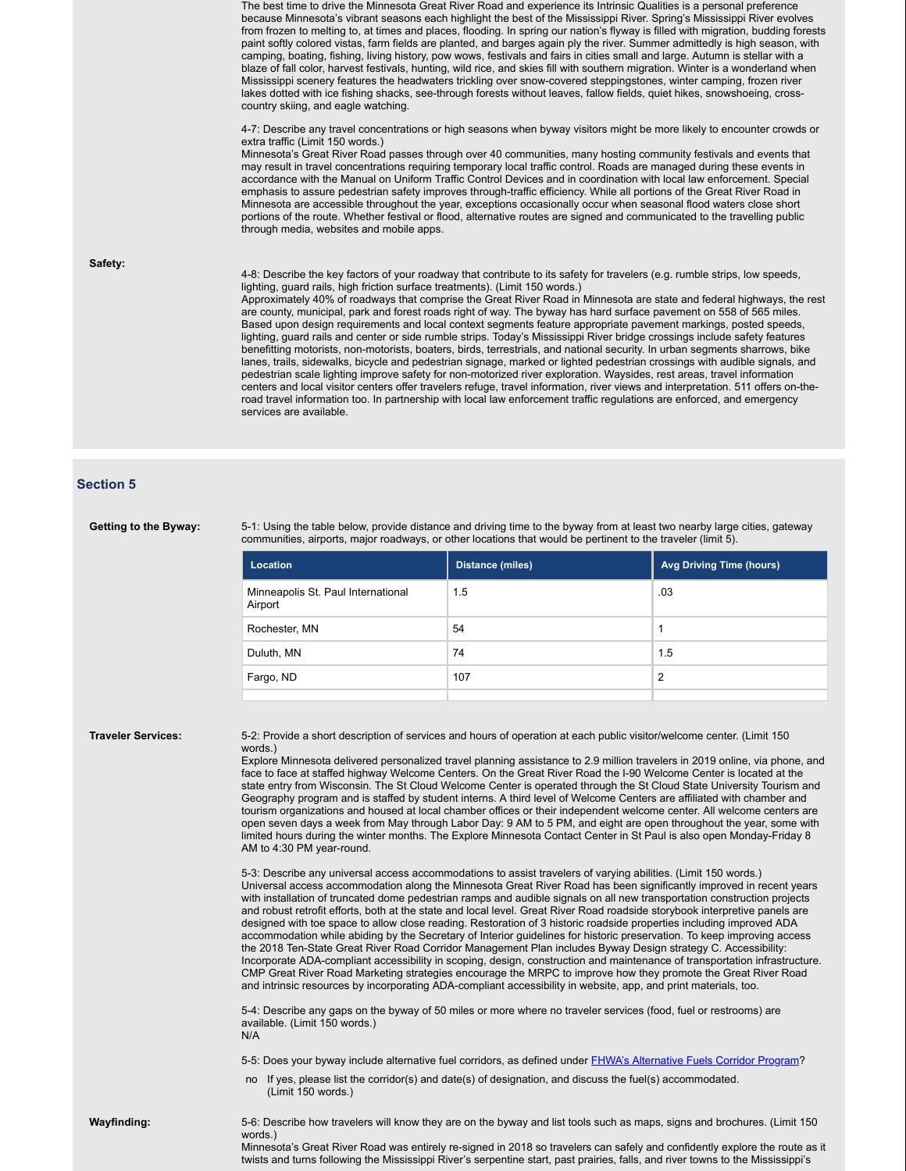The best time to drive the Minnesota Great River Road and experience its Intrinsic Qualities is a personal preference because Minnesota's vibrant seasons each highlight the best of the Mississippi River. Spring's Mississippi River evolves from frozen to melting to, at times and places, flooding. In spring our nation's flyway is filled with migration, budding forests paint softly colored vistas, farm fields are planted, and barges again ply the river. Summer admittedly is high season, with camping, boating, fishing, living history, pow wows, festivals and fairs in cities small and large. Autumn is stellar with a blaze of fall color, harvest festivals, hunting, wild rice, and skies fill with southern migration. Winter is a wonderland when Mississippi scenery features the headwaters trickling over snow-covered steppingstones, winter camping, frozen river lakes dotted with ice fishing shacks, see-through forests without leaves, fallow fields, quiet hikes, snowshoeing, crosscountry skiing, and eagle watching.

4-7: Describe any travel concentrations or high seasons when byway visitors might be more likely to encounter crowds or extra traffic (Limit 150 words.)

Minnesota's Great River Road passes through over 40 communities, many hosting community festivals and events that may result in travel concentrations requiring temporary local traffic control. Roads are managed during these events in accordance with the Manual on Uniform Traffic Control Devices and in coordination with local law enforcement. Special emphasis to assure pedestrian safety improves through-traffic efficiency. While all portions of the Great River Road in Minnesota are accessible throughout the year, exceptions occasionally occur when seasonal flood waters close short portions of the route. Whether festival or flood, alternative routes are signed and communicated to the travelling public through media, websites and mobile apps.

### **Safety:**

4-8: Describe the key factors of your roadway that contribute to its safety for travelers (e.g. rumble strips, low speeds, lighting, guard rails, high friction surface treatments). (Limit 150 words.)

Approximately 40% of roadways that comprise the Great River Road in Minnesota are state and federal highways, the rest are county, municipal, park and forest roads right of way. The byway has hard surface pavement on 558 of 565 miles. Based upon design requirements and local context segments feature appropriate pavement markings, posted speeds, lighting, guard rails and center or side rumble strips. Today's Mississippi River bridge crossings include safety features benefitting motorists, non-motorists, boaters, birds, terrestrials, and national security. In urban segments sharrows, bike lanes, trails, sidewalks, bicycle and pedestrian signage, marked or lighted pedestrian crossings with audible signals, and pedestrian scale lighting improve safety for non-motorized river exploration. Waysides, rest areas, travel information centers and local visitor centers offer travelers refuge, travel information, river views and interpretation. 511 offers on-theroad travel information too. In partnership with local law enforcement traffic regulations are enforced, and emergency services are available.

### **Section 5**

Getting to the Byway: 5-1: Using the table below, provide distance and driving time to the byway from at least two nearby large cities, gateway communities, airports, major roadways, or other locations that would be pertinent to the traveler (limit 5).

| Location                                      | Distance (miles) | <b>Avg Driving Time (hours)</b> |
|-----------------------------------------------|------------------|---------------------------------|
| Minneapolis St. Paul International<br>Airport | 1.5              | .03                             |
| Rochester, MN                                 | 54               |                                 |
| Duluth, MN                                    | 74               | 1.5                             |
| Fargo, ND                                     | 107              | $\overline{2}$                  |
|                                               |                  |                                 |

**Traveler Services:** 5-2: Provide a short description of services and hours of operation at each public visitor/welcome center. (Limit 150 words.)

> Explore Minnesota delivered personalized travel planning assistance to 2.9 million travelers in 2019 online, via phone, and face to face at staffed highway Welcome Centers. On the Great River Road the I-90 Welcome Center is located at the state entry from Wisconsin. The St Cloud Welcome Center is operated through the St Cloud State University Tourism and Geography program and is staffed by student interns. A third level of Welcome Centers are affiliated with chamber and tourism organizations and housed at local chamber offices or their independent welcome center. All welcome centers are open seven days a week from May through Labor Day: 9 AM to 5 PM, and eight are open throughout the year, some with limited hours during the winter months. The Explore Minnesota Contact Center in St Paul is also open Monday-Friday 8 AM to 4:30 PM year-round.

> 5-3: Describe any universal access accommodations to assist travelers of varying abilities. (Limit 150 words.) Universal access accommodation along the Minnesota Great River Road has been significantly improved in recent years with installation of truncated dome pedestrian ramps and audible signals on all new transportation construction projects and robust retrofit efforts, both at the state and local level. Great River Road roadside storybook interpretive panels are designed with toe space to allow close reading. Restoration of 3 historic roadside properties including improved ADA accommodation while abiding by the Secretary of Interior guidelines for historic preservation. To keep improving access the 2018 Ten-State Great River Road Corridor Management Plan includes Byway Design strategy C. Accessibility: Incorporate ADA-compliant accessibility in scoping, design, construction and maintenance of transportation infrastructure. CMP Great River Road Marketing strategies encourage the MRPC to improve how they promote the Great River Road and intrinsic resources by incorporating ADA-compliant accessibility in website, app, and print materials, too.

5-4: Describe any gaps on the byway of 50 miles or more where no traveler services (food, fuel or restrooms) are available. (Limit 150 words.) N/A

5-5: Does your byway include alternative fuel corridors, as defined under **FHWA's Alternative Fuels Corridor Program?** 

no If yes, please list the corridor(s) and date(s) of designation, and discuss the fuel(s) accommodated. (Limit 150 words.)

**Wayfinding:** 5-6: Describe how travelers will know they are on the byway and list tools such as maps, signs and brochures. (Limit 150 words.)

Minnesota's Great River Road was entirely re-signed in 2018 so travelers can safely and confidently explore the route as it twists and turns following the Mississippi River's serpentine start, past prairies, falls, and river towns to the Mississippi's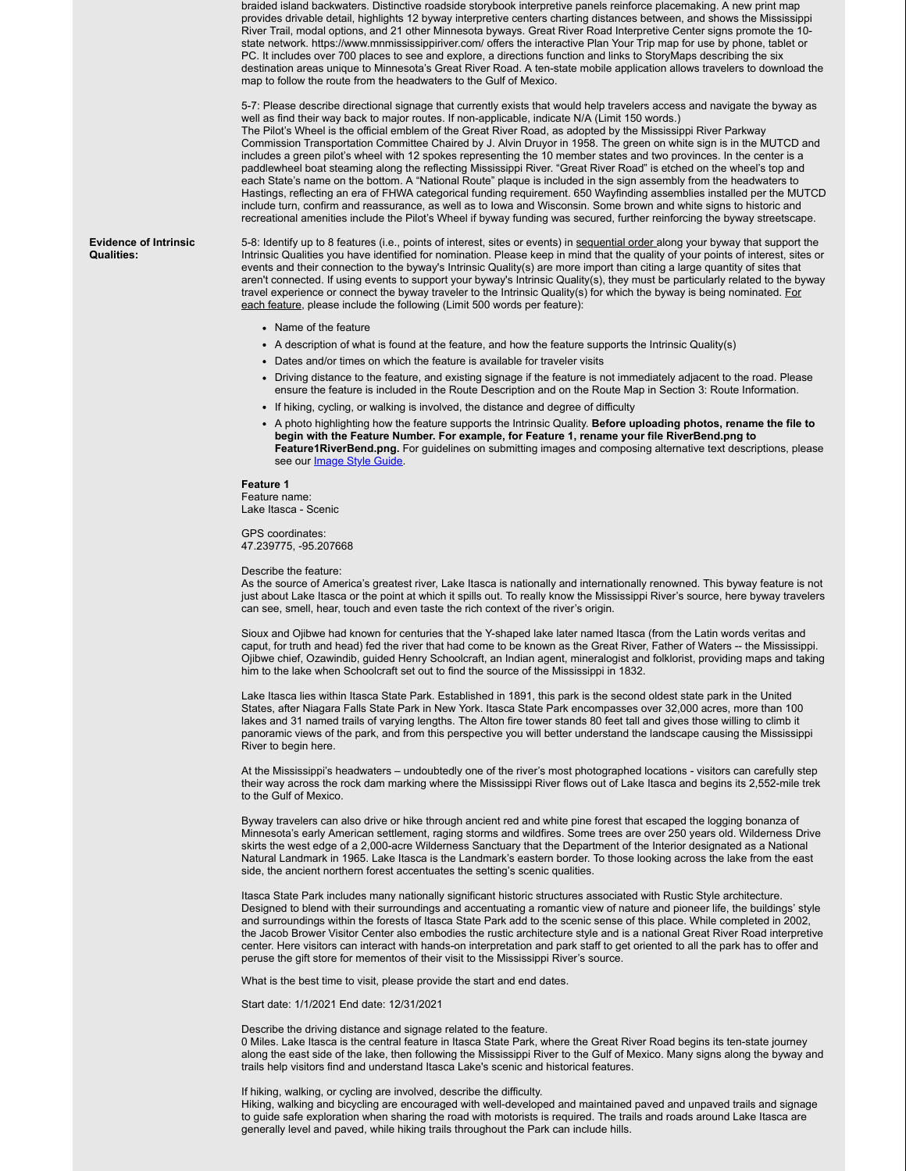braided island backwaters. Distinctive roadside storybook interpretive panels reinforce placemaking. A new print map provides drivable detail, highlights 12 byway interpretive centers charting distances between, and shows the Mississippi River Trail, modal options, and 21 other Minnesota byways. Great River Road Interpretive Center signs promote the 10 state network. https://www.mnmississippiriver.com/ offers the interactive Plan Your Trip map for use by phone, tablet or PC. It includes over 700 places to see and explore, a directions function and links to StoryMaps describing the six destination areas unique to Minnesota's Great River Road. A ten-state mobile application allows travelers to download the map to follow the route from the headwaters to the Gulf of Mexico.

5-7: Please describe directional signage that currently exists that would help travelers access and navigate the byway as well as find their way back to major routes. If non-applicable, indicate N/A (Limit 150 words.) The Pilot's Wheel is the official emblem of the Great River Road, as adopted by the Mississippi River Parkway Commission Transportation Committee Chaired by J. Alvin Druyor in 1958. The green on white sign is in the MUTCD and includes a green pilot's wheel with 12 spokes representing the 10 member states and two provinces. In the center is a paddlewheel boat steaming along the reflecting Mississippi River. "Great River Road" is etched on the wheel's top and each State's name on the bottom. A "National Route" plaque is included in the sign assembly from the headwaters to Hastings, reflecting an era of FHWA categorical funding requirement. 650 Wayfinding assemblies installed per the MUTCD include turn, confirm and reassurance, as well as to Iowa and Wisconsin. Some brown and white signs to historic and recreational amenities include the Pilot's Wheel if byway funding was secured, further reinforcing the byway streetscape.

**Evidence of Intrinsic Qualities:**

5-8: Identify up to 8 features (i.e., points of interest, sites or events) in sequential order along your byway that support the Intrinsic Qualities you have identified for nomination. Please keep in mind that the quality of your points of interest, sites or events and their connection to the byway's Intrinsic Quality(s) are more import than citing a large quantity of sites that aren't connected. If using events to support your byway's Intrinsic Quality(s), they must be particularly related to the byway travel experience or connect the byway traveler to the Intrinsic Quality(s) for which the byway is being nominated. For each feature, please include the following (Limit 500 words per feature):

- Name of the feature
- A description of what is found at the feature, and how the feature supports the Intrinsic Quality(s)
- Dates and/or times on which the feature is available for traveler visits
- Driving distance to the feature, and existing signage if the feature is not immediately adjacent to the road. Please ensure the feature is included in the Route Description and on the Route Map in Section 3: Route Information.
- If hiking, cycling, or walking is involved, the distance and degree of difficulty
- A photo highlighting how the feature supports the Intrinsic Quality. **Before uploading photos, rename the file to begin with the Feature Number. For example, for Feature 1, rename your file RiverBend.png to Feature1RiverBend.png.** For guidelines on submitting images and composing alternative text descriptions, please see our **Image Style Guide**.

### **Feature 1**

Feature name: Lake Itasca - Scenic

GPS coordinates: 47.239775, -95.207668

Describe the feature:

As the source of America's greatest river, Lake Itasca is nationally and internationally renowned. This byway feature is not just about Lake Itasca or the point at which it spills out. To really know the Mississippi River's source, here byway travelers can see, smell, hear, touch and even taste the rich context of the river's origin.

Sioux and Ojibwe had known for centuries that the Y-shaped lake later named Itasca (from the Latin words veritas and caput, for truth and head) fed the river that had come to be known as the Great River, Father of Waters -- the Mississippi. Ojibwe chief, Ozawindib, guided Henry Schoolcraft, an Indian agent, mineralogist and folklorist, providing maps and taking him to the lake when Schoolcraft set out to find the source of the Mississippi in 1832.

Lake Itasca lies within Itasca State Park. Established in 1891, this park is the second oldest state park in the United States, after Niagara Falls State Park in New York. Itasca State Park encompasses over 32,000 acres, more than 100 lakes and 31 named trails of varying lengths. The Alton fire tower stands 80 feet tall and gives those willing to climb it panoramic views of the park, and from this perspective you will better understand the landscape causing the Mississippi River to begin here.

At the Mississippi's headwaters – undoubtedly one of the river's most photographed locations - visitors can carefully step their way across the rock dam marking where the Mississippi River flows out of Lake Itasca and begins its 2,552-mile trek to the Gulf of Mexico.

Byway travelers can also drive or hike through ancient red and white pine forest that escaped the logging bonanza of Minnesota's early American settlement, raging storms and wildfires. Some trees are over 250 years old. Wilderness Drive skirts the west edge of a 2,000-acre Wilderness Sanctuary that the Department of the Interior designated as a National Natural Landmark in 1965. Lake Itasca is the Landmark's eastern border. To those looking across the lake from the east side, the ancient northern forest accentuates the setting's scenic qualities.

Itasca State Park includes many nationally significant historic structures associated with Rustic Style architecture. Designed to blend with their surroundings and accentuating a romantic view of nature and pioneer life, the buildings' style and surroundings within the forests of Itasca State Park add to the scenic sense of this place. While completed in 2002, the Jacob Brower Visitor Center also embodies the rustic architecture style and is a national Great River Road interpretive center. Here visitors can interact with hands-on interpretation and park staff to get oriented to all the park has to offer and peruse the gift store for mementos of their visit to the Mississippi River's source.

What is the best time to visit, please provide the start and end dates.

Start date: 1/1/2021 End date: 12/31/2021

Describe the driving distance and signage related to the feature.

0 Miles. Lake Itasca is the central feature in Itasca State Park, where the Great River Road begins its ten-state journey along the east side of the lake, then following the Mississippi River to the Gulf of Mexico. Many signs along the byway and trails help visitors find and understand Itasca Lake's scenic and historical features.

If hiking, walking, or cycling are involved, describe the difficulty.

Hiking, walking and bicycling are encouraged with well-developed and maintained paved and unpaved trails and signage to guide safe exploration when sharing the road with motorists is required. The trails and roads around Lake Itasca are generally level and paved, while hiking trails throughout the Park can include hills.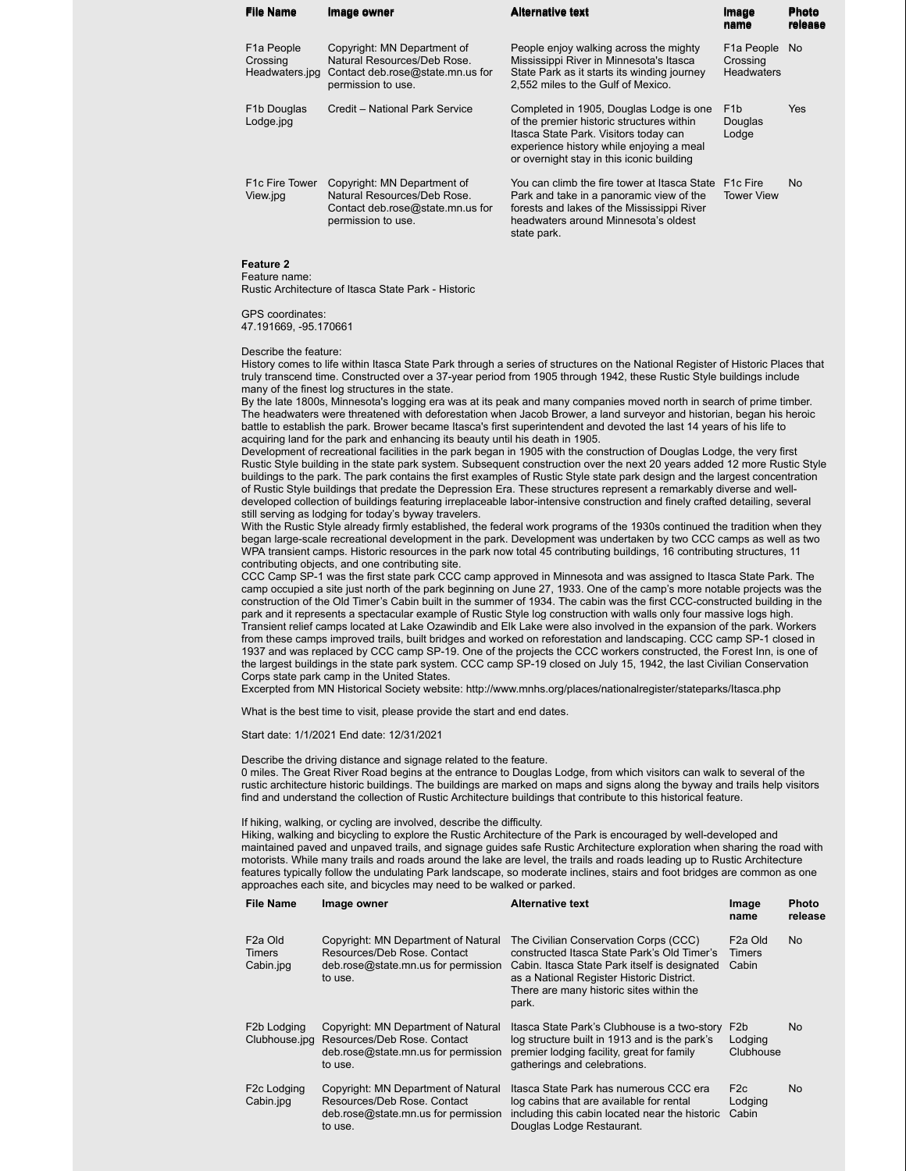| <b>File Name</b>                                      | Image owner                                                                                                          | <b>Alternative text</b>                                                                                                                                                                                                | Image<br>name                                               | <b>Photo</b><br>release |
|-------------------------------------------------------|----------------------------------------------------------------------------------------------------------------------|------------------------------------------------------------------------------------------------------------------------------------------------------------------------------------------------------------------------|-------------------------------------------------------------|-------------------------|
| F <sub>1</sub> a People<br>Crossing<br>Headwaters.jpg | Copyright: MN Department of<br>Natural Resources/Deb Rose.<br>Contact deb.rose@state.mn.us for<br>permission to use. | People enjoy walking across the mighty<br>Mississippi River in Minnesota's Itasca<br>State Park as it starts its winding journey<br>2,552 miles to the Gulf of Mexico.                                                 | F <sub>1</sub> a People No<br>Crossing<br><b>Headwaters</b> |                         |
| F <sub>1</sub> b Douglas<br>Lodge.jpg                 | Credit - National Park Service                                                                                       | Completed in 1905, Douglas Lodge is one<br>of the premier historic structures within<br>Itasca State Park. Visitors today can<br>experience history while enjoying a meal<br>or overnight stay in this iconic building | F <sub>1</sub> b<br>Douglas<br>Lodge                        | <b>Yes</b>              |
| F <sub>1</sub> c Fire Tower<br>View.jpg               | Copyright: MN Department of<br>Natural Resources/Deb Rose.<br>Contact deb.rose@state.mn.us for<br>permission to use. | You can climb the fire tower at Itasca State<br>Park and take in a panoramic view of the<br>forests and lakes of the Mississippi River<br>headwaters around Minnesota's oldest<br>state park.                          | F <sub>1</sub> c Fire<br><b>Tower View</b>                  | No.                     |

### **Feature 2**

Feature name:

Rustic Architecture of Itasca State Park - Historic

GPS coordinates:

47.191669, -95.170661

### Describe the feature:

History comes to life within Itasca State Park through a series of structures on the National Register of Historic Places that truly transcend time. Constructed over a 37-year period from 1905 through 1942, these Rustic Style buildings include many of the finest log structures in the state.

By the late 1800s, Minnesota's logging era was at its peak and many companies moved north in search of prime timber. The headwaters were threatened with deforestation when Jacob Brower, a land surveyor and historian, began his heroic battle to establish the park. Brower became Itasca's first superintendent and devoted the last 14 years of his life to acquiring land for the park and enhancing its beauty until his death in 1905.

Development of recreational facilities in the park began in 1905 with the construction of Douglas Lodge, the very first Rustic Style building in the state park system. Subsequent construction over the next 20 years added 12 more Rustic Style buildings to the park. The park contains the first examples of Rustic Style state park design and the largest concentration of Rustic Style buildings that predate the Depression Era. These structures represent a remarkably diverse and welldeveloped collection of buildings featuring irreplaceable labor-intensive construction and finely crafted detailing, several still serving as lodging for today's byway travelers.

With the Rustic Style already firmly established, the federal work programs of the 1930s continued the tradition when they began large-scale recreational development in the park. Development was undertaken by two CCC camps as well as two WPA transient camps. Historic resources in the park now total 45 contributing buildings, 16 contributing structures, 11 contributing objects, and one contributing site.

CCC Camp SP-1 was the first state park CCC camp approved in Minnesota and was assigned to Itasca State Park. The camp occupied a site just north of the park beginning on June 27, 1933. One of the camp's more notable projects was the construction of the Old Timer's Cabin built in the summer of 1934. The cabin was the first CCC-constructed building in the park and it represents a spectacular example of Rustic Style log construction with walls only four massive logs high. Transient relief camps located at Lake Ozawindib and Elk Lake were also involved in the expansion of the park. Workers from these camps improved trails, built bridges and worked on reforestation and landscaping. CCC camp SP-1 closed in 1937 and was replaced by CCC camp SP-19. One of the projects the CCC workers constructed, the Forest Inn, is one of the largest buildings in the state park system. CCC camp SP-19 closed on July 15, 1942, the last Civilian Conservation Corps state park camp in the United States.

Excerpted from MN Historical Society website: http://www.mnhs.org/places/nationalregister/stateparks/Itasca.php

What is the best time to visit, please provide the start and end dates.

## Start date: 1/1/2021 End date: 12/31/2021

Describe the driving distance and signage related to the feature.

0 miles. The Great River Road begins at the entrance to Douglas Lodge, from which visitors can walk to several of the rustic architecture historic buildings. The buildings are marked on maps and signs along the byway and trails help visitors find and understand the collection of Rustic Architecture buildings that contribute to this historical feature.

### If hiking, walking, or cycling are involved, describe the difficulty.

Hiking, walking and bicycling to explore the Rustic Architecture of the Park is encouraged by well-developed and maintained paved and unpaved trails, and signage guides safe Rustic Architecture exploration when sharing the road with motorists. While many trails and roads around the lake are level, the trails and roads leading up to Rustic Architecture features typically follow the undulating Park landscape, so moderate inclines, stairs and foot bridges are common as one approaches each site, and bicycles may need to be walked or parked.

| <b>File Name</b>                                   | Image owner                                                                                                          | <b>Alternative text</b>                                                                                                                                                                                                                 | Image<br>name                            | Photo<br>release |
|----------------------------------------------------|----------------------------------------------------------------------------------------------------------------------|-----------------------------------------------------------------------------------------------------------------------------------------------------------------------------------------------------------------------------------------|------------------------------------------|------------------|
| F <sub>2</sub> a Old<br><b>Timers</b><br>Cabin.jpg | Copyright: MN Department of Natural<br>Resources/Deb Rose, Contact<br>deb.rose@state.mn.us for permission<br>to use. | The Civilian Conservation Corps (CCC)<br>constructed Itasca State Park's Old Timer's<br>Cabin. Itasca State Park itself is designated<br>as a National Register Historic District.<br>There are many historic sites within the<br>park. | F <sub>2</sub> a Old<br>Timers<br>Cabin  | <b>No</b>        |
| F <sub>2</sub> b Lodging<br>Clubhouse.jpg          | Copyright: MN Department of Natural<br>Resources/Deb Rose, Contact<br>deb.rose@state.mn.us for permission<br>to use. | Itasca State Park's Clubhouse is a two-story<br>log structure built in 1913 and is the park's<br>premier lodging facility, great for family<br>gatherings and celebrations.                                                             | F <sub>2</sub> b<br>Lodging<br>Clubhouse | No.              |
| F <sub>2</sub> c Lodging<br>Cabin.jpg              | Copyright: MN Department of Natural<br>Resources/Deb Rose, Contact<br>deb.rose@state.mn.us for permission<br>to use. | Itasca State Park has numerous CCC era<br>log cabins that are available for rental<br>including this cabin located near the historic<br>Douglas Lodge Restaurant.                                                                       | F <sub>2c</sub><br>Lodging<br>Cabin      | No.              |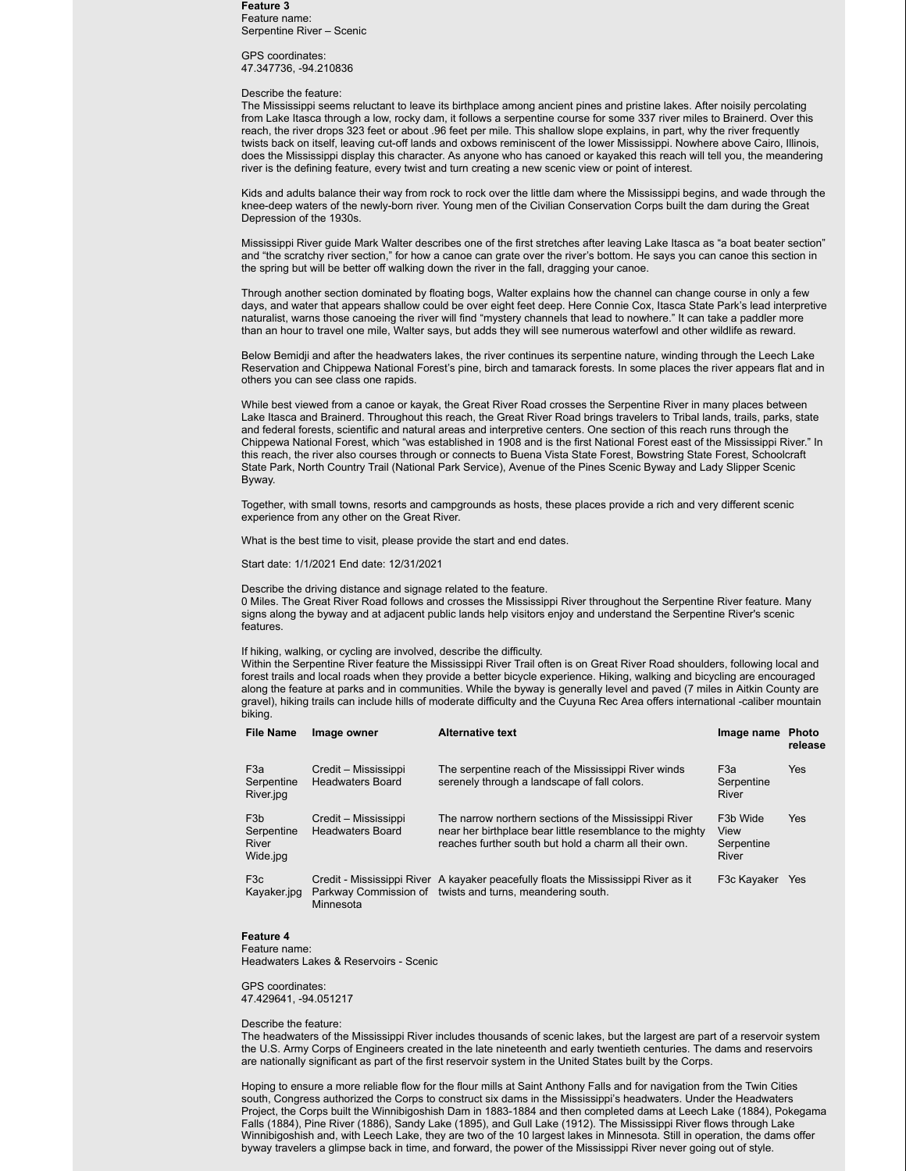### **Feature 3** Feature name: Serpentine River – Scenic

GPS coordinates: 47.347736, -94.210836

### Describe the feature:

The Mississippi seems reluctant to leave its birthplace among ancient pines and pristine lakes. After noisily percolating from Lake Itasca through a low, rocky dam, it follows a serpentine course for some 337 river miles to Brainerd. Over this reach, the river drops 323 feet or about .96 feet per mile. This shallow slope explains, in part, why the river frequently twists back on itself, leaving cut-off lands and oxbows reminiscent of the lower Mississippi. Nowhere above Cairo, Illinois, does the Mississippi display this character. As anyone who has canoed or kayaked this reach will tell you, the meandering river is the defining feature, every twist and turn creating a new scenic view or point of interest.

Kids and adults balance their way from rock to rock over the little dam where the Mississippi begins, and wade through the knee-deep waters of the newly-born river. Young men of the Civilian Conservation Corps built the dam during the Great Depression of the 1930s.

Mississippi River guide Mark Walter describes one of the first stretches after leaving Lake Itasca as "a boat beater section" and "the scratchy river section," for how a canoe can grate over the river's bottom. He says you can canoe this section in the spring but will be better off walking down the river in the fall, dragging your canoe.

Through another section dominated by floating bogs, Walter explains how the channel can change course in only a few days, and water that appears shallow could be over eight feet deep. Here Connie Cox, Itasca State Park's lead interpretive naturalist, warns those canoeing the river will find "mystery channels that lead to nowhere." It can take a paddler more than an hour to travel one mile, Walter says, but adds they will see numerous waterfowl and other wildlife as reward.

Below Bemidji and after the headwaters lakes, the river continues its serpentine nature, winding through the Leech Lake Reservation and Chippewa National Forest's pine, birch and tamarack forests. In some places the river appears flat and in others you can see class one rapids.

While best viewed from a canoe or kayak, the Great River Road crosses the Serpentine River in many places between Lake Itasca and Brainerd. Throughout this reach, the Great River Road brings travelers to Tribal lands, trails, parks, state and federal forests, scientific and natural areas and interpretive centers. One section of this reach runs through the Chippewa National Forest, which "was established in 1908 and is the first National Forest east of the Mississippi River." In this reach, the river also courses through or connects to Buena Vista State Forest, Bowstring State Forest, Schoolcraft State Park, North Country Trail (National Park Service), Avenue of the Pines Scenic Byway and Lady Slipper Scenic Byway.

Together, with small towns, resorts and campgrounds as hosts, these places provide a rich and very different scenic experience from any other on the Great River.

What is the best time to visit, please provide the start and end dates.

Start date: 1/1/2021 End date: 12/31/2021

Describe the driving distance and signage related to the feature. 0 Miles. The Great River Road follows and crosses the Mississippi River throughout the Serpentine River feature. Many signs along the byway and at adjacent public lands help visitors enjoy and understand the Serpentine River's scenic features.

If hiking, walking, or cycling are involved, describe the difficulty.

Within the Serpentine River feature the Mississippi River Trail often is on Great River Road shoulders, following local and forest trails and local roads when they provide a better bicycle experience. Hiking, walking and bicycling are encouraged along the feature at parks and in communities. While the byway is generally level and paved (7 miles in Aitkin County are gravel), hiking trails can include hills of moderate difficulty and the Cuyuna Rec Area offers international -caliber mountain biking.

| <b>File Name</b>                                    | Image owner                                     | <b>Alternative text</b>                                                                                                                                                     | Image name Photo                                     | release    |
|-----------------------------------------------------|-------------------------------------------------|-----------------------------------------------------------------------------------------------------------------------------------------------------------------------------|------------------------------------------------------|------------|
| F <sub>3</sub> a<br>Serpentine<br>River.jpg         | Credit – Mississippi<br><b>Headwaters Board</b> | The serpentine reach of the Mississippi River winds<br>serenely through a landscape of fall colors.                                                                         | F <sub>3</sub> a<br>Serpentine<br>River              | <b>Yes</b> |
| F <sub>3</sub> b<br>Serpentine<br>River<br>Wide.jpg | Credit – Mississippi<br><b>Headwaters Board</b> | The narrow northern sections of the Mississippi River<br>near her birthplace bear little resemblance to the mighty<br>reaches further south but hold a charm all their own. | F <sub>3</sub> b Wide<br>View<br>Serpentine<br>River | <b>Yes</b> |
| F <sub>3</sub> c<br>Kayaker.jpg                     | Minnesota                                       | Credit - Mississippi River A kayaker peacefully floats the Mississippi River as it<br>Parkway Commission of twists and turns, meandering south.                             | F3c Kayaker                                          | <b>Yes</b> |

### **Feature 4**

Feature name: Headwaters Lakes & Reservoirs - Scenic

GPS coordinates: 47.429641, -94.051217

Describe the feature:

The headwaters of the Mississippi River includes thousands of scenic lakes, but the largest are part of a reservoir system the U.S. Army Corps of Engineers created in the late nineteenth and early twentieth centuries. The dams and reservoirs are nationally significant as part of the first reservoir system in the United States built by the Corps.

Hoping to ensure a more reliable flow for the flour mills at Saint Anthony Falls and for navigation from the Twin Cities south, Congress authorized the Corps to construct six dams in the Mississippi's headwaters. Under the Headwaters Project, the Corps built the Winnibigoshish Dam in 1883-1884 and then completed dams at Leech Lake (1884), Pokegama Falls (1884), Pine River (1886), Sandy Lake (1895), and Gull Lake (1912). The Mississippi River flows through Lake Winnibigoshish and, with Leech Lake, they are two of the 10 largest lakes in Minnesota. Still in operation, the dams offer byway travelers a glimpse back in time, and forward, the power of the Mississippi River never going out of style.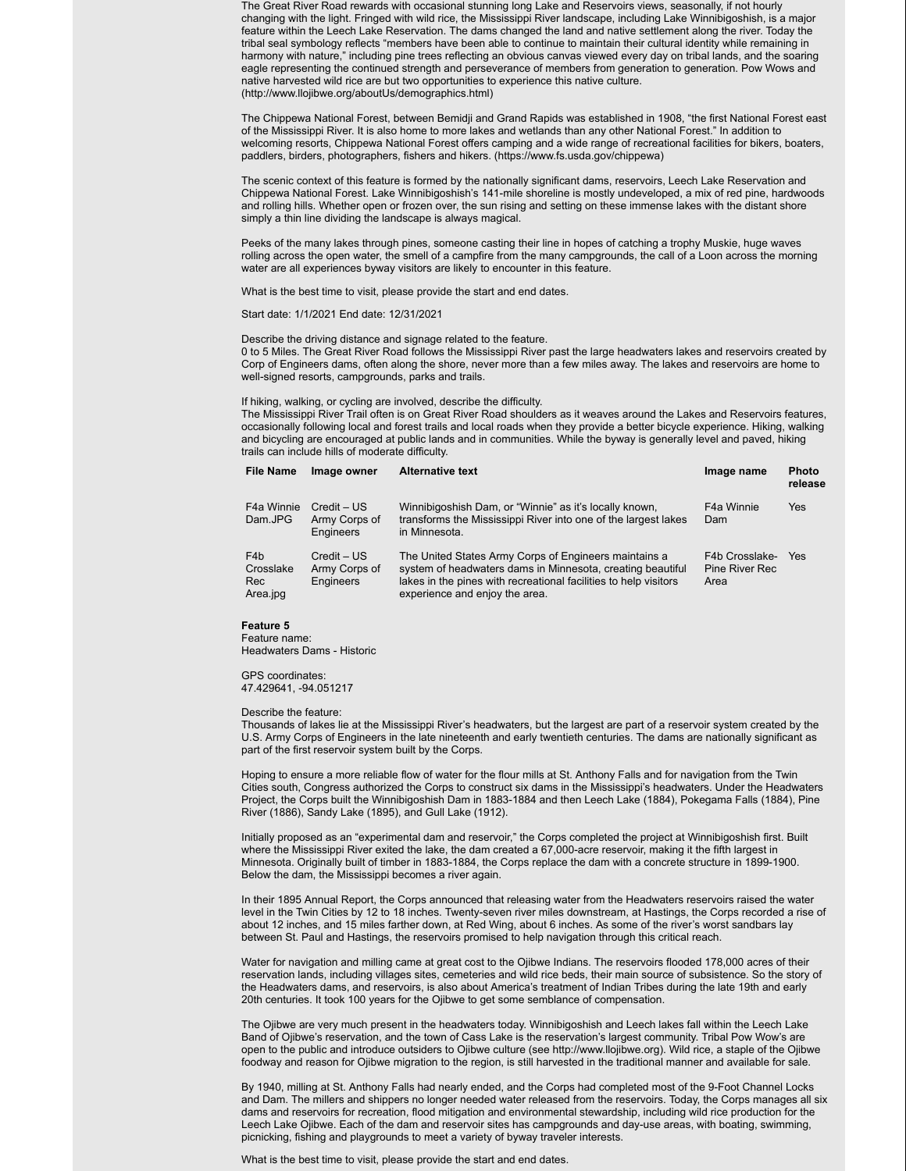The Great River Road rewards with occasional stunning long Lake and Reservoirs views, seasonally, if not hourly changing with the light. Fringed with wild rice, the Mississippi River landscape, including Lake Winnibigoshish, is a major feature within the Leech Lake Reservation. The dams changed the land and native settlement along the river. Today the tribal seal symbology reflects "members have been able to continue to maintain their cultural identity while remaining in harmony with nature," including pine trees reflecting an obvious canvas viewed every day on tribal lands, and the soaring eagle representing the continued strength and perseverance of members from generation to generation. Pow Wows and native harvested wild rice are but two opportunities to experience this native culture. (http://www.llojibwe.org/aboutUs/demographics.html)

The Chippewa National Forest, between Bemidji and Grand Rapids was established in 1908, "the first National Forest east of the Mississippi River. It is also home to more lakes and wetlands than any other National Forest." In addition to welcoming resorts, Chippewa National Forest offers camping and a wide range of recreational facilities for bikers, boaters, paddlers, birders, photographers, fishers and hikers. (https://www.fs.usda.gov/chippewa)

The scenic context of this feature is formed by the nationally significant dams, reservoirs, Leech Lake Reservation and Chippewa National Forest. Lake Winnibigoshish's 141-mile shoreline is mostly undeveloped, a mix of red pine, hardwoods and rolling hills. Whether open or frozen over, the sun rising and setting on these immense lakes with the distant shore simply a thin line dividing the landscape is always magical.

Peeks of the many lakes through pines, someone casting their line in hopes of catching a trophy Muskie, huge waves rolling across the open water, the smell of a campfire from the many campgrounds, the call of a Loon across the morning water are all experiences byway visitors are likely to encounter in this feature.

What is the best time to visit, please provide the start and end dates.

Start date: 1/1/2021 End date: 12/31/2021

Describe the driving distance and signage related to the feature.

0 to 5 Miles. The Great River Road follows the Mississippi River past the large headwaters lakes and reservoirs created by Corp of Engineers dams, often along the shore, never more than a few miles away. The lakes and reservoirs are home to well-signed resorts, campgrounds, parks and trails.

If hiking, walking, or cycling are involved, describe the difficulty.

The Mississippi River Trail often is on Great River Road shoulders as it weaves around the Lakes and Reservoirs features, occasionally following local and forest trails and local roads when they provide a better bicycle experience. Hiking, walking and bicycling are encouraged at public lands and in communities. While the byway is generally level and paved, hiking trails can include hills of moderate difficulty.

| <b>File Name</b>                                 | Image owner                                 | <b>Alternative text</b>                                                                                                                                                                                                   | Image name                               | <b>Photo</b><br>release |
|--------------------------------------------------|---------------------------------------------|---------------------------------------------------------------------------------------------------------------------------------------------------------------------------------------------------------------------------|------------------------------------------|-------------------------|
| F4a Winnie<br>Dam.JPG                            | $Credit - US$<br>Army Corps of<br>Engineers | Winnibigoshish Dam, or "Winnie" as it's locally known,<br>transforms the Mississippi River into one of the largest lakes<br>in Minnesota.                                                                                 | F4a Winnie<br>Dam                        | Yes                     |
| F <sub>4</sub> b<br>Crosslake<br>Rec<br>Area.jpg | Credit – US<br>Army Corps of<br>Engineers   | The United States Army Corps of Engineers maintains a<br>system of headwaters dams in Minnesota, creating beautiful<br>lakes in the pines with recreational facilities to help visitors<br>experience and enjoy the area. | F4b Crosslake-<br>Pine River Rec<br>Area | Yes                     |

### **Feature 5**

Feature name: Headwaters Dams - Historic

GPS coordinates: 47.429641, -94.051217

Describe the feature:

Thousands of lakes lie at the Mississippi River's headwaters, but the largest are part of a reservoir system created by the U.S. Army Corps of Engineers in the late nineteenth and early twentieth centuries. The dams are nationally significant as part of the first reservoir system built by the Corps.

Hoping to ensure a more reliable flow of water for the flour mills at St. Anthony Falls and for navigation from the Twin Cities south, Congress authorized the Corps to construct six dams in the Mississippi's headwaters. Under the Headwaters Project, the Corps built the Winnibigoshish Dam in 1883-1884 and then Leech Lake (1884), Pokegama Falls (1884), Pine River (1886), Sandy Lake (1895), and Gull Lake (1912).

Initially proposed as an "experimental dam and reservoir," the Corps completed the project at Winnibigoshish first. Built where the Mississippi River exited the lake, the dam created a 67,000-acre reservoir, making it the fifth largest in Minnesota. Originally built of timber in 1883-1884, the Corps replace the dam with a concrete structure in 1899-1900. Below the dam, the Mississippi becomes a river again.

In their 1895 Annual Report, the Corps announced that releasing water from the Headwaters reservoirs raised the water level in the Twin Cities by 12 to 18 inches. Twenty-seven river miles downstream, at Hastings, the Corps recorded a rise of about 12 inches, and 15 miles farther down, at Red Wing, about 6 inches. As some of the river's worst sandbars lay between St. Paul and Hastings, the reservoirs promised to help navigation through this critical reach.

Water for navigation and milling came at great cost to the Ojibwe Indians. The reservoirs flooded 178,000 acres of their reservation lands, including villages sites, cemeteries and wild rice beds, their main source of subsistence. So the story of the Headwaters dams, and reservoirs, is also about America's treatment of Indian Tribes during the late 19th and early 20th centuries. It took 100 years for the Ojibwe to get some semblance of compensation.

The Ojibwe are very much present in the headwaters today. Winnibigoshish and Leech lakes fall within the Leech Lake Band of Ojibwe's reservation, and the town of Cass Lake is the reservation's largest community. Tribal Pow Wow's are open to the public and introduce outsiders to Ojibwe culture (see http://www.llojibwe.org). Wild rice, a staple of the Ojibwe foodway and reason for Ojibwe migration to the region, is still harvested in the traditional manner and available for sale.

By 1940, milling at St. Anthony Falls had nearly ended, and the Corps had completed most of the 9-Foot Channel Locks and Dam. The millers and shippers no longer needed water released from the reservoirs. Today, the Corps manages all six dams and reservoirs for recreation, flood mitigation and environmental stewardship, including wild rice production for the Leech Lake Ojibwe. Each of the dam and reservoir sites has campgrounds and day-use areas, with boating, swimming, picnicking, fishing and playgrounds to meet a variety of byway traveler interests.

What is the best time to visit, please provide the start and end dates.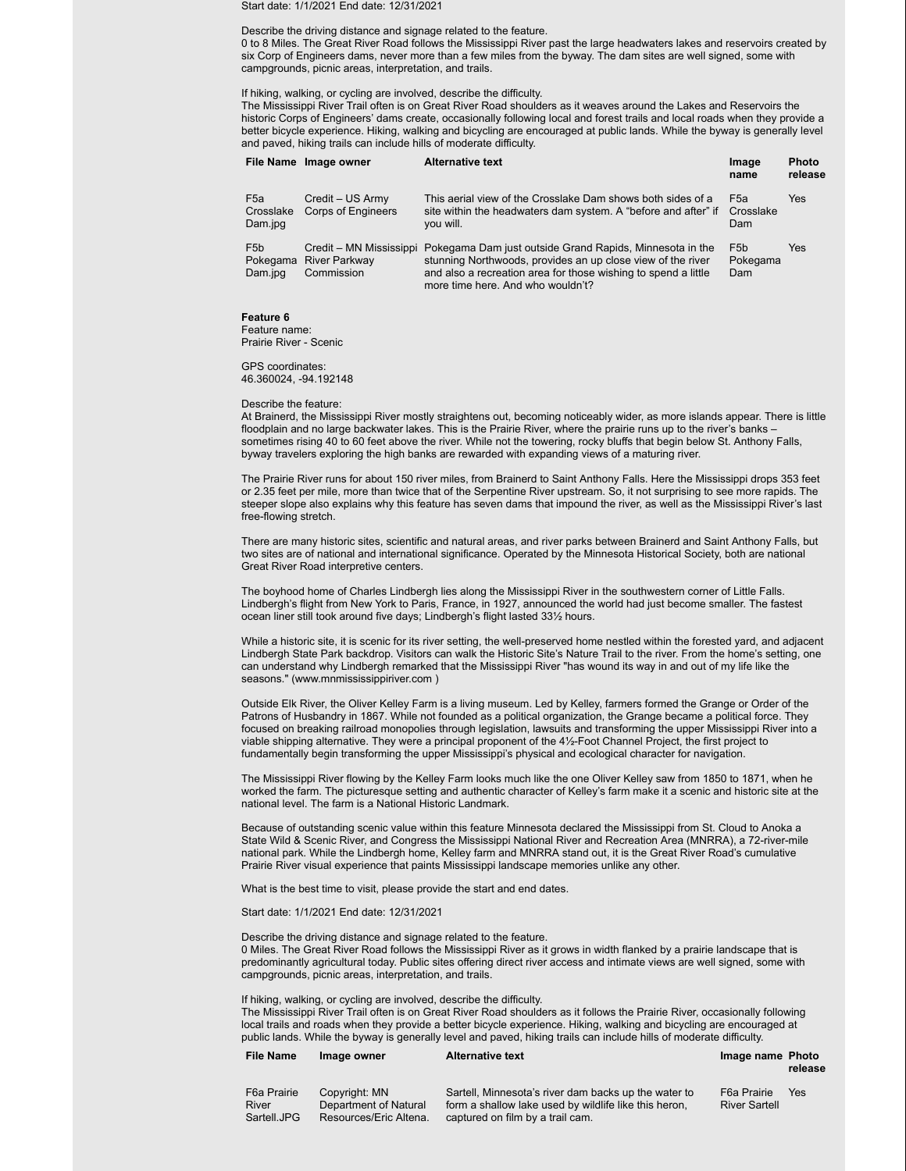Start date: 1/1/2021 End date: 12/31/2021

### Describe the driving distance and signage related to the feature.

0 to 8 Miles. The Great River Road follows the Mississippi River past the large headwaters lakes and reservoirs created by six Corp of Engineers dams, never more than a few miles from the byway. The dam sites are well signed, some with campgrounds, picnic areas, interpretation, and trails.

### If hiking, walking, or cycling are involved, describe the difficulty.

The Mississippi River Trail often is on Great River Road shoulders as it weaves around the Lakes and Reservoirs the historic Corps of Engineers' dams create, occasionally following local and forest trails and local roads when they provide a better bicycle experience. Hiking, walking and bicycling are encouraged at public lands. While the byway is generally level and paved, hiking trails can include hills of moderate difficulty.

| <b>File Name</b>                        | Image owner                                   | <b>Alternative text</b>                                                                                                                                                                                                                                | Image<br>name                       | <b>Photo</b><br>release |
|-----------------------------------------|-----------------------------------------------|--------------------------------------------------------------------------------------------------------------------------------------------------------------------------------------------------------------------------------------------------------|-------------------------------------|-------------------------|
| F <sub>5a</sub><br>Crosslake<br>Dam.jpg | Credit - US Army<br><b>Corps of Engineers</b> | This aerial view of the Crosslake Dam shows both sides of a<br>site within the headwaters dam system. A "before and after" if<br>you will.                                                                                                             | F5a<br>Crosslake<br>Dam             | Yes                     |
| F <sub>5</sub> b<br>Pokegama<br>Dam.jpg | <b>River Parkway</b><br>Commission            | Credit – MN Mississippi Pokegama Dam just outside Grand Rapids, Minnesota in the<br>stunning Northwoods, provides an up close view of the river<br>and also a recreation area for those wishing to spend a little<br>more time here. And who wouldn't? | F <sub>5</sub> b<br>Pokegama<br>Dam | Yes                     |

### **Feature 6**

Feature name: Prairie River - Scenic

GPS coordinates: 46.360024, -94.192148

### Describe the feature:

At Brainerd, the Mississippi River mostly straightens out, becoming noticeably wider, as more islands appear. There is little floodplain and no large backwater lakes. This is the Prairie River, where the prairie runs up to the river's banks – sometimes rising 40 to 60 feet above the river. While not the towering, rocky bluffs that begin below St. Anthony Falls, byway travelers exploring the high banks are rewarded with expanding views of a maturing river.

The Prairie River runs for about 150 river miles, from Brainerd to Saint Anthony Falls. Here the Mississippi drops 353 feet or 2.35 feet per mile, more than twice that of the Serpentine River upstream. So, it not surprising to see more rapids. The steeper slope also explains why this feature has seven dams that impound the river, as well as the Mississippi River's last free-flowing stretch.

There are many historic sites, scientific and natural areas, and river parks between Brainerd and Saint Anthony Falls, but two sites are of national and international significance. Operated by the Minnesota Historical Society, both are national Great River Road interpretive centers.

The boyhood home of Charles Lindbergh lies along the Mississippi River in the southwestern corner of Little Falls. Lindbergh's flight from New York to Paris, France, in 1927, announced the world had just become smaller. The fastest ocean liner still took around five days; Lindbergh's flight lasted 33½ hours.

While a historic site, it is scenic for its river setting, the well-preserved home nestled within the forested yard, and adjacent Lindbergh State Park backdrop. Visitors can walk the Historic Site's Nature Trail to the river. From the home's setting, one can understand why Lindbergh remarked that the Mississippi River "has wound its way in and out of my life like the seasons." (www.mnmississippiriver.com )

Outside Elk River, the Oliver Kelley Farm is a living museum. Led by Kelley, farmers formed the Grange or Order of the Patrons of Husbandry in 1867. While not founded as a political organization, the Grange became a political force. They focused on breaking railroad monopolies through legislation, lawsuits and transforming the upper Mississippi River into a viable shipping alternative. They were a principal proponent of the 4½-Foot Channel Project, the first project to fundamentally begin transforming the upper Mississippi's physical and ecological character for navigation.

The Mississippi River flowing by the Kelley Farm looks much like the one Oliver Kelley saw from 1850 to 1871, when he worked the farm. The picturesque setting and authentic character of Kelley's farm make it a scenic and historic site at the national level. The farm is a National Historic Landmark.

Because of outstanding scenic value within this feature Minnesota declared the Mississippi from St. Cloud to Anoka a State Wild & Scenic River, and Congress the Mississippi National River and Recreation Area (MNRRA), a 72-river-mile national park. While the Lindbergh home, Kelley farm and MNRRA stand out, it is the Great River Road's cumulative Prairie River visual experience that paints Mississippi landscape memories unlike any other.

What is the best time to visit, please provide the start and end dates.

Start date: 1/1/2021 End date: 12/31/2021

Describe the driving distance and signage related to the feature. 0 Miles. The Great River Road follows the Mississippi River as it grows in width flanked by a prairie landscape that is predominantly agricultural today. Public sites offering direct river access and intimate views are well signed, some with campgrounds, picnic areas, interpretation, and trails.

# If hiking, walking, or cycling are involved, describe the difficulty.

The Mississippi River Trail often is on Great River Road shoulders as it follows the Prairie River, occasionally following local trails and roads when they provide a better bicycle experience. Hiking, walking and bicycling are encouraged at public lands. While the byway is generally level and paved, hiking trails can include hills of moderate difficulty.

### **File Name Image owner Alternative text Image name Photo**

# **release**

| F6a Prairie | Copyright: MN          | Sartell, Minnesota's river dam backs up the water to  | F6a Prairie          | Yes |
|-------------|------------------------|-------------------------------------------------------|----------------------|-----|
| River       | Department of Natural  | form a shallow lake used by wildlife like this heron. | <b>River Sartell</b> |     |
| Sartell.JPG | Resources/Eric Altena. | captured on film by a trail cam.                      |                      |     |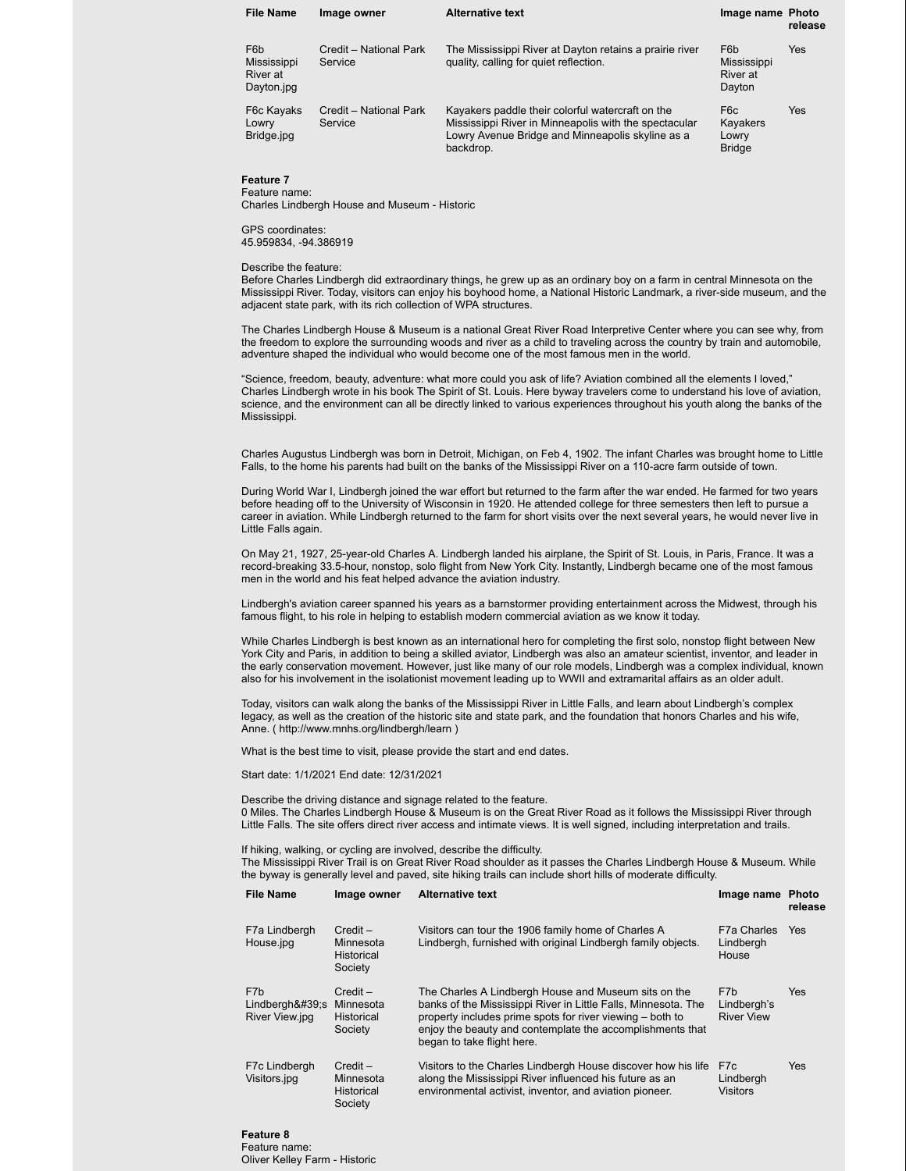| <b>File Name</b>                                                 | Image owner                       | <b>Alternative text</b>                                                                                                                                                    | Image name Photo                                      | release    |
|------------------------------------------------------------------|-----------------------------------|----------------------------------------------------------------------------------------------------------------------------------------------------------------------------|-------------------------------------------------------|------------|
| F <sub>6</sub> b<br><b>Mississippi</b><br>River at<br>Dayton.jpg | Credit - National Park<br>Service | The Mississippi River at Dayton retains a prairie river<br>quality, calling for quiet reflection.                                                                          | F <sub>6</sub> b<br>Mississippi<br>River at<br>Dayton | Yes        |
| F6c Kayaks<br>Lowry<br>Bridge.jpg                                | Credit - National Park<br>Service | Kayakers paddle their colorful watercraft on the<br>Mississippi River in Minneapolis with the spectacular<br>Lowry Avenue Bridge and Minneapolis skyline as a<br>backdrop. | F6c<br>Kayakers<br>Lowry<br><b>Bridge</b>             | <b>Yes</b> |

**Feature 7** Feature name:

Charles Lindbergh House and Museum - Historic

GPS coordinates: 45.959834, -94.386919

### Describe the feature:

Before Charles Lindbergh did extraordinary things, he grew up as an ordinary boy on a farm in central Minnesota on the Mississippi River. Today, visitors can enjoy his boyhood home, a National Historic Landmark, a river-side museum, and the adjacent state park, with its rich collection of WPA structures.

The Charles Lindbergh House & Museum is a national Great River Road Interpretive Center where you can see why, from the freedom to explore the surrounding woods and river as a child to traveling across the country by train and automobile, adventure shaped the individual who would become one of the most famous men in the world.

"Science, freedom, beauty, adventure: what more could you ask of life? Aviation combined all the elements I loved," Charles Lindbergh wrote in his book The Spirit of St. Louis. Here byway travelers come to understand his love of aviation, science, and the environment can all be directly linked to various experiences throughout his youth along the banks of the Mississippi.

Charles Augustus Lindbergh was born in Detroit, Michigan, on Feb 4, 1902. The infant Charles was brought home to Little Falls, to the home his parents had built on the banks of the Mississippi River on a 110-acre farm outside of town.

During World War I, Lindbergh joined the war effort but returned to the farm after the war ended. He farmed for two years before heading off to the University of Wisconsin in 1920. He attended college for three semesters then left to pursue a career in aviation. While Lindbergh returned to the farm for short visits over the next several years, he would never live in Little Falls again.

On May 21, 1927, 25-year-old Charles A. Lindbergh landed his airplane, the Spirit of St. Louis, in Paris, France. It was a record-breaking 33.5-hour, nonstop, solo flight from New York City. Instantly, Lindbergh became one of the most famous men in the world and his feat helped advance the aviation industry.

Lindbergh's aviation career spanned his years as a barnstormer providing entertainment across the Midwest, through his famous flight, to his role in helping to establish modern commercial aviation as we know it today.

While Charles Lindbergh is best known as an international hero for completing the first solo, nonstop flight between New York City and Paris, in addition to being a skilled aviator, Lindbergh was also an amateur scientist, inventor, and leader in the early conservation movement. However, just like many of our role models, Lindbergh was a complex individual, known also for his involvement in the isolationist movement leading up to WWII and extramarital affairs as an older adult.

Today, visitors can walk along the banks of the Mississippi River in Little Falls, and learn about Lindbergh's complex legacy, as well as the creation of the historic site and state park, and the foundation that honors Charles and his wife, Anne. ( http://www.mnhs.org/lindbergh/learn )

What is the best time to visit, please provide the start and end dates.

Start date: 1/1/2021 End date: 12/31/2021

Describe the driving distance and signage related to the feature.

0 Miles. The Charles Lindbergh House & Museum is on the Great River Road as it follows the Mississippi River through Little Falls. The site offers direct river access and intimate views. It is well signed, including interpretation and trails.

If hiking, walking, or cycling are involved, describe the difficulty.

The Mississippi River Trail is on Great River Road shoulder as it passes the Charles Lindbergh House & Museum. While the byway is generally level and paved, site hiking trails can include short hills of moderate difficulty.

| <b>File Name</b>                            | Image owner                                             | <b>Alternative text</b>                                                                                                                                                                                                                                                        | Image name Photo                        | release    |
|---------------------------------------------|---------------------------------------------------------|--------------------------------------------------------------------------------------------------------------------------------------------------------------------------------------------------------------------------------------------------------------------------------|-----------------------------------------|------------|
| F7a Lindbergh<br>House.jpg                  | $Credit -$<br>Minnesota<br><b>Historical</b><br>Society | Visitors can tour the 1906 family home of Charles A<br>Lindbergh, furnished with original Lindbergh family objects.                                                                                                                                                            | F7a Charles<br>Lindbergh<br>House       | <b>Yes</b> |
| F7b<br>$Lindbergh&#39$ ;s<br>River View.jpg | $Credit -$<br>Minnesota<br><b>Historical</b><br>Society | The Charles A Lindbergh House and Museum sits on the<br>banks of the Mississippi River in Little Falls, Minnesota. The<br>property includes prime spots for river viewing – both to<br>enjoy the beauty and contemplate the accomplishments that<br>began to take flight here. | F7b<br>Lindbergh's<br><b>River View</b> | <b>Yes</b> |
| F7c Lindbergh<br>Visitors.jpg               | $Credit -$<br>Minnesota<br><b>Historical</b><br>Society | Visitors to the Charles Lindbergh House discover how his life<br>along the Mississippi River influenced his future as an<br>environmental activist, inventor, and aviation pioneer.                                                                                            | F7c<br>Lindbergh<br><b>Visitors</b>     | Yes        |

### **Feature 8** Feature name: Oliver Kelley Farm - Historic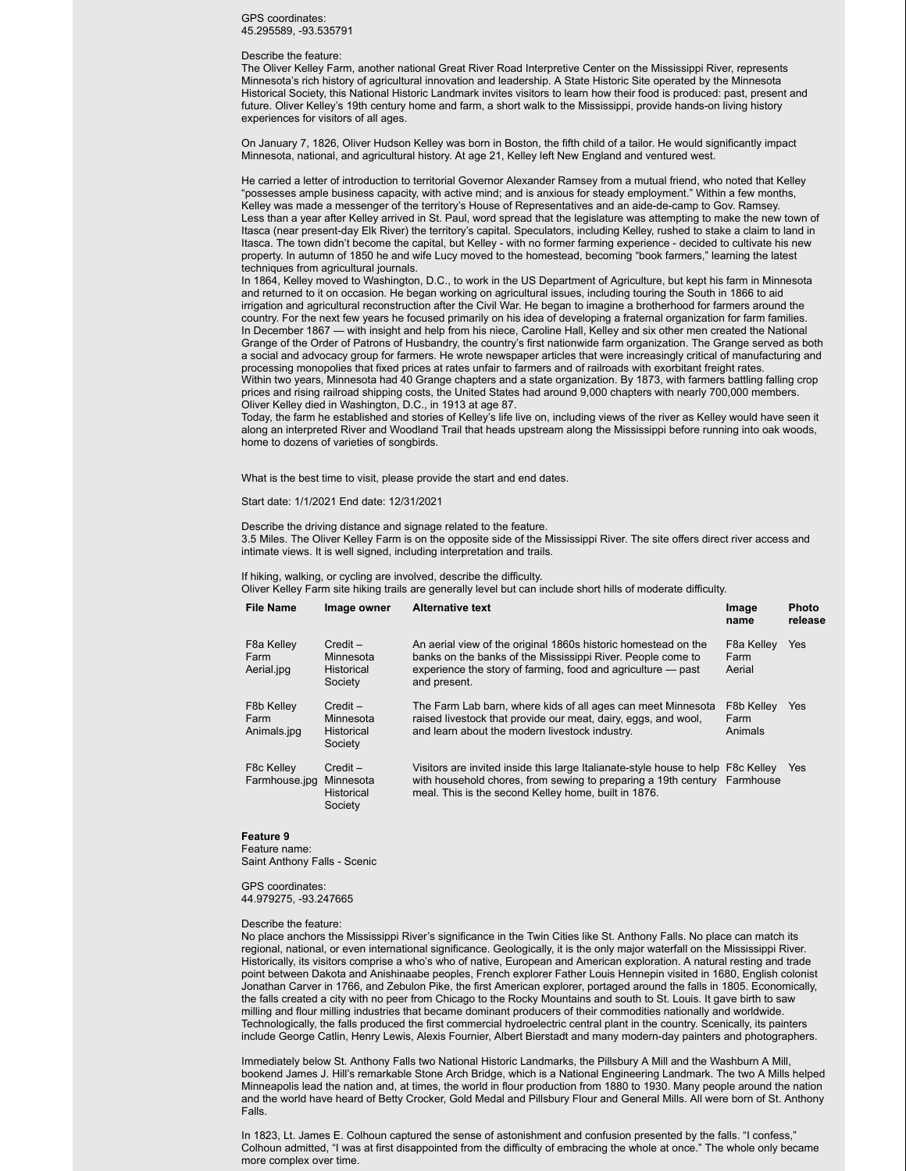### GPS coordinates: 45.295589, -93.535791

#### Describe the feature:

The Oliver Kelley Farm, another national Great River Road Interpretive Center on the Mississippi River, represents Minnesota's rich history of agricultural innovation and leadership. A State Historic Site operated by the Minnesota Historical Society, this National Historic Landmark invites visitors to learn how their food is produced: past, present and future. Oliver Kelley's 19th century home and farm, a short walk to the Mississippi, provide hands-on living history experiences for visitors of all ages.

On January 7, 1826, Oliver Hudson Kelley was born in Boston, the fifth child of a tailor. He would significantly impact Minnesota, national, and agricultural history. At age 21, Kelley left New England and ventured west.

He carried a letter of introduction to territorial Governor Alexander Ramsey from a mutual friend, who noted that Kelley "possesses ample business capacity, with active mind; and is anxious for steady employment." Within a few months, Kelley was made a messenger of the territory's House of Representatives and an aide-de-camp to Gov. Ramsey. Less than a year after Kelley arrived in St. Paul, word spread that the legislature was attempting to make the new town of Itasca (near present-day Elk River) the territory's capital. Speculators, including Kelley, rushed to stake a claim to land in Itasca. The town didn't become the capital, but Kelley - with no former farming experience - decided to cultivate his new property. In autumn of 1850 he and wife Lucy moved to the homestead, becoming "book farmers," learning the latest techniques from agricultural journals.

In 1864, Kelley moved to Washington, D.C., to work in the US Department of Agriculture, but kept his farm in Minnesota and returned to it on occasion. He began working on agricultural issues, including touring the South in 1866 to aid irrigation and agricultural reconstruction after the Civil War. He began to imagine a brotherhood for farmers around the country. For the next few years he focused primarily on his idea of developing a fraternal organization for farm families. In December 1867 — with insight and help from his niece, Caroline Hall, Kelley and six other men created the National Grange of the Order of Patrons of Husbandry, the country's first nationwide farm organization. The Grange served as both a social and advocacy group for farmers. He wrote newspaper articles that were increasingly critical of manufacturing and processing monopolies that fixed prices at rates unfair to farmers and of railroads with exorbitant freight rates. Within two years, Minnesota had 40 Grange chapters and a state organization. By 1873, with farmers battling falling crop prices and rising railroad shipping costs, the United States had around 9,000 chapters with nearly 700,000 members. Oliver Kelley died in Washington, D.C., in 1913 at age 87.

Today, the farm he established and stories of Kelley's life live on, including views of the river as Kelley would have seen it along an interpreted River and Woodland Trail that heads upstream along the Mississippi before running into oak woods, home to dozens of varieties of songbirds.

What is the best time to visit, please provide the start and end dates.

### Start date: 1/1/2021 End date: 12/31/2021

Describe the driving distance and signage related to the feature. 3.5 Miles. The Oliver Kelley Farm is on the opposite side of the Mississippi River. The site offers direct river access and intimate views. It is well signed, including interpretation and trails.

If hiking, walking, or cycling are involved, describe the difficulty.

Oliver Kelley Farm site hiking trails are generally level but can include short hills of moderate difficulty.

| <b>File Name</b>                              | Image owner                                             | <b>Alternative text</b>                                                                                                                                                                                              | Image<br>name                             | <b>Photo</b><br>release |
|-----------------------------------------------|---------------------------------------------------------|----------------------------------------------------------------------------------------------------------------------------------------------------------------------------------------------------------------------|-------------------------------------------|-------------------------|
| F <sub>8</sub> a Kelley<br>Farm<br>Aerial.jpg | $Credit -$<br>Minnesota<br><b>Historical</b><br>Society | An aerial view of the original 1860s historic homestead on the<br>banks on the banks of the Mississippi River. People come to<br>experience the story of farming, food and agriculture – past<br>and present.        | F <sub>8</sub> a Kelley<br>Farm<br>Aerial | Yes                     |
| F8b Kelley<br>Farm<br>Animals.jpg             | $Credit -$<br>Minnesota<br><b>Historical</b><br>Society | The Farm Lab barn, where kids of all ages can meet Minnesota<br>raised livestock that provide our meat, dairy, eggs, and wool,<br>and learn about the modern livestock industry.                                     | <b>F8b Kellev</b><br>Farm<br>Animals      | <b>Yes</b>              |
| F8c Kelley<br>Farmhouse.jpg                   | $Credit -$<br>Minnesota<br><b>Historical</b><br>Society | Visitors are invited inside this large Italianate-style house to help F8c Kelley<br>with household chores, from sewing to preparing a 19th century Farmhouse<br>meal. This is the second Kelley home, built in 1876. |                                           | Yes                     |

### **Feature 9**

Feature name: Saint Anthony Falls - Scenic

GPS coordinates: 44.979275, -93.247665

### Describe the feature:

No place anchors the Mississippi River's significance in the Twin Cities like St. Anthony Falls. No place can match its regional, national, or even international significance. Geologically, it is the only major waterfall on the Mississippi River. Historically, its visitors comprise a who's who of native, European and American exploration. A natural resting and trade point between Dakota and Anishinaabe peoples, French explorer Father Louis Hennepin visited in 1680, English colonist Jonathan Carver in 1766, and Zebulon Pike, the first American explorer, portaged around the falls in 1805. Economically, the falls created a city with no peer from Chicago to the Rocky Mountains and south to St. Louis. It gave birth to saw milling and flour milling industries that became dominant producers of their commodities nationally and worldwide. Technologically, the falls produced the first commercial hydroelectric central plant in the country. Scenically, its painters include George Catlin, Henry Lewis, Alexis Fournier, Albert Bierstadt and many modern-day painters and photographers.

Immediately below St. Anthony Falls two National Historic Landmarks, the Pillsbury A Mill and the Washburn A Mill, bookend James J. Hill's remarkable Stone Arch Bridge, which is a National Engineering Landmark. The two A Mills helped Minneapolis lead the nation and, at times, the world in flour production from 1880 to 1930. Many people around the nation and the world have heard of Betty Crocker, Gold Medal and Pillsbury Flour and General Mills. All were born of St. Anthony Falls.

In 1823, Lt. James E. Colhoun captured the sense of astonishment and confusion presented by the falls. "I confess," Colhoun admitted, "I was at first disappointed from the difficulty of embracing the whole at once." The whole only became more complex over time.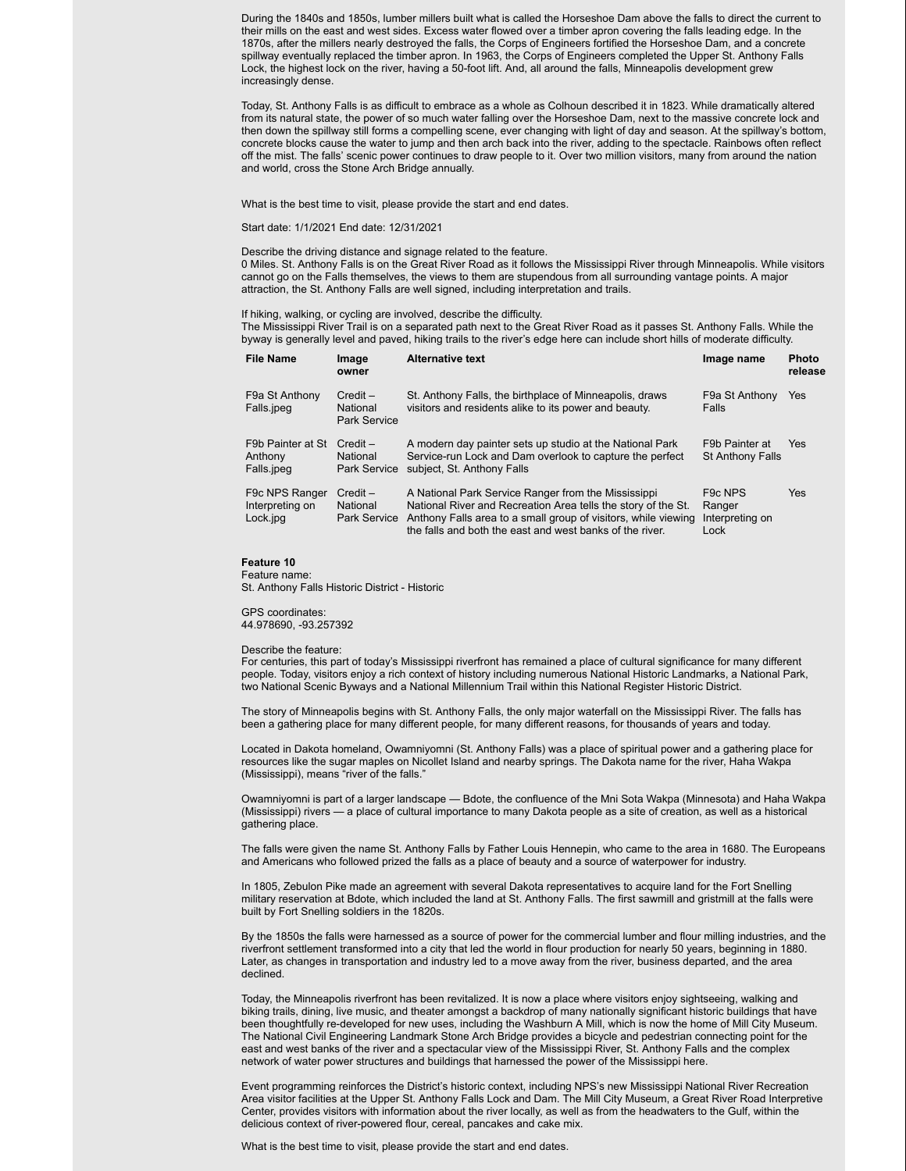During the 1840s and 1850s, lumber millers built what is called the Horseshoe Dam above the falls to direct the current to their mills on the east and west sides. Excess water flowed over a timber apron covering the falls leading edge. In the 1870s, after the millers nearly destroyed the falls, the Corps of Engineers fortified the Horseshoe Dam, and a concrete spillway eventually replaced the timber apron. In 1963, the Corps of Engineers completed the Upper St. Anthony Falls Lock, the highest lock on the river, having a 50-foot lift. And, all around the falls, Minneapolis development grew increasingly dense.

Today, St. Anthony Falls is as difficult to embrace as a whole as Colhoun described it in 1823. While dramatically altered from its natural state, the power of so much water falling over the Horseshoe Dam, next to the massive concrete lock and then down the spillway still forms a compelling scene, ever changing with light of day and season. At the spillway's bottom, concrete blocks cause the water to jump and then arch back into the river, adding to the spectacle. Rainbows often reflect off the mist. The falls' scenic power continues to draw people to it. Over two million visitors, many from around the nation and world, cross the Stone Arch Bridge annually.

What is the best time to visit, please provide the start and end dates.

Start date: 1/1/2021 End date: 12/31/2021

Describe the driving distance and signage related to the feature.

0 Miles. St. Anthony Falls is on the Great River Road as it follows the Mississippi River through Minneapolis. While visitors cannot go on the Falls themselves, the views to them are stupendous from all surrounding vantage points. A major attraction, the St. Anthony Falls are well signed, including interpretation and trails.

If hiking, walking, or cycling are involved, describe the difficulty.

The Mississippi River Trail is on a separated path next to the Great River Road as it passes St. Anthony Falls. While the byway is generally level and paved, hiking trails to the river's edge here can include short hills of moderate difficulty.

| <b>File Name</b>                              | Image<br>owner                                | <b>Alternative text</b>                                                                                                                                                                                                                            | Image name                                                | <b>Photo</b><br>release |
|-----------------------------------------------|-----------------------------------------------|----------------------------------------------------------------------------------------------------------------------------------------------------------------------------------------------------------------------------------------------------|-----------------------------------------------------------|-------------------------|
| F9a St Anthony<br>Falls.jpeg                  | $Credit -$<br>National<br><b>Park Service</b> | St. Anthony Falls, the birthplace of Minneapolis, draws<br>visitors and residents alike to its power and beauty.                                                                                                                                   | F9a St Anthony<br>Falls                                   | Yes                     |
| F9b Painter at St<br>Anthony<br>Falls.jpeg    | $Credit -$<br>National<br><b>Park Service</b> | A modern day painter sets up studio at the National Park<br>Service-run Lock and Dam overlook to capture the perfect<br>subject, St. Anthony Falls                                                                                                 | F9b Painter at<br><b>St Anthony Falls</b>                 | <b>Yes</b>              |
| F9c NPS Ranger<br>Interpreting on<br>Lock.jpg | $Credit -$<br>National<br>Park Service        | A National Park Service Ranger from the Mississippi<br>National River and Recreation Area tells the story of the St.<br>Anthony Falls area to a small group of visitors, while viewing<br>the falls and both the east and west banks of the river. | F <sub>9</sub> c NPS<br>Ranger<br>Interpreting on<br>Lock | <b>Yes</b>              |

# **Feature 10**

Feature name:

St. Anthony Falls Historic District - Historic

GPS coordinates: 44.978690, -93.257392

### Describe the feature:

For centuries, this part of today's Mississippi riverfront has remained a place of cultural significance for many different people. Today, visitors enjoy a rich context of history including numerous National Historic Landmarks, a National Park, two National Scenic Byways and a National Millennium Trail within this National Register Historic District.

The story of Minneapolis begins with St. Anthony Falls, the only major waterfall on the Mississippi River. The falls has been a gathering place for many different people, for many different reasons, for thousands of years and today.

Located in Dakota homeland, Owamniyomni (St. Anthony Falls) was a place of spiritual power and a gathering place for resources like the sugar maples on Nicollet Island and nearby springs. The Dakota name for the river, Haha Wakpa (Mississippi), means "river of the falls."

Owamniyomni is part of a larger landscape — Bdote, the confluence of the Mni Sota Wakpa (Minnesota) and Haha Wakpa (Mississippi) rivers — a place of cultural importance to many Dakota people as a site of creation, as well as a historical gathering place.

The falls were given the name St. Anthony Falls by Father Louis Hennepin, who came to the area in 1680. The Europeans and Americans who followed prized the falls as a place of beauty and a source of waterpower for industry.

In 1805, Zebulon Pike made an agreement with several Dakota representatives to acquire land for the Fort Snelling military reservation at Bdote, which included the land at St. Anthony Falls. The first sawmill and gristmill at the falls were built by Fort Snelling soldiers in the 1820s.

By the 1850s the falls were harnessed as a source of power for the commercial lumber and flour milling industries, and the riverfront settlement transformed into a city that led the world in flour production for nearly 50 years, beginning in 1880. Later, as changes in transportation and industry led to a move away from the river, business departed, and the area declined.

Today, the Minneapolis riverfront has been revitalized. It is now a place where visitors enjoy sightseeing, walking and biking trails, dining, live music, and theater amongst a backdrop of many nationally significant historic buildings that have been thoughtfully re-developed for new uses, including the Washburn A Mill, which is now the home of Mill City Museum. The National Civil Engineering Landmark Stone Arch Bridge provides a bicycle and pedestrian connecting point for the east and west banks of the river and a spectacular view of the Mississippi River, St. Anthony Falls and the complex network of water power structures and buildings that harnessed the power of the Mississippi here.

Event programming reinforces the District's historic context, including NPS's new Mississippi National River Recreation Area visitor facilities at the Upper St. Anthony Falls Lock and Dam. The Mill City Museum, a Great River Road Interpretive Center, provides visitors with information about the river locally, as well as from the headwaters to the Gulf, within the delicious context of river-powered flour, cereal, pancakes and cake mix.

What is the best time to visit, please provide the start and end dates.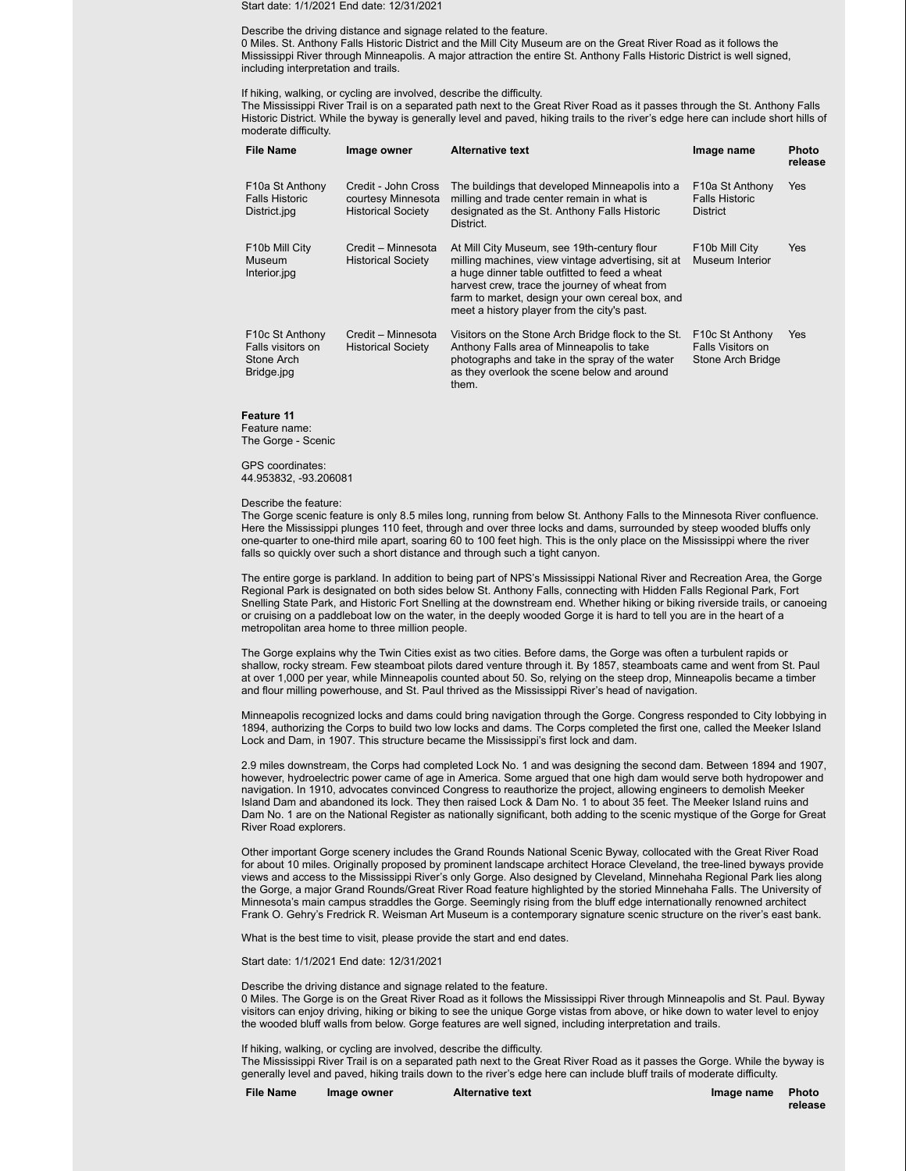Start date: 1/1/2021 End date: 12/31/2021

## Describe the driving distance and signage related to the feature.

0 Miles. St. Anthony Falls Historic District and the Mill City Museum are on the Great River Road as it follows the Mississippi River through Minneapolis. A major attraction the entire St. Anthony Falls Historic District is well signed, including interpretation and trails.

### If hiking, walking, or cycling are involved, describe the difficulty.

The Mississippi River Trail is on a separated path next to the Great River Road as it passes through the St. Anthony Falls Historic District. While the byway is generally level and paved, hiking trails to the river's edge here can include short hills of moderate difficulty.

| <b>File Name</b>                                                              | Image owner                                                            | <b>Alternative text</b>                                                                                                                                                                                                                                                                               | Image name                                                             | <b>Photo</b><br>release |
|-------------------------------------------------------------------------------|------------------------------------------------------------------------|-------------------------------------------------------------------------------------------------------------------------------------------------------------------------------------------------------------------------------------------------------------------------------------------------------|------------------------------------------------------------------------|-------------------------|
| F10a St Anthony<br><b>Falls Historic</b><br>District.jpg                      | Credit - John Cross<br>courtesy Minnesota<br><b>Historical Society</b> | The buildings that developed Minneapolis into a<br>milling and trade center remain in what is<br>designated as the St. Anthony Falls Historic<br>District.                                                                                                                                            | F10a St Anthony<br><b>Falls Historic</b><br><b>District</b>            | Yes                     |
| F <sub>10</sub> b Mill City<br><b>Museum</b><br>Interior.jpg                  | Credit - Minnesota<br><b>Historical Society</b>                        | At Mill City Museum, see 19th-century flour<br>milling machines, view vintage advertising, sit at<br>a huge dinner table outfitted to feed a wheat<br>harvest crew, trace the journey of wheat from<br>farm to market, design your own cereal box, and<br>meet a history player from the city's past. | F10b Mill City<br>Museum Interior                                      | Yes                     |
| F <sub>10</sub> c St Anthony<br>Falls visitors on<br>Stone Arch<br>Bridge.jpg | Credit - Minnesota<br><b>Historical Society</b>                        | Visitors on the Stone Arch Bridge flock to the St.<br>Anthony Falls area of Minneapolis to take<br>photographs and take in the spray of the water<br>as they overlook the scene below and around<br>them.                                                                                             | F <sub>10</sub> c St Anthony<br>Falls Visitors on<br>Stone Arch Bridge | Yes                     |

**Feature 11**

Feature name: The Gorge - Scenic

GPS coordinates:

44.953832, -93.206081

### Describe the feature:

The Gorge scenic feature is only 8.5 miles long, running from below St. Anthony Falls to the Minnesota River confluence. Here the Mississippi plunges 110 feet, through and over three locks and dams, surrounded by steep wooded bluffs only one-quarter to one-third mile apart, soaring 60 to 100 feet high. This is the only place on the Mississippi where the river falls so quickly over such a short distance and through such a tight canyon.

The entire gorge is parkland. In addition to being part of NPS's Mississippi National River and Recreation Area, the Gorge Regional Park is designated on both sides below St. Anthony Falls, connecting with Hidden Falls Regional Park, Fort Snelling State Park, and Historic Fort Snelling at the downstream end. Whether hiking or biking riverside trails, or canoeing or cruising on a paddleboat low on the water, in the deeply wooded Gorge it is hard to tell you are in the heart of a metropolitan area home to three million people.

The Gorge explains why the Twin Cities exist as two cities. Before dams, the Gorge was often a turbulent rapids or shallow, rocky stream. Few steamboat pilots dared venture through it. By 1857, steamboats came and went from St. Paul at over 1,000 per year, while Minneapolis counted about 50. So, relying on the steep drop, Minneapolis became a timber and flour milling powerhouse, and St. Paul thrived as the Mississippi River's head of navigation.

Minneapolis recognized locks and dams could bring navigation through the Gorge. Congress responded to City lobbying in 1894, authorizing the Corps to build two low locks and dams. The Corps completed the first one, called the Meeker Island Lock and Dam, in 1907. This structure became the Mississippi's first lock and dam.

2.9 miles downstream, the Corps had completed Lock No. 1 and was designing the second dam. Between 1894 and 1907, however, hydroelectric power came of age in America. Some argued that one high dam would serve both hydropower and navigation. In 1910, advocates convinced Congress to reauthorize the project, allowing engineers to demolish Meeker Island Dam and abandoned its lock. They then raised Lock & Dam No. 1 to about 35 feet. The Meeker Island ruins and Dam No. 1 are on the National Register as nationally significant, both adding to the scenic mystique of the Gorge for Great River Road explorers.

Other important Gorge scenery includes the Grand Rounds National Scenic Byway, collocated with the Great River Road for about 10 miles. Originally proposed by prominent landscape architect Horace Cleveland, the tree-lined byways provide views and access to the Mississippi River's only Gorge. Also designed by Cleveland, Minnehaha Regional Park lies along the Gorge, a major Grand Rounds/Great River Road feature highlighted by the storied Minnehaha Falls. The University of Minnesota's main campus straddles the Gorge. Seemingly rising from the bluff edge internationally renowned architect Frank O. Gehry's Fredrick R. Weisman Art Museum is a contemporary signature scenic structure on the river's east bank.

What is the best time to visit, please provide the start and end dates.

Start date: 1/1/2021 End date: 12/31/2021

Describe the driving distance and signage related to the feature.

0 Miles. The Gorge is on the Great River Road as it follows the Mississippi River through Minneapolis and St. Paul. Byway visitors can enjoy driving, hiking or biking to see the unique Gorge vistas from above, or hike down to water level to enjoy the wooded bluff walls from below. Gorge features are well signed, including interpretation and trails.

If hiking, walking, or cycling are involved, describe the difficulty.

The Mississippi River Trail is on a separated path next to the Great River Road as it passes the Gorge. While the byway is generally level and paved, hiking trails down to the river's edge here can include bluff trails of moderate difficulty.

**File Name Image owner Alternative text Image name Photo**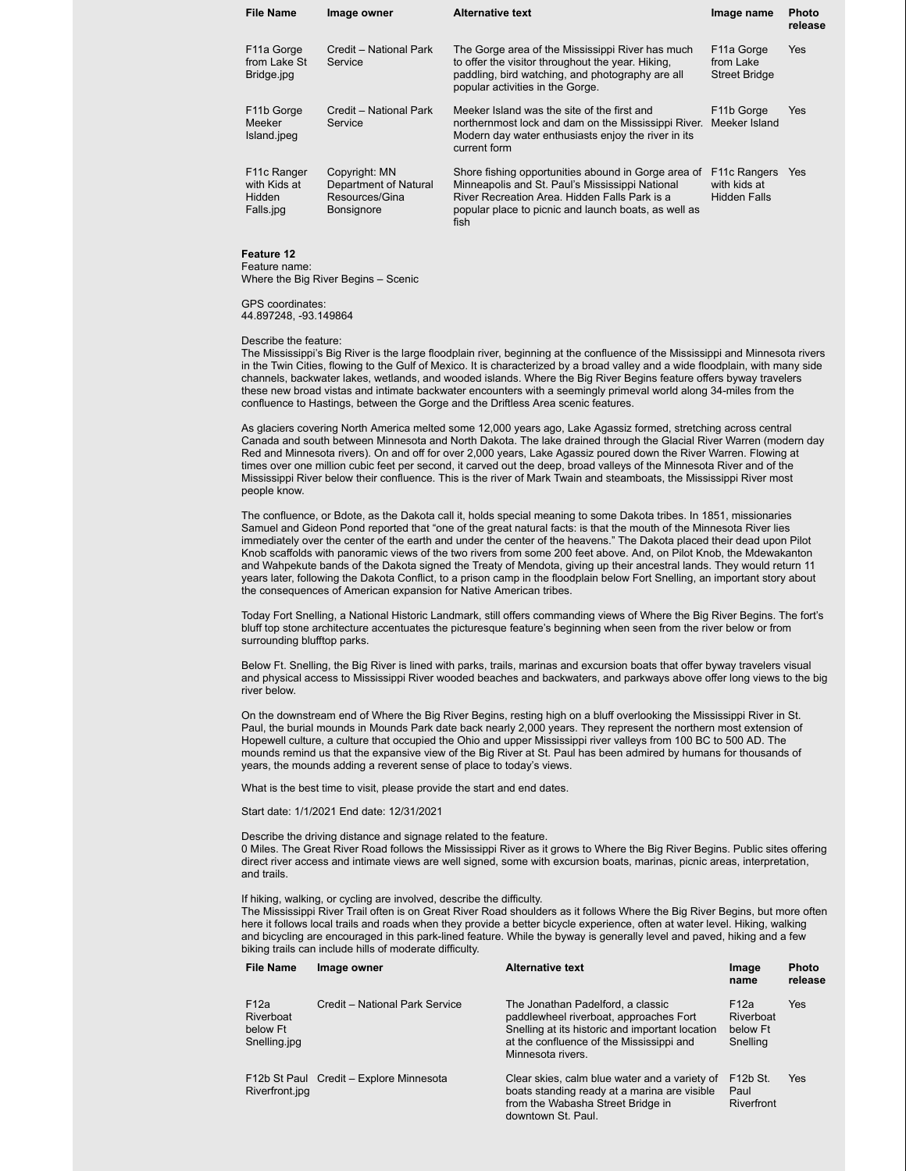| <b>File Name</b>                                                | Image owner                                                                   | <b>Alternative text</b>                                                                                                                                                                                                 | Image name                                                   | <b>Photo</b><br>release |
|-----------------------------------------------------------------|-------------------------------------------------------------------------------|-------------------------------------------------------------------------------------------------------------------------------------------------------------------------------------------------------------------------|--------------------------------------------------------------|-------------------------|
| F <sub>11</sub> a Gorge<br>from Lake St<br>Bridge.jpg           | Credit - National Park<br>Service                                             | The Gorge area of the Mississippi River has much<br>to offer the visitor throughout the year. Hiking,<br>paddling, bird watching, and photography are all<br>popular activities in the Gorge.                           | F <sub>11</sub> a Gorge<br>from Lake<br><b>Street Bridge</b> | Yes                     |
| F <sub>11</sub> b Gorge<br>Meeker<br>Island.jpeg                | Credit - National Park<br>Service                                             | Meeker Island was the site of the first and<br>northernmost lock and dam on the Mississippi River.<br>Modern day water enthusiasts enjoy the river in its<br>current form                                               | F <sub>11</sub> b Gorge<br>Meeker Island                     | Yes                     |
| F <sub>11</sub> c Ranger<br>with Kids at<br>Hidden<br>Falls.jpg | Copyright: MN<br>Department of Natural<br>Resources/Gina<br><b>Bonsignore</b> | Shore fishing opportunities abound in Gorge area of<br>Minneapolis and St. Paul's Mississippi National<br>River Recreation Area. Hidden Falls Park is a<br>popular place to picnic and launch boats, as well as<br>fish | F <sub>11</sub> c Rangers<br>with kids at<br>Hidden Falls    | <b>Yes</b>              |

# **Feature 12**

Feature name: Where the Big River Begins – Scenic

GPS coordinates: 44.897248, -93.149864

Describe the feature:

The Mississippi's Big River is the large floodplain river, beginning at the confluence of the Mississippi and Minnesota rivers in the Twin Cities, flowing to the Gulf of Mexico. It is characterized by a broad valley and a wide floodplain, with many side channels, backwater lakes, wetlands, and wooded islands. Where the Big River Begins feature offers byway travelers these new broad vistas and intimate backwater encounters with a seemingly primeval world along 34-miles from the confluence to Hastings, between the Gorge and the Driftless Area scenic features.

As glaciers covering North America melted some 12,000 years ago, Lake Agassiz formed, stretching across central Canada and south between Minnesota and North Dakota. The lake drained through the Glacial River Warren (modern day Red and Minnesota rivers). On and off for over 2,000 years, Lake Agassiz poured down the River Warren. Flowing at times over one million cubic feet per second, it carved out the deep, broad valleys of the Minnesota River and of the Mississippi River below their confluence. This is the river of Mark Twain and steamboats, the Mississippi River most people know.

The confluence, or Bdote, as the Dakota call it, holds special meaning to some Dakota tribes. In 1851, missionaries Samuel and Gideon Pond reported that "one of the great natural facts: is that the mouth of the Minnesota River lies immediately over the center of the earth and under the center of the heavens." The Dakota placed their dead upon Pilot Knob scaffolds with panoramic views of the two rivers from some 200 feet above. And, on Pilot Knob, the Mdewakanton and Wahpekute bands of the Dakota signed the Treaty of Mendota, giving up their ancestral lands. They would return 11 years later, following the Dakota Conflict, to a prison camp in the floodplain below Fort Snelling, an important story about the consequences of American expansion for Native American tribes.

Today Fort Snelling, a National Historic Landmark, still offers commanding views of Where the Big River Begins. The fort's bluff top stone architecture accentuates the picturesque feature's beginning when seen from the river below or from surrounding blufftop parks.

Below Ft. Snelling, the Big River is lined with parks, trails, marinas and excursion boats that offer byway travelers visual and physical access to Mississippi River wooded beaches and backwaters, and parkways above offer long views to the big river below.

On the downstream end of Where the Big River Begins, resting high on a bluff overlooking the Mississippi River in St. Paul, the burial mounds in Mounds Park date back nearly 2,000 years. They represent the northern most extension of Hopewell culture, a culture that occupied the Ohio and upper Mississippi river valleys from 100 BC to 500 AD. The mounds remind us that the expansive view of the Big River at St. Paul has been admired by humans for thousands of years, the mounds adding a reverent sense of place to today's views.

What is the best time to visit, please provide the start and end dates.

Start date: 1/1/2021 End date: 12/31/2021

Describe the driving distance and signage related to the feature. 0 Miles. The Great River Road follows the Mississippi River as it grows to Where the Big River Begins. Public sites offering direct river access and intimate views are well signed, some with excursion boats, marinas, picnic areas, interpretation, and trails.

If hiking, walking, or cycling are involved, describe the difficulty.

The Mississippi River Trail often is on Great River Road shoulders as it follows Where the Big River Begins, but more often here it follows local trails and roads when they provide a better bicycle experience, often at water level. Hiking, walking and bicycling are encouraged in this park-lined feature. While the byway is generally level and paved, hiking and a few biking trails can include hills of moderate difficulty.

**Photo**

| File Name                                            | Image owner                             | <b>Alternative text</b>                                                                                                                                                                         | Image<br>name                                         | <b>Photo</b><br>release |
|------------------------------------------------------|-----------------------------------------|-------------------------------------------------------------------------------------------------------------------------------------------------------------------------------------------------|-------------------------------------------------------|-------------------------|
| F12a<br><b>Riverboat</b><br>below Ft<br>Snelling.jpg | Credit - National Park Service          | The Jonathan Padelford, a classic<br>paddlewheel riverboat, approaches Fort<br>Snelling at its historic and important location<br>at the confluence of the Mississippi and<br>Minnesota rivers. | F <sub>12a</sub><br>Riverboat<br>below Ft<br>Snelling | Yes                     |
| Riverfront.jpg                                       | F12b St Paul Credit - Explore Minnesota | Clear skies, calm blue water and a variety of<br>boats standing ready at a marina are visible<br>from the Wabasha Street Bridge in<br>downtown St. Paul.                                        | F <sub>12</sub> b St.<br>Paul<br>Riverfront           | Yes                     |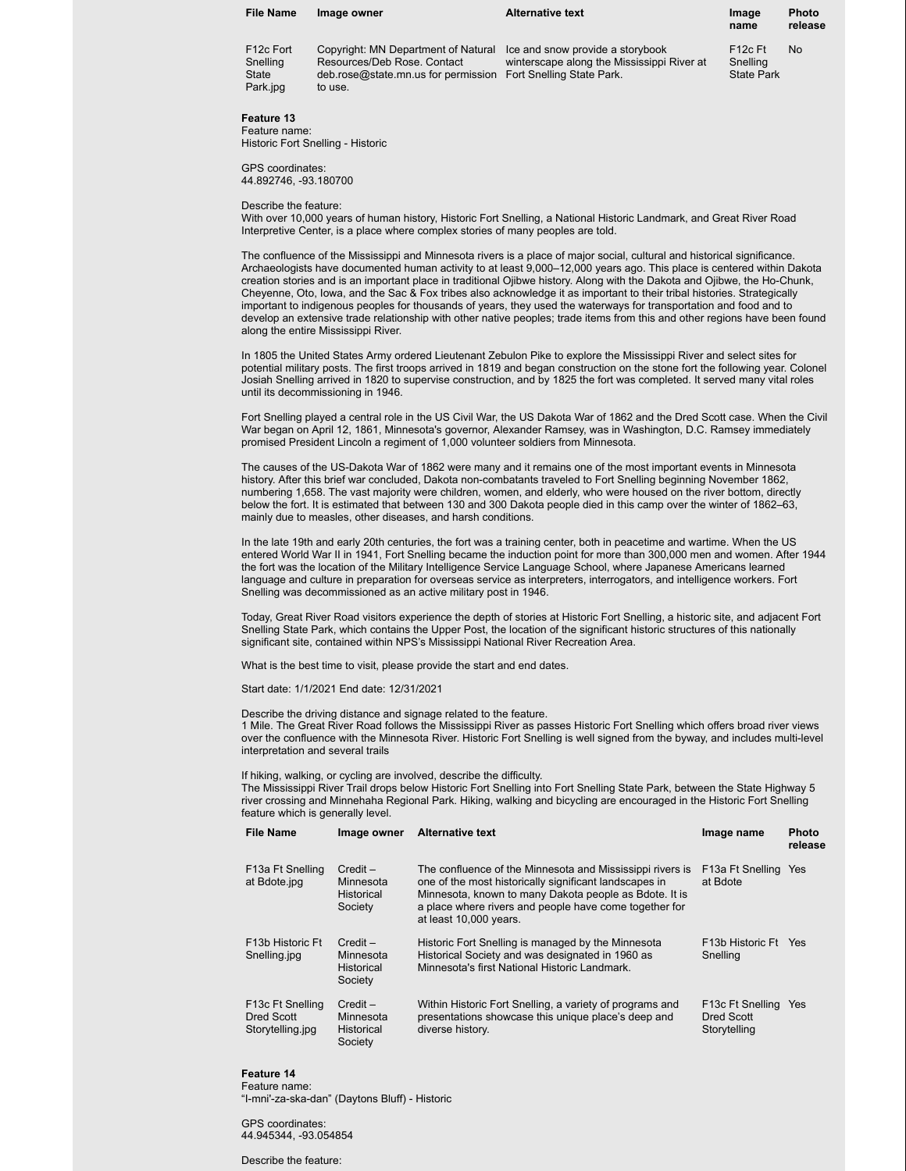| <b>File Name</b>                           | Image owner                                                                                                          | <b>Alternative text</b>                                                                                     | Image<br>name                                         | <b>Photo</b><br>release |
|--------------------------------------------|----------------------------------------------------------------------------------------------------------------------|-------------------------------------------------------------------------------------------------------------|-------------------------------------------------------|-------------------------|
| F12c Fort<br>Snelling<br>State<br>Park.jpg | Copyright: MN Department of Natural<br>Resources/Deb Rose, Contact<br>deb.rose@state.mn.us for permission<br>to use. | Ice and snow provide a storybook<br>winterscape along the Mississippi River at<br>Fort Snelling State Park. | F <sub>12</sub> c Ft<br>Snelling<br><b>State Park</b> | No                      |

### **Feature 13** Feature name:

Historic Fort Snelling - Historic

GPS coordinates: 44.892746, -93.180700

### Describe the feature:

With over 10,000 years of human history, Historic Fort Snelling, a National Historic Landmark, and Great River Road Interpretive Center, is a place where complex stories of many peoples are told.

The confluence of the Mississippi and Minnesota rivers is a place of major social, cultural and historical significance. Archaeologists have documented human activity to at least 9,000–12,000 years ago. This place is centered within Dakota creation stories and is an important place in traditional Ojibwe history. Along with the Dakota and Ojibwe, the Ho-Chunk, Cheyenne, Oto, Iowa, and the Sac & Fox tribes also acknowledge it as important to their tribal histories. Strategically important to indigenous peoples for thousands of years, they used the waterways for transportation and food and to develop an extensive trade relationship with other native peoples; trade items from this and other regions have been found along the entire Mississippi River.

In 1805 the United States Army ordered Lieutenant Zebulon Pike to explore the Mississippi River and select sites for potential military posts. The first troops arrived in 1819 and began construction on the stone fort the following year. Colonel Josiah Snelling arrived in 1820 to supervise construction, and by 1825 the fort was completed. It served many vital roles until its decommissioning in 1946.

Fort Snelling played a central role in the US Civil War, the US Dakota War of 1862 and the Dred Scott case. When the Civil War began on April 12, 1861, Minnesota's governor, Alexander Ramsey, was in Washington, D.C. Ramsey immediately promised President Lincoln a regiment of 1,000 volunteer soldiers from Minnesota.

The causes of the US-Dakota War of 1862 were many and it remains one of the most important events in Minnesota history. After this brief war concluded, Dakota non-combatants traveled to Fort Snelling beginning November 1862, numbering 1,658. The vast majority were children, women, and elderly, who were housed on the river bottom, directly below the fort. It is estimated that between 130 and 300 Dakota people died in this camp over the winter of 1862–63, mainly due to measles, other diseases, and harsh conditions.

In the late 19th and early 20th centuries, the fort was a training center, both in peacetime and wartime. When the US entered World War II in 1941, Fort Snelling became the induction point for more than 300,000 men and women. After 1944 the fort was the location of the Military Intelligence Service Language School, where Japanese Americans learned language and culture in preparation for overseas service as interpreters, interrogators, and intelligence workers. Fort Snelling was decommissioned as an active military post in 1946.

Today, Great River Road visitors experience the depth of stories at Historic Fort Snelling, a historic site, and adjacent Fort Snelling State Park, which contains the Upper Post, the location of the significant historic structures of this nationally significant site, contained within NPS's Mississippi National River Recreation Area.

What is the best time to visit, please provide the start and end dates.

Start date: 1/1/2021 End date: 12/31/2021

Describe the driving distance and signage related to the feature.

1 Mile. The Great River Road follows the Mississippi River as passes Historic Fort Snelling which offers broad river views over the confluence with the Minnesota River. Historic Fort Snelling is well signed from the byway, and includes multi-level interpretation and several trails

### If hiking, walking, or cycling are involved, describe the difficulty.

The Mississippi River Trail drops below Historic Fort Snelling into Fort Snelling State Park, between the State Highway 5 river crossing and Minnehaha Regional Park. Hiking, walking and bicycling are encouraged in the Historic Fort Snelling feature which is generally level.

| <b>File Name</b>                                                | Image owner                                             | <b>Alternative text</b>                                                                                                                                                                                                                                           | Image name                                     | <b>Photo</b><br>release |
|-----------------------------------------------------------------|---------------------------------------------------------|-------------------------------------------------------------------------------------------------------------------------------------------------------------------------------------------------------------------------------------------------------------------|------------------------------------------------|-------------------------|
| F13a Ft Snelling<br>at Bdote.jpg                                | $Credit -$<br>Minnesota<br><b>Historical</b><br>Society | The confluence of the Minnesota and Mississippi rivers is<br>one of the most historically significant landscapes in<br>Minnesota, known to many Dakota people as Bdote. It is<br>a place where rivers and people have come together for<br>at least 10,000 years. | F13a Ft Snelling Yes<br>at Bdote               |                         |
| F <sub>13</sub> b Historic Ft<br>Snelling.jpg                   | $Credit -$<br>Minnesota<br><b>Historical</b><br>Society | Historic Fort Snelling is managed by the Minnesota<br>Historical Society and was designated in 1960 as<br>Minnesota's first National Historic Landmark.                                                                                                           | F13b Historic Ft Yes<br>Snelling               |                         |
| F <sub>13</sub> c Ft Snelling<br>Dred Scott<br>Storytelling.jpg | $Credit -$<br>Minnesota<br><b>Historical</b><br>Society | Within Historic Fort Snelling, a variety of programs and<br>presentations showcase this unique place's deep and<br>diverse history.                                                                                                                               | F13c Ft Snelling<br>Dred Scott<br>Storytelling | <b>Yes</b>              |

# **Feature 14**

Feature name: "I-mni'-za-ska-dan" (Daytons Bluff) - Historic

GPS coordinates: 44.945344, -93.054854

Describe the feature: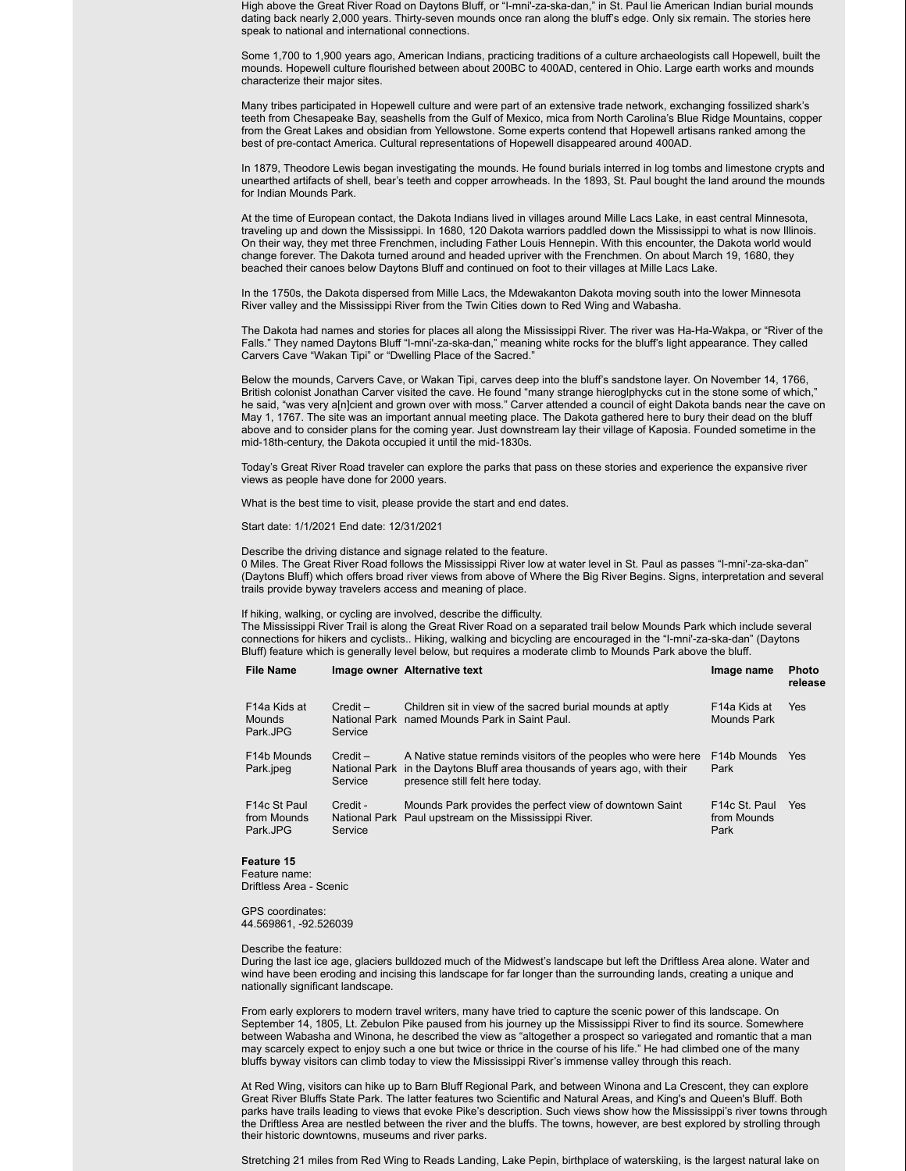High above the Great River Road on Daytons Bluff, or "I-mni'-za-ska-dan," in St. Paul lie American Indian burial mounds dating back nearly 2,000 years. Thirty-seven mounds once ran along the bluff's edge. Only six remain. The stories here speak to national and international connections.

Some 1,700 to 1,900 years ago, American Indians, practicing traditions of a culture archaeologists call Hopewell, built the mounds. Hopewell culture flourished between about 200BC to 400AD, centered in Ohio. Large earth works and mounds characterize their major sites.

Many tribes participated in Hopewell culture and were part of an extensive trade network, exchanging fossilized shark's teeth from Chesapeake Bay, seashells from the Gulf of Mexico, mica from North Carolina's Blue Ridge Mountains, copper from the Great Lakes and obsidian from Yellowstone. Some experts contend that Hopewell artisans ranked among the best of pre-contact America. Cultural representations of Hopewell disappeared around 400AD.

In 1879, Theodore Lewis began investigating the mounds. He found burials interred in log tombs and limestone crypts and unearthed artifacts of shell, bear's teeth and copper arrowheads. In the 1893, St. Paul bought the land around the mounds for Indian Mounds Park.

At the time of European contact, the Dakota Indians lived in villages around Mille Lacs Lake, in east central Minnesota, traveling up and down the Mississippi. In 1680, 120 Dakota warriors paddled down the Mississippi to what is now Illinois. On their way, they met three Frenchmen, including Father Louis Hennepin. With this encounter, the Dakota world would change forever. The Dakota turned around and headed upriver with the Frenchmen. On about March 19, 1680, they beached their canoes below Daytons Bluff and continued on foot to their villages at Mille Lacs Lake.

In the 1750s, the Dakota dispersed from Mille Lacs, the Mdewakanton Dakota moving south into the lower Minnesota River valley and the Mississippi River from the Twin Cities down to Red Wing and Wabasha.

The Dakota had names and stories for places all along the Mississippi River. The river was Ha-Ha-Wakpa, or "River of the Falls." They named Daytons Bluff "I-mni'-za-ska-dan," meaning white rocks for the bluff's light appearance. They called Carvers Cave "Wakan Tipi" or "Dwelling Place of the Sacred."

Below the mounds, Carvers Cave, or Wakan Tipi, carves deep into the bluff's sandstone layer. On November 14, 1766, British colonist Jonathan Carver visited the cave. He found "many strange hieroglphycks cut in the stone some of which," he said, "was very a[n]cient and grown over with moss." Carver attended a council of eight Dakota bands near the cave on May 1, 1767. The site was an important annual meeting place. The Dakota gathered here to bury their dead on the bluff above and to consider plans for the coming year. Just downstream lay their village of Kaposia. Founded sometime in the mid-18th-century, the Dakota occupied it until the mid-1830s.

Today's Great River Road traveler can explore the parks that pass on these stories and experience the expansive river views as people have done for 2000 years.

What is the best time to visit, please provide the start and end dates.

Start date: 1/1/2021 End date: 12/31/2021

Describe the driving distance and signage related to the feature.

0 Miles. The Great River Road follows the Mississippi River low at water level in St. Paul as passes "I-mni'-za-ska-dan" (Daytons Bluff) which offers broad river views from above of Where the Big River Begins. Signs, interpretation and several trails provide byway travelers access and meaning of place.

If hiking, walking, or cycling are involved, describe the difficulty.

The Mississippi River Trail is along the Great River Road on a separated trail below Mounds Park which include several connections for hikers and cyclists.. Hiking, walking and bicycling are encouraged in the "I-mni'-za-ska-dan" (Daytons Bluff) feature which is generally level below, but requires a moderate climb to Mounds Park above the bluff.

| <b>File Name</b>                                       |                       | Image owner Alternative text                                                                                                                                                   | Image name                                        | <b>Photo</b><br>release |
|--------------------------------------------------------|-----------------------|--------------------------------------------------------------------------------------------------------------------------------------------------------------------------------|---------------------------------------------------|-------------------------|
| F <sub>14</sub> a Kids at<br><b>Mounds</b><br>Park.JPG | $Credit -$<br>Service | Children sit in view of the sacred burial mounds at aptly<br>National Park named Mounds Park in Saint Paul.                                                                    | F <sub>14</sub> a Kids at<br>Mounds Park          | Yes                     |
| F14b Mounds<br>Park.jpeg                               | $Credit -$<br>Service | A Native statue reminds visitors of the peoples who were here<br>National Park in the Daytons Bluff area thousands of years ago, with their<br>presence still felt here today. | F <sub>14</sub> b Mounds<br>Park                  | <b>Yes</b>              |
| F14c St Paul<br>from Mounds<br>Park.JPG                | Credit -<br>Service   | Mounds Park provides the perfect view of downtown Saint<br>National Park Paul upstream on the Mississippi River.                                                               | F <sub>14</sub> c St. Paul<br>from Mounds<br>Park | Yes                     |

### **Feature 15**

Feature name: Driftless Area - Scenic

GPS coordinates: 44.569861, -92.526039

### Describe the feature:

During the last ice age, glaciers bulldozed much of the Midwest's landscape but left the Driftless Area alone. Water and wind have been eroding and incising this landscape for far longer than the surrounding lands, creating a unique and nationally significant landscape.

From early explorers to modern travel writers, many have tried to capture the scenic power of this landscape. On September 14, 1805, Lt. Zebulon Pike paused from his journey up the Mississippi River to find its source. Somewhere between Wabasha and Winona, he described the view as "altogether a prospect so variegated and romantic that a man may scarcely expect to enjoy such a one but twice or thrice in the course of his life." He had climbed one of the many bluffs byway visitors can climb today to view the Mississippi River's immense valley through this reach.

At Red Wing, visitors can hike up to Barn Bluff Regional Park, and between Winona and La Crescent, they can explore Great River Bluffs State Park. The latter features two Scientific and Natural Areas, and King's and Queen's Bluff. Both parks have trails leading to views that evoke Pike's description. Such views show how the Mississippi's river towns through the Driftless Area are nestled between the river and the bluffs. The towns, however, are best explored by strolling through their historic downtowns, museums and river parks.

Stretching 21 miles from Red Wing to Reads Landing, Lake Pepin, birthplace of waterskiing, is the largest natural lake on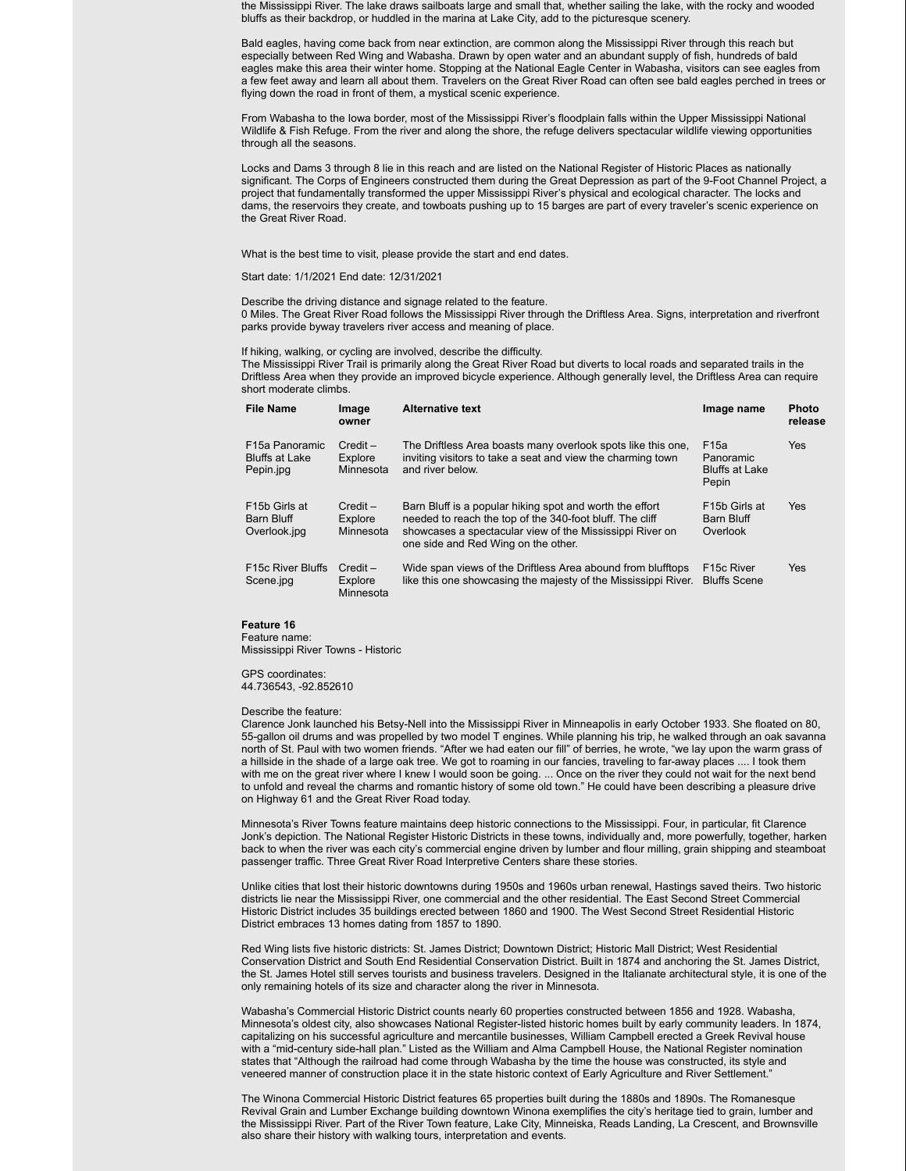the Mississippi River. The lake draws sailboats large and small that, whether sailing the lake, with the rocky and wooded bluffs as their backdrop, or huddled in the marina at Lake City, add to the picturesque scenery.

Bald eagles, having come back from near extinction, are common along the Mississippi River through this reach but especially between Red Wing and Wabasha. Drawn by open water and an abundant supply of fish, hundreds of bald eagles make this area their winter home. Stopping at the National Eagle Center in Wabasha, visitors can see eagles from a few feet away and learn all about them. Travelers on the Great River Road can often see bald eagles perched in trees or flying down the road in front of them, a mystical scenic experience.

From Wabasha to the Iowa border, most of the Mississippi River's floodplain falls within the Upper Mississippi National Wildlife & Fish Refuge. From the river and along the shore, the refuge delivers spectacular wildlife viewing opportunities through all the seasons.

Locks and Dams 3 through 8 lie in this reach and are listed on the National Register of Historic Places as nationally significant. The Corps of Engineers constructed them during the Great Depression as part of the 9-Foot Channel Project, a project that fundamentally transformed the upper Mississippi River's physical and ecological character. The locks and dams, the reservoirs they create, and towboats pushing up to 15 barges are part of every traveler's scenic experience on the Great River Road.

What is the best time to visit, please provide the start and end dates.

Start date: 1/1/2021 End date: 12/31/2021

Describe the driving distance and signage related to the feature.

0 Miles. The Great River Road follows the Mississippi River through the Driftless Area. Signs, interpretation and riverfront parks provide byway travelers river access and meaning of place.

If hiking, walking, or cycling are involved, describe the difficulty.

The Mississippi River Trail is primarily along the Great River Road but diverts to local roads and separated trails in the Driftless Area when they provide an improved bicycle experience. Although generally level, the Driftless Area can require short moderate climbs.

| <b>File Name</b>                                                  | Image<br>owner                     | <b>Alternative text</b>                                                                                                                                                                                                 | Image name                                                      | <b>Photo</b><br>release |
|-------------------------------------------------------------------|------------------------------------|-------------------------------------------------------------------------------------------------------------------------------------------------------------------------------------------------------------------------|-----------------------------------------------------------------|-------------------------|
| F <sub>15</sub> a Panoramic<br><b>Bluffs at Lake</b><br>Pepin.jpg | $Credit -$<br>Explore<br>Minnesota | The Driftless Area boasts many overlook spots like this one.<br>inviting visitors to take a seat and view the charming town<br>and river below.                                                                         | F <sub>15a</sub><br>Panoramic<br><b>Bluffs at Lake</b><br>Pepin | Yes                     |
| F <sub>15</sub> b Girls at<br>Barn Bluff<br>Overlook.jpg          | $Credit -$<br>Explore<br>Minnesota | Barn Bluff is a popular hiking spot and worth the effort<br>needed to reach the top of the 340-foot bluff. The cliff<br>showcases a spectacular view of the Mississippi River on<br>one side and Red Wing on the other. | F <sub>15</sub> b Girls at<br>Barn Bluff<br>Overlook            | <b>Yes</b>              |
| <b>F15c River Bluffs</b><br>Scene.jpg                             | $Credit -$<br>Explore<br>Minnesota | Wide span views of the Driftless Area abound from blufftops<br>like this one showcasing the majesty of the Mississippi River.                                                                                           | F <sub>15</sub> c River<br><b>Bluffs Scene</b>                  | Yes                     |

**Feature 16**

Feature name: Mississippi River Towns - Historic

GPS coordinates: 44.736543, -92.852610

Describe the feature:

Clarence Jonk launched his Betsy-Nell into the Mississippi River in Minneapolis in early October 1933. She floated on 80, 55-gallon oil drums and was propelled by two model T engines. While planning his trip, he walked through an oak savanna north of St. Paul with two women friends. "After we had eaten our fill" of berries, he wrote, "we lay upon the warm grass of a hillside in the shade of a large oak tree. We got to roaming in our fancies, traveling to far-away places .... I took them with me on the great river where I knew I would soon be going. ... Once on the river they could not wait for the next bend to unfold and reveal the charms and romantic history of some old town." He could have been describing a pleasure drive on Highway 61 and the Great River Road today.

Minnesota's River Towns feature maintains deep historic connections to the Mississippi. Four, in particular, fit Clarence Jonk's depiction. The National Register Historic Districts in these towns, individually and, more powerfully, together, harken back to when the river was each city's commercial engine driven by lumber and flour milling, grain shipping and steamboat passenger traffic. Three Great River Road Interpretive Centers share these stories.

Unlike cities that lost their historic downtowns during 1950s and 1960s urban renewal, Hastings saved theirs. Two historic districts lie near the Mississippi River, one commercial and the other residential. The East Second Street Commercial Historic District includes 35 buildings erected between 1860 and 1900. The West Second Street Residential Historic District embraces 13 homes dating from 1857 to 1890.

Red Wing lists five historic districts: St. James District; Downtown District; Historic Mall District; West Residential Conservation District and South End Residential Conservation District. Built in 1874 and anchoring the St. James District, the St. James Hotel still serves tourists and business travelers. Designed in the Italianate architectural style, it is one of the only remaining hotels of its size and character along the river in Minnesota.

Wabasha's Commercial Historic District counts nearly 60 properties constructed between 1856 and 1928. Wabasha, Minnesota's oldest city, also showcases National Register-listed historic homes built by early community leaders. In 1874, capitalizing on his successful agriculture and mercantile businesses, William Campbell erected a Greek Revival house with a "mid-century side-hall plan." Listed as the William and Alma Campbell House, the National Register nomination states that "Although the railroad had come through Wabasha by the time the house was constructed, its style and veneered manner of construction place it in the state historic context of Early Agriculture and River Settlement."

The Winona Commercial Historic District features 65 properties built during the 1880s and 1890s. The Romanesque Revival Grain and Lumber Exchange building downtown Winona exemplifies the city's heritage tied to grain, lumber and the Mississippi River. Part of the River Town feature, Lake City, Minneiska, Reads Landing, La Crescent, and Brownsville also share their history with walking tours, interpretation and events.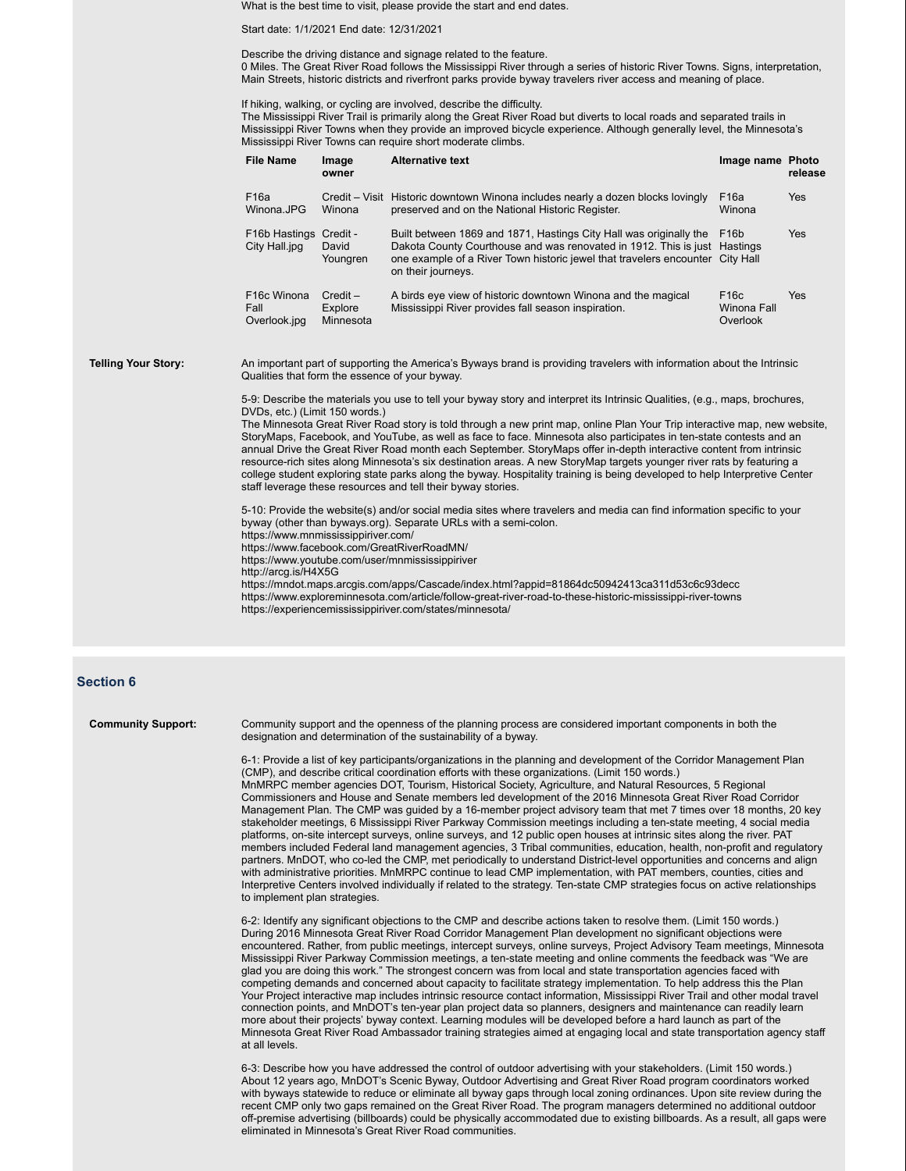What is the best time to visit, please provide the start and end dates.

Start date: 1/1/2021 End date: 12/31/2021

Describe the driving distance and signage related to the feature. 0 Miles. The Great River Road follows the Mississippi River through a series of historic River Towns. Signs, interpretation, Main Streets, historic districts and riverfront parks provide byway travelers river access and meaning of place.

If hiking, walking, or cycling are involved, describe the difficulty.

The Mississippi River Trail is primarily along the Great River Road but diverts to local roads and separated trails in Mississippi River Towns when they provide an improved bicycle experience. Although generally level, the Minnesota's Mississippi River Towns can require short moderate climbs.

| <b>File Name</b>                                 | Image<br>owner                     | <b>Alternative text</b>                                                                                                                                                                                                                                | Image name Photo                             | release    |
|--------------------------------------------------|------------------------------------|--------------------------------------------------------------------------------------------------------------------------------------------------------------------------------------------------------------------------------------------------------|----------------------------------------------|------------|
| F <sub>16a</sub><br>Winona.JPG                   | Winona                             | Credit – Visit Historic downtown Winona includes nearly a dozen blocks lovingly<br>preserved and on the National Historic Register.                                                                                                                    | F <sub>16a</sub><br>Winona                   | <b>Yes</b> |
| F <sub>16</sub> b Hastings<br>City Hall.jpg      | Credit -<br>David<br>Youngren      | Built between 1869 and 1871, Hastings City Hall was originally the<br>Dakota County Courthouse and was renovated in 1912. This is just Hastings<br>one example of a River Town historic jewel that travelers encounter City Hall<br>on their journeys. | F <sub>16</sub> b                            | <b>Yes</b> |
| F <sub>16</sub> c Winona<br>Fall<br>Overlook.jpg | $Credit -$<br>Explore<br>Minnesota | A birds eye view of historic downtown Winona and the magical<br>Mississippi River provides fall season inspiration.                                                                                                                                    | F <sub>16</sub> c<br>Winona Fall<br>Overlook | <b>Yes</b> |

**Telling Your Story:** An important part of supporting the America's Byways brand is providing travelers with information about the Intrinsic Qualities that form the essence of your byway.

> 5-9: Describe the materials you use to tell your byway story and interpret its Intrinsic Qualities, (e.g., maps, brochures, DVDs, etc.) (Limit 150 words.)

The Minnesota Great River Road story is told through a new print map, online Plan Your Trip interactive map, new website, StoryMaps, Facebook, and YouTube, as well as face to face. Minnesota also participates in ten-state contests and an annual Drive the Great River Road month each September. StoryMaps offer in-depth interactive content from intrinsic resource-rich sites along Minnesota's six destination areas. A new StoryMap targets younger river rats by featuring a college student exploring state parks along the byway. Hospitality training is being developed to help Interpretive Center staff leverage these resources and tell their byway stories.

5-10: Provide the website(s) and/or social media sites where travelers and media can find information specific to your byway (other than byways.org). Separate URLs with a semi-colon. https://www.mnmississippiriver.com/ https://www.facebook.com/GreatRiverRoadMN/

https://www.youtube.com/user/mnmississippiriver

http://arcg.is/H4X5G

https://mndot.maps.arcgis.com/apps/Cascade/index.html?appid=81864dc50942413ca311d53c6c93decc https://www.exploreminnesota.com/article/follow-great-river-road-to-these-historic-mississippi-river-towns https://experiencemississippiriver.com/states/minnesota/

# **Section 6**

**Community Support:** Community support and the openness of the planning process are considered important components in both the designation and determination of the sustainability of a byway.

> 6-1: Provide a list of key participants/organizations in the planning and development of the Corridor Management Plan (CMP), and describe critical coordination efforts with these organizations. (Limit 150 words.) MnMRPC member agencies DOT, Tourism, Historical Society, Agriculture, and Natural Resources, 5 Regional Commissioners and House and Senate members led development of the 2016 Minnesota Great River Road Corridor Management Plan. The CMP was guided by a 16-member project advisory team that met 7 times over 18 months, 20 key stakeholder meetings, 6 Mississippi River Parkway Commission meetings including a ten-state meeting, 4 social media platforms, on-site intercept surveys, online surveys, and 12 public open houses at intrinsic sites along the river. PAT members included Federal land management agencies, 3 Tribal communities, education, health, non-profit and regulatory partners. MnDOT, who co-led the CMP, met periodically to understand District-level opportunities and concerns and align with administrative priorities. MnMRPC continue to lead CMP implementation, with PAT members, counties, cities and Interpretive Centers involved individually if related to the strategy. Ten-state CMP strategies focus on active relationships to implement plan strategies.

> 6-2: Identify any significant objections to the CMP and describe actions taken to resolve them. (Limit 150 words.) During 2016 Minnesota Great River Road Corridor Management Plan development no significant objections were encountered. Rather, from public meetings, intercept surveys, online surveys, Project Advisory Team meetings, Minnesota Mississippi River Parkway Commission meetings, a ten-state meeting and online comments the feedback was "We are glad you are doing this work." The strongest concern was from local and state transportation agencies faced with competing demands and concerned about capacity to facilitate strategy implementation. To help address this the Plan Your Project interactive map includes intrinsic resource contact information, Mississippi River Trail and other modal travel connection points, and MnDOT's ten-year plan project data so planners, designers and maintenance can readily learn more about their projects' byway context. Learning modules will be developed before a hard launch as part of the Minnesota Great River Road Ambassador training strategies aimed at engaging local and state transportation agency staff at all levels.

> 6-3: Describe how you have addressed the control of outdoor advertising with your stakeholders. (Limit 150 words.) About 12 years ago, MnDOT's Scenic Byway, Outdoor Advertising and Great River Road program coordinators worked with byways statewide to reduce or eliminate all byway gaps through local zoning ordinances. Upon site review during the recent CMP only two gaps remained on the Great River Road. The program managers determined no additional outdoor off-premise advertising (billboards) could be physically accommodated due to existing billboards. As a result, all gaps were eliminated in Minnesota's Great River Road communities.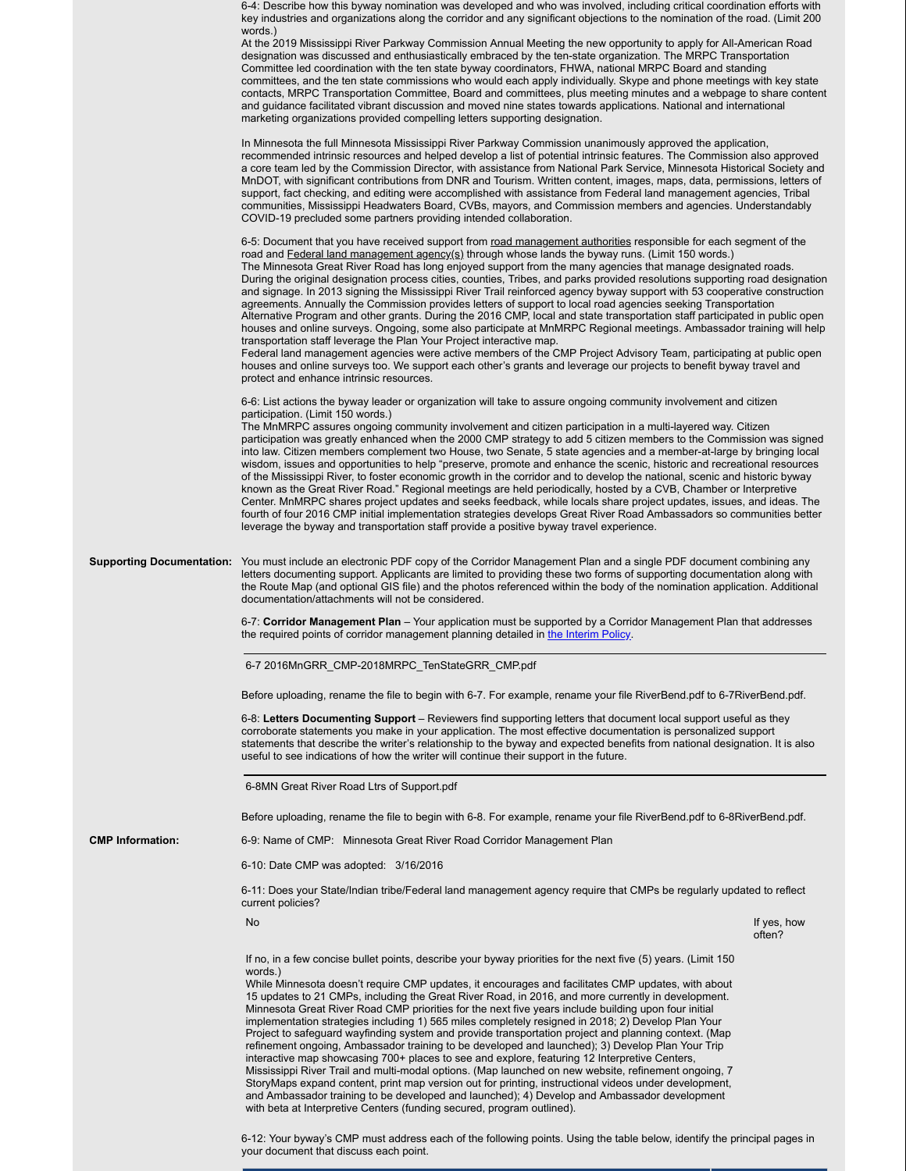|                         | 6-4: Describe how this byway nomination was developed and who was involved, including critical coordination efforts with<br>key industries and organizations along the corridor and any significant objections to the nomination of the road. (Limit 200<br>words.)<br>At the 2019 Mississippi River Parkway Commission Annual Meeting the new opportunity to apply for All-American Road<br>designation was discussed and enthusiastically embraced by the ten-state organization. The MRPC Transportation<br>Committee led coordination with the ten state byway coordinators, FHWA, national MRPC Board and standing<br>committees, and the ten state commissions who would each apply individually. Skype and phone meetings with key state<br>contacts, MRPC Transportation Committee, Board and committees, plus meeting minutes and a webpage to share content<br>and guidance facilitated vibrant discussion and moved nine states towards applications. National and international<br>marketing organizations provided compelling letters supporting designation.                                                                                                                                                                                                                                                                                                             |  |
|-------------------------|----------------------------------------------------------------------------------------------------------------------------------------------------------------------------------------------------------------------------------------------------------------------------------------------------------------------------------------------------------------------------------------------------------------------------------------------------------------------------------------------------------------------------------------------------------------------------------------------------------------------------------------------------------------------------------------------------------------------------------------------------------------------------------------------------------------------------------------------------------------------------------------------------------------------------------------------------------------------------------------------------------------------------------------------------------------------------------------------------------------------------------------------------------------------------------------------------------------------------------------------------------------------------------------------------------------------------------------------------------------------------------------|--|
|                         | In Minnesota the full Minnesota Mississippi River Parkway Commission unanimously approved the application,<br>recommended intrinsic resources and helped develop a list of potential intrinsic features. The Commission also approved<br>a core team led by the Commission Director, with assistance from National Park Service, Minnesota Historical Society and<br>MnDOT, with significant contributions from DNR and Tourism. Written content, images, maps, data, permissions, letters of<br>support, fact checking, and editing were accomplished with assistance from Federal land management agencies, Tribal<br>communities, Mississippi Headwaters Board, CVBs, mayors, and Commission members and agencies. Understandably<br>COVID-19 precluded some partners providing intended collaboration.                                                                                                                                                                                                                                                                                                                                                                                                                                                                                                                                                                             |  |
|                         | 6-5: Document that you have received support from road management authorities responsible for each segment of the<br>road and Federal land management agency(s) through whose lands the byway runs. (Limit 150 words.)<br>The Minnesota Great River Road has long enjoyed support from the many agencies that manage designated roads.<br>During the original designation process cities, counties, Tribes, and parks provided resolutions supporting road designation<br>and signage. In 2013 signing the Mississippi River Trail reinforced agency byway support with 53 cooperative construction<br>agreements. Annually the Commission provides letters of support to local road agencies seeking Transportation<br>Alternative Program and other grants. During the 2016 CMP, local and state transportation staff participated in public open<br>houses and online surveys. Ongoing, some also participate at MnMRPC Regional meetings. Ambassador training will help<br>transportation staff leverage the Plan Your Project interactive map.<br>Federal land management agencies were active members of the CMP Project Advisory Team, participating at public open<br>houses and online surveys too. We support each other's grants and leverage our projects to benefit byway travel and<br>protect and enhance intrinsic resources.                                          |  |
|                         | 6-6: List actions the byway leader or organization will take to assure ongoing community involvement and citizen<br>participation. (Limit 150 words.)<br>The MnMRPC assures ongoing community involvement and citizen participation in a multi-layered way. Citizen<br>participation was greatly enhanced when the 2000 CMP strategy to add 5 citizen members to the Commission was signed<br>into law. Citizen members complement two House, two Senate, 5 state agencies and a member-at-large by bringing local<br>wisdom, issues and opportunities to help "preserve, promote and enhance the scenic, historic and recreational resources<br>of the Mississippi River, to foster economic growth in the corridor and to develop the national, scenic and historic byway<br>known as the Great River Road." Regional meetings are held periodically, hosted by a CVB, Chamber or Interpretive<br>Center. MnMRPC shares project updates and seeks feedback, while locals share project updates, issues, and ideas. The<br>fourth of four 2016 CMP initial implementation strategies develops Great River Road Ambassadors so communities better<br>leverage the byway and transportation staff provide a positive byway travel experience.                                                                                                                                           |  |
|                         | <b>Supporting Documentation:</b> You must include an electronic PDF copy of the Corridor Management Plan and a single PDF document combining any<br>letters documenting support. Applicants are limited to providing these two forms of supporting documentation along with<br>the Route Map (and optional GIS file) and the photos referenced within the body of the nomination application. Additional<br>documentation/attachments will not be considered.                                                                                                                                                                                                                                                                                                                                                                                                                                                                                                                                                                                                                                                                                                                                                                                                                                                                                                                          |  |
|                         | 6-7: Corridor Management Plan – Your application must be supported by a Corridor Management Plan that addresses<br>the required points of corridor management planning detailed in the Interim Policy.                                                                                                                                                                                                                                                                                                                                                                                                                                                                                                                                                                                                                                                                                                                                                                                                                                                                                                                                                                                                                                                                                                                                                                                 |  |
|                         | 6-7 2016MnGRR_CMP-2018MRPC_TenStateGRR_CMP.pdf                                                                                                                                                                                                                                                                                                                                                                                                                                                                                                                                                                                                                                                                                                                                                                                                                                                                                                                                                                                                                                                                                                                                                                                                                                                                                                                                         |  |
|                         | Before uploading, rename the file to begin with 6-7. For example, rename your file RiverBend.pdf to 6-7RiverBend.pdf.                                                                                                                                                                                                                                                                                                                                                                                                                                                                                                                                                                                                                                                                                                                                                                                                                                                                                                                                                                                                                                                                                                                                                                                                                                                                  |  |
|                         | 6-8: Letters Documenting Support – Reviewers find supporting letters that document local support useful as they<br>corroborate statements you make in your application. The most effective documentation is personalized support<br>statements that describe the writer's relationship to the byway and expected benefits from national designation. It is also<br>useful to see indications of how the writer will continue their support in the future.                                                                                                                                                                                                                                                                                                                                                                                                                                                                                                                                                                                                                                                                                                                                                                                                                                                                                                                              |  |
|                         | 6-8MN Great River Road Ltrs of Support.pdf                                                                                                                                                                                                                                                                                                                                                                                                                                                                                                                                                                                                                                                                                                                                                                                                                                                                                                                                                                                                                                                                                                                                                                                                                                                                                                                                             |  |
|                         | Before uploading, rename the file to begin with 6-8. For example, rename your file RiverBend.pdf to 6-8RiverBend.pdf.                                                                                                                                                                                                                                                                                                                                                                                                                                                                                                                                                                                                                                                                                                                                                                                                                                                                                                                                                                                                                                                                                                                                                                                                                                                                  |  |
| <b>CMP Information:</b> | 6-9: Name of CMP: Minnesota Great River Road Corridor Management Plan                                                                                                                                                                                                                                                                                                                                                                                                                                                                                                                                                                                                                                                                                                                                                                                                                                                                                                                                                                                                                                                                                                                                                                                                                                                                                                                  |  |
|                         | 6-10: Date CMP was adopted: 3/16/2016                                                                                                                                                                                                                                                                                                                                                                                                                                                                                                                                                                                                                                                                                                                                                                                                                                                                                                                                                                                                                                                                                                                                                                                                                                                                                                                                                  |  |
|                         | 6-11: Does your State/Indian tribe/Federal land management agency require that CMPs be regularly updated to reflect<br>current policies?                                                                                                                                                                                                                                                                                                                                                                                                                                                                                                                                                                                                                                                                                                                                                                                                                                                                                                                                                                                                                                                                                                                                                                                                                                               |  |
|                         | No<br>If yes, how<br>often?                                                                                                                                                                                                                                                                                                                                                                                                                                                                                                                                                                                                                                                                                                                                                                                                                                                                                                                                                                                                                                                                                                                                                                                                                                                                                                                                                            |  |
|                         | If no, in a few concise bullet points, describe your byway priorities for the next five (5) years. (Limit 150<br>words.)<br>While Minnesota doesn't require CMP updates, it encourages and facilitates CMP updates, with about<br>15 updates to 21 CMPs, including the Great River Road, in 2016, and more currently in development.<br>Minnesota Great River Road CMP priorities for the next five years include building upon four initial<br>implementation strategies including 1) 565 miles completely resigned in 2018; 2) Develop Plan Your<br>Project to safeguard wayfinding system and provide transportation project and planning context. (Map<br>refinement ongoing, Ambassador training to be developed and launched); 3) Develop Plan Your Trip<br>interactive map showcasing 700+ places to see and explore, featuring 12 Interpretive Centers,<br>Mississippi River Trail and multi-modal options. (Map launched on new website, refinement ongoing, 7<br>StoryMaps expand content, print map version out for printing, instructional videos under development,<br>and Ambassador training to be developed and launched); 4) Develop and Ambassador development<br>with beta at Interpretive Centers (funding secured, program outlined).<br>6-12: Your byway's CMP must address each of the following points. Using the table below, identify the principal pages in |  |
|                         | your document that discuss each point.                                                                                                                                                                                                                                                                                                                                                                                                                                                                                                                                                                                                                                                                                                                                                                                                                                                                                                                                                                                                                                                                                                                                                                                                                                                                                                                                                 |  |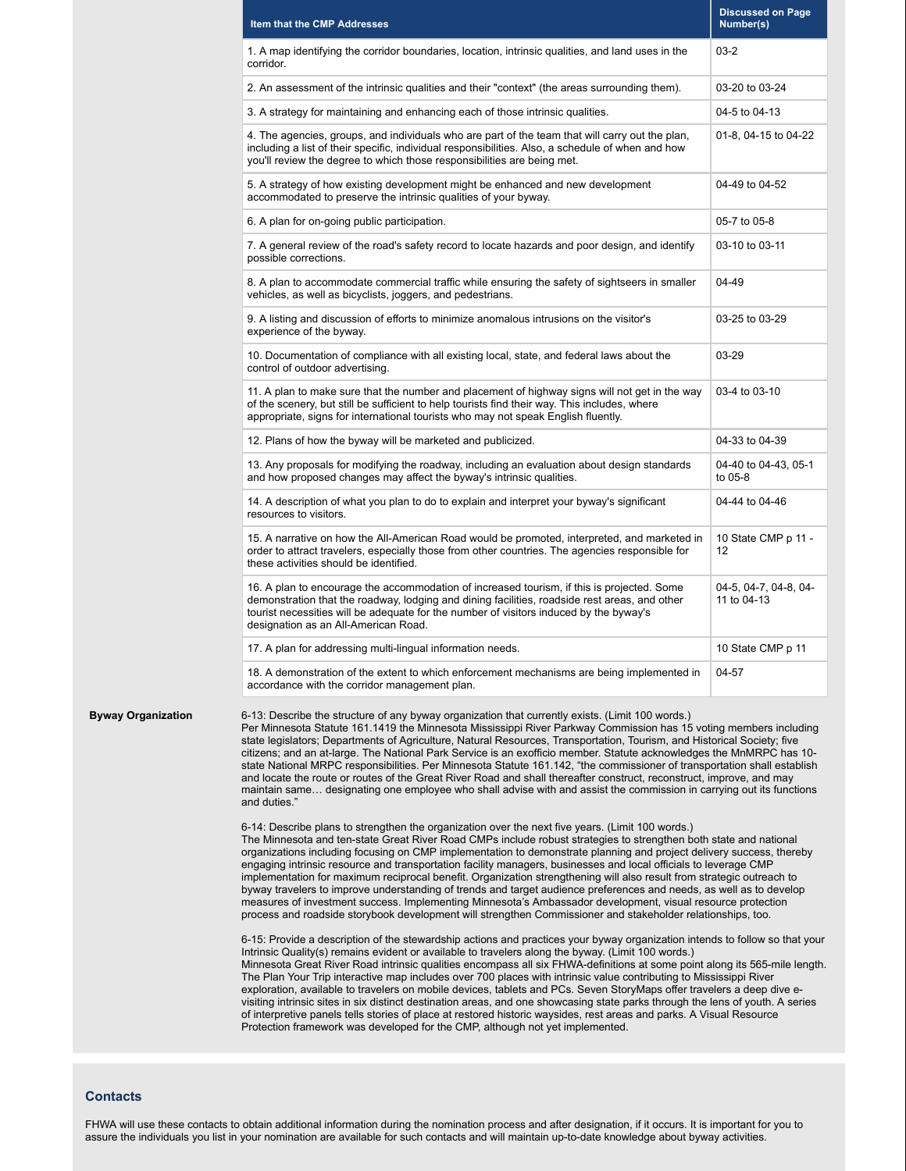|                           | Item that the CMP Addresses                                                                                                                                                                                                                                                                                                                                                                                                                                                                                                                                                                                                                                                                                                                                                                                                                                                                                                                                | <b>Discussed on Page</b><br>Number(s) |  |  |
|---------------------------|------------------------------------------------------------------------------------------------------------------------------------------------------------------------------------------------------------------------------------------------------------------------------------------------------------------------------------------------------------------------------------------------------------------------------------------------------------------------------------------------------------------------------------------------------------------------------------------------------------------------------------------------------------------------------------------------------------------------------------------------------------------------------------------------------------------------------------------------------------------------------------------------------------------------------------------------------------|---------------------------------------|--|--|
|                           | 1. A map identifying the corridor boundaries, location, intrinsic qualities, and land uses in the<br>corridor.                                                                                                                                                                                                                                                                                                                                                                                                                                                                                                                                                                                                                                                                                                                                                                                                                                             | $03 - 2$                              |  |  |
|                           | 2. An assessment of the intrinsic qualities and their "context" (the areas surrounding them).                                                                                                                                                                                                                                                                                                                                                                                                                                                                                                                                                                                                                                                                                                                                                                                                                                                              | 03-20 to 03-24                        |  |  |
|                           | 3. A strategy for maintaining and enhancing each of those intrinsic qualities.                                                                                                                                                                                                                                                                                                                                                                                                                                                                                                                                                                                                                                                                                                                                                                                                                                                                             | 04-5 to 04-13                         |  |  |
|                           | 4. The agencies, groups, and individuals who are part of the team that will carry out the plan,<br>including a list of their specific, individual responsibilities. Also, a schedule of when and how<br>you'll review the degree to which those responsibilities are being met.                                                                                                                                                                                                                                                                                                                                                                                                                                                                                                                                                                                                                                                                            | 01-8, 04-15 to 04-22                  |  |  |
|                           | 5. A strategy of how existing development might be enhanced and new development<br>accommodated to preserve the intrinsic qualities of your byway.                                                                                                                                                                                                                                                                                                                                                                                                                                                                                                                                                                                                                                                                                                                                                                                                         | 04-49 to 04-52                        |  |  |
|                           | 6. A plan for on-going public participation.                                                                                                                                                                                                                                                                                                                                                                                                                                                                                                                                                                                                                                                                                                                                                                                                                                                                                                               | 05-7 to 05-8                          |  |  |
|                           | 7. A general review of the road's safety record to locate hazards and poor design, and identify<br>possible corrections.                                                                                                                                                                                                                                                                                                                                                                                                                                                                                                                                                                                                                                                                                                                                                                                                                                   | 03-10 to 03-11                        |  |  |
|                           | 8. A plan to accommodate commercial traffic while ensuring the safety of sightseers in smaller<br>vehicles, as well as bicyclists, joggers, and pedestrians.                                                                                                                                                                                                                                                                                                                                                                                                                                                                                                                                                                                                                                                                                                                                                                                               | 04-49                                 |  |  |
|                           | 9. A listing and discussion of efforts to minimize anomalous intrusions on the visitor's<br>experience of the byway.                                                                                                                                                                                                                                                                                                                                                                                                                                                                                                                                                                                                                                                                                                                                                                                                                                       | 03-25 to 03-29                        |  |  |
|                           | 10. Documentation of compliance with all existing local, state, and federal laws about the<br>control of outdoor advertising.                                                                                                                                                                                                                                                                                                                                                                                                                                                                                                                                                                                                                                                                                                                                                                                                                              | 03-29                                 |  |  |
|                           | 11. A plan to make sure that the number and placement of highway signs will not get in the way<br>of the scenery, but still be sufficient to help tourists find their way. This includes, where<br>appropriate, signs for international tourists who may not speak English fluently.                                                                                                                                                                                                                                                                                                                                                                                                                                                                                                                                                                                                                                                                       | 03-4 to 03-10                         |  |  |
|                           | 12. Plans of how the byway will be marketed and publicized.                                                                                                                                                                                                                                                                                                                                                                                                                                                                                                                                                                                                                                                                                                                                                                                                                                                                                                | 04-33 to 04-39                        |  |  |
|                           | 13. Any proposals for modifying the roadway, including an evaluation about design standards<br>and how proposed changes may affect the byway's intrinsic qualities.                                                                                                                                                                                                                                                                                                                                                                                                                                                                                                                                                                                                                                                                                                                                                                                        | 04-40 to 04-43, 05-1<br>to 05-8       |  |  |
|                           | 14. A description of what you plan to do to explain and interpret your byway's significant<br>resources to visitors.                                                                                                                                                                                                                                                                                                                                                                                                                                                                                                                                                                                                                                                                                                                                                                                                                                       | 04-44 to 04-46                        |  |  |
|                           | 15. A narrative on how the All-American Road would be promoted, interpreted, and marketed in<br>order to attract travelers, especially those from other countries. The agencies responsible for<br>these activities should be identified.                                                                                                                                                                                                                                                                                                                                                                                                                                                                                                                                                                                                                                                                                                                  | 10 State CMP p 11 -<br>12             |  |  |
|                           | 16. A plan to encourage the accommodation of increased tourism, if this is projected. Some<br>demonstration that the roadway, lodging and dining facilities, roadside rest areas, and other<br>tourist necessities will be adequate for the number of visitors induced by the byway's<br>designation as an All-American Road.                                                                                                                                                                                                                                                                                                                                                                                                                                                                                                                                                                                                                              | 04-5, 04-7, 04-8, 04-<br>11 to 04-13  |  |  |
|                           | 17. A plan for addressing multi-lingual information needs.                                                                                                                                                                                                                                                                                                                                                                                                                                                                                                                                                                                                                                                                                                                                                                                                                                                                                                 | 10 State CMP p 11                     |  |  |
|                           | 18. A demonstration of the extent to which enforcement mechanisms are being implemented in<br>accordance with the corridor management plan.                                                                                                                                                                                                                                                                                                                                                                                                                                                                                                                                                                                                                                                                                                                                                                                                                | 04-57                                 |  |  |
| <b>Byway Organization</b> | 6-13: Describe the structure of any byway organization that currently exists. (Limit 100 words.)<br>Per Minnesota Statute 161.1419 the Minnesota Mississippi River Parkway Commission has 15 voting members including<br>state legislators; Departments of Agriculture, Natural Resources, Transportation, Tourism, and Historical Society; five<br>citizens; and an at-large. The National Park Service is an exofficio member. Statute acknowledges the MnMRPC has 10-<br>state National MRPC responsibilities. Per Minnesota Statute 161.142, "the commissioner of transportation shall establish<br>and locate the route or routes of the Great River Road and shall thereafter construct, reconstruct, improve, and may<br>maintain same designating one employee who shall advise with and assist the commission in carrying out its functions<br>and duties."                                                                                       |                                       |  |  |
|                           | 6-14: Describe plans to strengthen the organization over the next five years. (Limit 100 words.)<br>The Minnesota and ten-state Great River Road CMPs include robust strategies to strengthen both state and national<br>organizations including focusing on CMP implementation to demonstrate planning and project delivery success, thereby<br>engaging intrinsic resource and transportation facility managers, businesses and local officials to leverage CMP<br>implementation for maximum reciprocal benefit. Organization strengthening will also result from strategic outreach to<br>byway travelers to improve understanding of trends and target audience preferences and needs, as well as to develop<br>measures of investment success. Implementing Minnesota's Ambassador development, visual resource protection<br>process and roadside storybook development will strengthen Commissioner and stakeholder relationships, too.            |                                       |  |  |
|                           | 6-15: Provide a description of the stewardship actions and practices your byway organization intends to follow so that your<br>Intrinsic Quality(s) remains evident or available to travelers along the byway. (Limit 100 words.)<br>Minnesota Great River Road intrinsic qualities encompass all six FHWA-definitions at some point along its 565-mile length.<br>The Plan Your Trip interactive map includes over 700 places with intrinsic value contributing to Mississippi River<br>exploration, available to travelers on mobile devices, tablets and PCs. Seven StoryMaps offer travelers a deep dive e-<br>visiting intrinsic sites in six distinct destination areas, and one showcasing state parks through the lens of youth. A series<br>of interpretive panels tells stories of place at restored historic waysides, rest areas and parks. A Visual Resource<br>Protection framework was developed for the CMP, although not yet implemented. |                                       |  |  |

# **Contacts**

FHWA will use these contacts to obtain additional information during the nomination process and after designation, if it occurs. It is important for you to assure the individuals you list in your nomination are available for such contacts and will maintain up-to-date knowledge about byway activities.